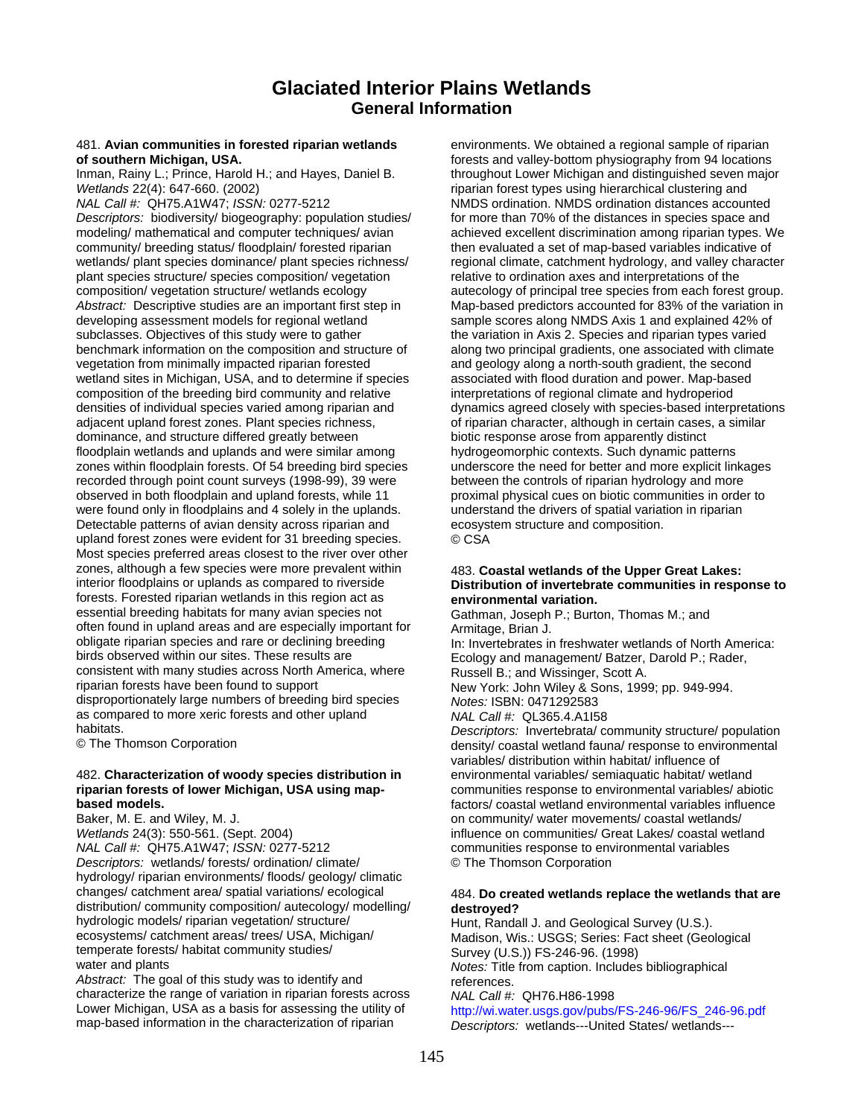# **Glaciated Interior Plains Wetlands General Information**

#### 481. **Avian communities in forested riparian wetlands of southern Michigan, USA.**

Inman, Rainy L.; Prince, Harold H.; and Hayes, Daniel B. *Wetlands* 22(4): 647-660. (2002) *NAL Call #:* QH75.A1W47; *ISSN:* 0277-5212 *Descriptors:* biodiversity/ biogeography: population studies/

modeling/ mathematical and computer techniques/ avian community/ breeding status/ floodplain/ forested riparian wetlands/ plant species dominance/ plant species richness/ plant species structure/ species composition/ vegetation composition/ vegetation structure/ wetlands ecology *Abstract:* Descriptive studies are an important first step in developing assessment models for regional wetland subclasses. Objectives of this study were to gather benchmark information on the composition and structure of vegetation from minimally impacted riparian forested wetland sites in Michigan, USA, and to determine if species composition of the breeding bird community and relative densities of individual species varied among riparian and adjacent upland forest zones. Plant species richness, dominance, and structure differed greatly between floodplain wetlands and uplands and were similar among zones within floodplain forests. Of 54 breeding bird species recorded through point count surveys (1998-99), 39 were observed in both floodplain and upland forests, while 11 were found only in floodplains and 4 solely in the uplands. Detectable patterns of avian density across riparian and upland forest zones were evident for 31 breeding species. Most species preferred areas closest to the river over other zones, although a few species were more prevalent within interior floodplains or uplands as compared to riverside forests. Forested riparian wetlands in this region act as essential breeding habitats for many avian species not often found in upland areas and are especially important for obligate riparian species and rare or declining breeding birds observed within our sites. These results are consistent with many studies across North America, where riparian forests have been found to support disproportionately large numbers of breeding bird species as compared to more xeric forests and other upland habitats.

© The Thomson Corporation

# 482. **Characterization of woody species distribution in riparian forests of lower Michigan, USA using mapbased models.**

Baker, M. E. and Wiley, M. J. *Wetlands* 24(3): 550-561. (Sept. 2004) *NAL Call #:* QH75.A1W47; *ISSN:* 0277-5212 *Descriptors:* wetlands/ forests/ ordination/ climate/ hydrology/ riparian environments/ floods/ geology/ climatic changes/ catchment area/ spatial variations/ ecological distribution/ community composition/ autecology/ modelling/ hydrologic models/ riparian vegetation/ structure/ ecosystems/ catchment areas/ trees/ USA, Michigan/ temperate forests/ habitat community studies/ water and plants

*Abstract:* The goal of this study was to identify and characterize the range of variation in riparian forests across Lower Michigan, USA as a basis for assessing the utility of map-based information in the characterization of riparian

environments. We obtained a regional sample of riparian forests and valley-bottom physiography from 94 locations throughout Lower Michigan and distinguished seven major riparian forest types using hierarchical clustering and NMDS ordination. NMDS ordination distances accounted for more than 70% of the distances in species space and achieved excellent discrimination among riparian types. We then evaluated a set of map-based variables indicative of regional climate, catchment hydrology, and valley character relative to ordination axes and interpretations of the autecology of principal tree species from each forest group. Map-based predictors accounted for 83% of the variation in sample scores along NMDS Axis 1 and explained 42% of the variation in Axis 2. Species and riparian types varied along two principal gradients, one associated with climate and geology along a north-south gradient, the second associated with flood duration and power. Map-based interpretations of regional climate and hydroperiod dynamics agreed closely with species-based interpretations of riparian character, although in certain cases, a similar biotic response arose from apparently distinct hydrogeomorphic contexts. Such dynamic patterns underscore the need for better and more explicit linkages between the controls of riparian hydrology and more proximal physical cues on biotic communities in order to understand the drivers of spatial variation in riparian ecosystem structure and composition. © CSA

### 483. **Coastal wetlands of the Upper Great Lakes: Distribution of invertebrate communities in response to environmental variation.**

Gathman, Joseph P.; Burton, Thomas M.; and Armitage, Brian J.

In: Invertebrates in freshwater wetlands of North America: Ecology and management/ Batzer, Darold P.; Rader, Russell B.; and Wissinger, Scott A. New York: John Wiley & Sons, 1999; pp. 949-994.

*Notes:* ISBN: 0471292583

*NAL Call #:* QL365.4.A1I58

*Descriptors:* Invertebrata/ community structure/ population density/ coastal wetland fauna/ response to environmental variables/ distribution within habitat/ influence of environmental variables/ semiaquatic habitat/ wetland communities response to environmental variables/ abiotic factors/ coastal wetland environmental variables influence on community/ water movements/ coastal wetlands/ influence on communities/ Great Lakes/ coastal wetland communities response to environmental variables © The Thomson Corporation

# 484. **Do created wetlands replace the wetlands that are destroyed?**

Hunt, Randall J. and Geological Survey (U.S.). Madison, Wis.: USGS; Series: Fact sheet (Geological Survey (U.S.)) FS-246-96. (1998) *Notes:* Title from caption. Includes bibliographical references. *NAL Call #:* QH76.H86-1998

[http://wi.water.usgs.gov/pubs/FS-246-96/FS\\_246-96.pdf](http://wi.water.usgs.gov/pubs/FS-246-96/FS_246-96.pdf) *Descriptors:* wetlands---United States/ wetlands---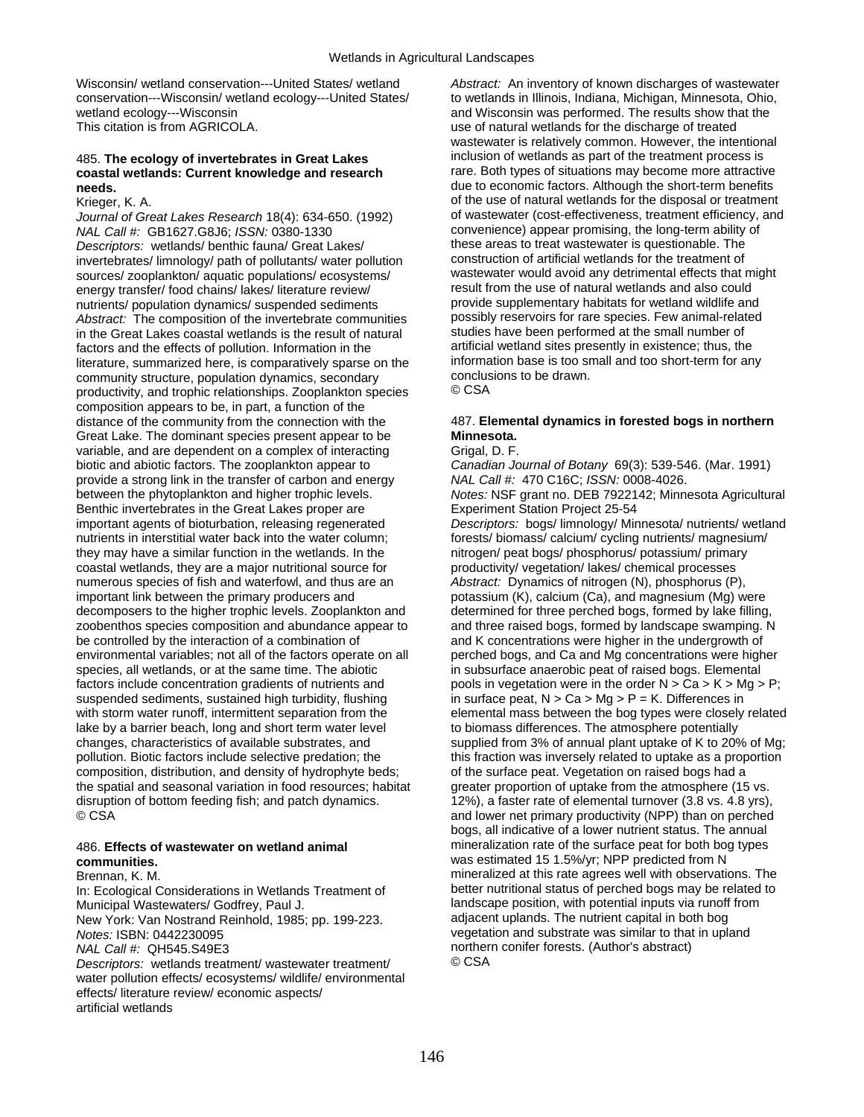Wisconsin/ wetland conservation---United States/ wetland conservation---Wisconsin/ wetland ecology---United States/ wetland ecology---Wisconsin This citation is from AGRICOLA.

#### 485. **The ecology of invertebrates in Great Lakes coastal wetlands: Current knowledge and research needs.**

#### Krieger, K. A.

*Journal of Great Lakes Research* 18(4): 634-650. (1992) *NAL Call #:* GB1627.G8J6; *ISSN:* 0380-1330 *Descriptors:* wetlands/ benthic fauna/ Great Lakes/ invertebrates/ limnology/ path of pollutants/ water pollution sources/ zooplankton/ aquatic populations/ ecosystems/ energy transfer/ food chains/ lakes/ literature review/ nutrients/ population dynamics/ suspended sediments *Abstract:* The composition of the invertebrate communities in the Great Lakes coastal wetlands is the result of natural factors and the effects of pollution. Information in the literature, summarized here, is comparatively sparse on the community structure, population dynamics, secondary productivity, and trophic relationships. Zooplankton species composition appears to be, in part, a function of the distance of the community from the connection with the Great Lake. The dominant species present appear to be variable, and are dependent on a complex of interacting biotic and abiotic factors. The zooplankton appear to provide a strong link in the transfer of carbon and energy between the phytoplankton and higher trophic levels. Benthic invertebrates in the Great Lakes proper are important agents of bioturbation, releasing regenerated nutrients in interstitial water back into the water column; they may have a similar function in the wetlands. In the coastal wetlands, they are a major nutritional source for numerous species of fish and waterfowl, and thus are an important link between the primary producers and decomposers to the higher trophic levels. Zooplankton and zoobenthos species composition and abundance appear to be controlled by the interaction of a combination of environmental variables; not all of the factors operate on all species, all wetlands, or at the same time. The abiotic factors include concentration gradients of nutrients and suspended sediments, sustained high turbidity, flushing with storm water runoff, intermittent separation from the lake by a barrier beach, long and short term water level changes, characteristics of available substrates, and pollution. Biotic factors include selective predation; the composition, distribution, and density of hydrophyte beds; the spatial and seasonal variation in food resources; habitat disruption of bottom feeding fish; and patch dynamics. © CSA

# 486. **Effects of wastewater on wetland animal communities.**

Brennan, K. M. In: Ecological Considerations in Wetlands Treatment of Municipal Wastewaters/ Godfrey, Paul J. New York: Van Nostrand Reinhold, 1985; pp. 199-223. *Notes:* ISBN: 0442230095 *NAL Call #:* QH545.S49E3 *Descriptors:* wetlands treatment/ wastewater treatment/ water pollution effects/ ecosystems/ wildlife/ environmental effects/ literature review/ economic aspects/ artificial wetlands

*Abstract:* An inventory of known discharges of wastewater to wetlands in Illinois, Indiana, Michigan, Minnesota, Ohio, and Wisconsin was performed. The results show that the use of natural wetlands for the discharge of treated wastewater is relatively common. However, the intentional inclusion of wetlands as part of the treatment process is rare. Both types of situations may become more attractive due to economic factors. Although the short-term benefits of the use of natural wetlands for the disposal or treatment of wastewater (cost-effectiveness, treatment efficiency, and convenience) appear promising, the long-term ability of these areas to treat wastewater is questionable. The construction of artificial wetlands for the treatment of wastewater would avoid any detrimental effects that might result from the use of natural wetlands and also could provide supplementary habitats for wetland wildlife and possibly reservoirs for rare species. Few animal-related studies have been performed at the small number of artificial wetland sites presently in existence; thus, the information base is too small and too short-term for any conclusions to be drawn. © CSA

# 487. **Elemental dynamics in forested bogs in northern Minnesota.**

Grigal, D. F.

*Canadian Journal of Botany* 69(3): 539-546. (Mar. 1991) *NAL Call #:* 470 C16C; *ISSN:* 0008-4026. *Notes:* NSF grant no. DEB 7922142; Minnesota Agricultural Experiment Station Project 25-54 *Descriptors:* bogs/ limnology/ Minnesota/ nutrients/ wetland forests/ biomass/ calcium/ cycling nutrients/ magnesium/ nitrogen/ peat bogs/ phosphorus/ potassium/ primary productivity/ vegetation/ lakes/ chemical processes *Abstract:* Dynamics of nitrogen (N), phosphorus (P), potassium (K), calcium (Ca), and magnesium (Mg) were determined for three perched bogs, formed by lake filling, and three raised bogs, formed by landscape swamping. N and K concentrations were higher in the undergrowth of perched bogs, and Ca and Mg concentrations were higher in subsurface anaerobic peat of raised bogs. Elemental pools in vegetation were in the order  $N > Ca > K > Mg > P$ ; in surface peat,  $N > Ca > Mg > P = K$ . Differences in elemental mass between the bog types were closely related to biomass differences. The atmosphere potentially supplied from 3% of annual plant uptake of K to 20% of Mg; this fraction was inversely related to uptake as a proportion of the surface peat. Vegetation on raised bogs had a greater proportion of uptake from the atmosphere (15 vs. 12%), a faster rate of elemental turnover (3.8 vs. 4.8 yrs), and lower net primary productivity (NPP) than on perched bogs, all indicative of a lower nutrient status. The annual mineralization rate of the surface peat for both bog types was estimated 15 1.5%/yr; NPP predicted from N mineralized at this rate agrees well with observations. The better nutritional status of perched bogs may be related to landscape position, with potential inputs via runoff from adjacent uplands. The nutrient capital in both bog vegetation and substrate was similar to that in upland northern conifer forests. (Author's abstract) © CSA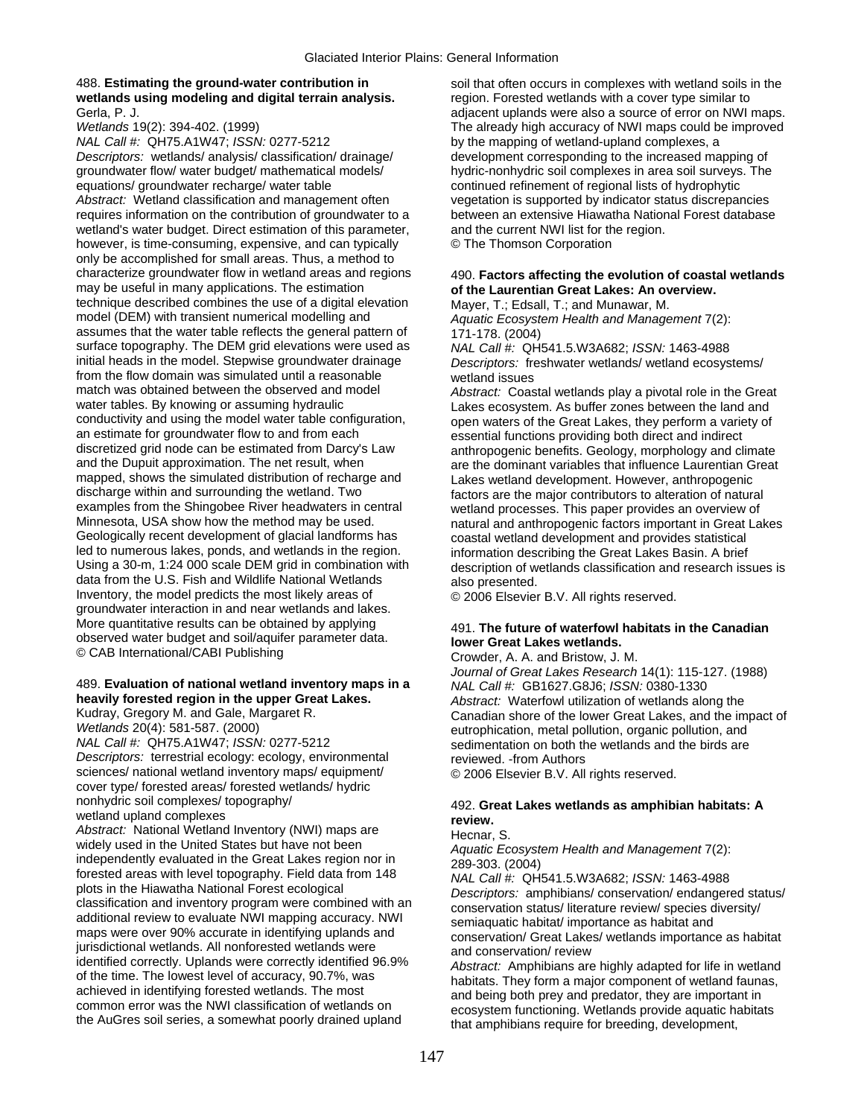### 488. **Estimating the ground-water contribution in wetlands using modeling and digital terrain analysis.**  Gerla, P. J.

*Wetlands* 19(2): 394-402. (1999) *NAL Call #:* QH75.A1W47; *ISSN:* 0277-5212 *Descriptors:* wetlands/ analysis/ classification/ drainage/ groundwater flow/ water budget/ mathematical models/ equations/ groundwater recharge/ water table *Abstract:* Wetland classification and management often requires information on the contribution of groundwater to a wetland's water budget. Direct estimation of this parameter, however, is time-consuming, expensive, and can typically only be accomplished for small areas. Thus, a method to characterize groundwater flow in wetland areas and regions may be useful in many applications. The estimation technique described combines the use of a digital elevation model (DEM) with transient numerical modelling and assumes that the water table reflects the general pattern of surface topography. The DEM grid elevations were used as initial heads in the model. Stepwise groundwater drainage from the flow domain was simulated until a reasonable match was obtained between the observed and model water tables. By knowing or assuming hydraulic conductivity and using the model water table configuration, an estimate for groundwater flow to and from each discretized grid node can be estimated from Darcy's Law and the Dupuit approximation. The net result, when mapped, shows the simulated distribution of recharge and discharge within and surrounding the wetland. Two examples from the Shingobee River headwaters in central Minnesota, USA show how the method may be used. Geologically recent development of glacial landforms has led to numerous lakes, ponds, and wetlands in the region. Using a 30-m, 1:24 000 scale DEM grid in combination with data from the U.S. Fish and Wildlife National Wetlands Inventory, the model predicts the most likely areas of groundwater interaction in and near wetlands and lakes. More quantitative results can be obtained by applying observed water budget and soil/aquifer parameter data. © CAB International/CABI Publishing

#### 489. **Evaluation of national wetland inventory maps in a heavily forested region in the upper Great Lakes.**  Kudray, Gregory M. and Gale, Margaret R.

*Wetlands* 20(4): 581-587. (2000)

*NAL Call #:* QH75.A1W47; *ISSN:* 0277-5212 *Descriptors:* terrestrial ecology: ecology, environmental sciences/ national wetland inventory maps/ equipment/ cover type/ forested areas/ forested wetlands/ hydric nonhydric soil complexes/ topography/ wetland upland complexes

*Abstract:* National Wetland Inventory (NWI) maps are widely used in the United States but have not been independently evaluated in the Great Lakes region nor in forested areas with level topography. Field data from 148 plots in the Hiawatha National Forest ecological classification and inventory program were combined with an additional review to evaluate NWI mapping accuracy. NWI maps were over 90% accurate in identifying uplands and jurisdictional wetlands. All nonforested wetlands were identified correctly. Uplands were correctly identified 96.9% of the time. The lowest level of accuracy, 90.7%, was achieved in identifying forested wetlands. The most common error was the NWI classification of wetlands on the AuGres soil series, a somewhat poorly drained upland

soil that often occurs in complexes with wetland soils in the region. Forested wetlands with a cover type similar to adjacent uplands were also a source of error on NWI maps. The already high accuracy of NWI maps could be improved by the mapping of wetland-upland complexes, a development corresponding to the increased mapping of hydric-nonhydric soil complexes in area soil surveys. The continued refinement of regional lists of hydrophytic vegetation is supported by indicator status discrepancies between an extensive Hiawatha National Forest database and the current NWI list for the region. © The Thomson Corporation

#### 490. **Factors affecting the evolution of coastal wetlands of the Laurentian Great Lakes: An overview.**

Mayer, T.; Edsall, T.; and Munawar, M. *Aquatic Ecosystem Health and Management* 7(2): 171-178. (2004)

*NAL Call #:* QH541.5.W3A682; *ISSN:* 1463-4988 *Descriptors:* freshwater wetlands/ wetland ecosystems/ wetland issues

*Abstract:* Coastal wetlands play a pivotal role in the Great Lakes ecosystem. As buffer zones between the land and open waters of the Great Lakes, they perform a variety of essential functions providing both direct and indirect anthropogenic benefits. Geology, morphology and climate are the dominant variables that influence Laurentian Great Lakes wetland development. However, anthropogenic factors are the major contributors to alteration of natural wetland processes. This paper provides an overview of natural and anthropogenic factors important in Great Lakes coastal wetland development and provides statistical information describing the Great Lakes Basin. A brief description of wetlands classification and research issues is also presented.

© 2006 Elsevier B.V. All rights reserved.

#### 491. **The future of waterfowl habitats in the Canadian lower Great Lakes wetlands.**

Crowder, A. A. and Bristow, J. M. *Journal of Great Lakes Research* 14(1): 115-127. (1988) *NAL Call #:* GB1627.G8J6; *ISSN:* 0380-1330 *Abstract:* Waterfowl utilization of wetlands along the Canadian shore of the lower Great Lakes, and the impact of eutrophication, metal pollution, organic pollution, and sedimentation on both the wetlands and the birds are reviewed. -from Authors © 2006 Elsevier B.V. All rights reserved.

#### 492. **Great Lakes wetlands as amphibian habitats: A review.**

#### Hecnar, S.

*Aquatic Ecosystem Health and Management* 7(2): 289-303. (2004)

*NAL Call #:* QH541.5.W3A682; *ISSN:* 1463-4988 *Descriptors:* amphibians/ conservation/ endangered status/ conservation status/ literature review/ species diversity/ semiaquatic habitat/ importance as habitat and conservation/ Great Lakes/ wetlands importance as habitat and conservation/ review

*Abstract:* Amphibians are highly adapted for life in wetland habitats. They form a major component of wetland faunas, and being both prey and predator, they are important in ecosystem functioning. Wetlands provide aquatic habitats that amphibians require for breeding, development,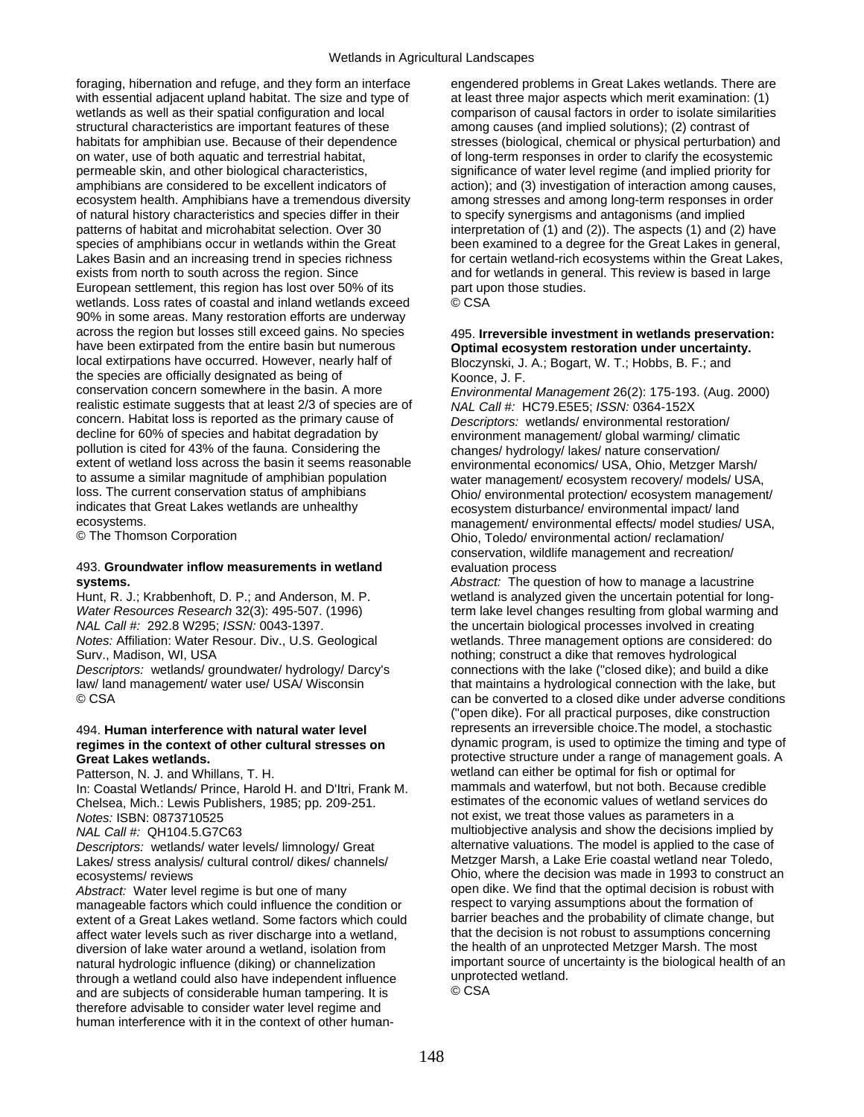foraging, hibernation and refuge, and they form an interface with essential adjacent upland habitat. The size and type of wetlands as well as their spatial configuration and local structural characteristics are important features of these habitats for amphibian use. Because of their dependence on water, use of both aquatic and terrestrial habitat, permeable skin, and other biological characteristics, amphibians are considered to be excellent indicators of ecosystem health. Amphibians have a tremendous diversity of natural history characteristics and species differ in their patterns of habitat and microhabitat selection. Over 30 species of amphibians occur in wetlands within the Great Lakes Basin and an increasing trend in species richness exists from north to south across the region. Since European settlement, this region has lost over 50% of its wetlands. Loss rates of coastal and inland wetlands exceed 90% in some areas. Many restoration efforts are underway across the region but losses still exceed gains. No species have been extirpated from the entire basin but numerous local extirpations have occurred. However, nearly half of the species are officially designated as being of conservation concern somewhere in the basin. A more realistic estimate suggests that at least 2/3 of species are of concern. Habitat loss is reported as the primary cause of decline for 60% of species and habitat degradation by pollution is cited for 43% of the fauna. Considering the extent of wetland loss across the basin it seems reasonable to assume a similar magnitude of amphibian population loss. The current conservation status of amphibians indicates that Great Lakes wetlands are unhealthy ecosystems.

© The Thomson Corporation

#### 493. **Groundwater inflow measurements in wetland systems.**

Hunt, R. J.; Krabbenhoft, D. P.; and Anderson, M. P. *Water Resources Research* 32(3): 495-507. (1996) *NAL Call #:* 292.8 W295; *ISSN:* 0043-1397. *Notes:* Affiliation: Water Resour. Div., U.S. Geological Surv., Madison, WI, USA

*Descriptors:* wetlands/ groundwater/ hydrology/ Darcy's law/ land management/ water use/ USA/ Wisconsin © CSA

#### 494. **Human interference with natural water level regimes in the context of other cultural stresses on Great Lakes wetlands.**

Patterson, N. J. and Whillans, T. H.

In: Coastal Wetlands/ Prince, Harold H. and D'Itri, Frank M. Chelsea, Mich.: Lewis Publishers, 1985; pp. 209-251. *Notes:* ISBN: 0873710525

*NAL Call #:* QH104.5.G7C63

*Descriptors:* wetlands/ water levels/ limnology/ Great Lakes/ stress analysis/ cultural control/ dikes/ channels/ ecosystems/ reviews

*Abstract:* Water level regime is but one of many manageable factors which could influence the condition or extent of a Great Lakes wetland. Some factors which could affect water levels such as river discharge into a wetland, diversion of lake water around a wetland, isolation from natural hydrologic influence (diking) or channelization through a wetland could also have independent influence and are subjects of considerable human tampering. It is therefore advisable to consider water level regime and human interference with it in the context of other human-

engendered problems in Great Lakes wetlands. There are at least three major aspects which merit examination: (1) comparison of causal factors in order to isolate similarities among causes (and implied solutions); (2) contrast of stresses (biological, chemical or physical perturbation) and of long-term responses in order to clarify the ecosystemic significance of water level regime (and implied priority for action); and (3) investigation of interaction among causes, among stresses and among long-term responses in order to specify synergisms and antagonisms (and implied interpretation of (1) and (2)). The aspects (1) and (2) have been examined to a degree for the Great Lakes in general, for certain wetland-rich ecosystems within the Great Lakes, and for wetlands in general. This review is based in large part upon those studies. © CSA

495. **Irreversible investment in wetlands preservation: Optimal ecosystem restoration under uncertainty.**  Bloczynski, J. A.; Bogart, W. T.; Hobbs, B. F.; and Koonce, J. F.

*Environmental Management* 26(2): 175-193. (Aug. 2000) *NAL Call #:* HC79.E5E5; *ISSN:* 0364-152X *Descriptors:* wetlands/ environmental restoration/ environment management/ global warming/ climatic changes/ hydrology/ lakes/ nature conservation/ environmental economics/ USA, Ohio, Metzger Marsh/ water management/ ecosystem recovery/ models/ USA, Ohio/ environmental protection/ ecosystem management/ ecosystem disturbance/ environmental impact/ land management/ environmental effects/ model studies/ USA, Ohio, Toledo/ environmental action/ reclamation/ conservation, wildlife management and recreation/ evaluation process

*Abstract:* The question of how to manage a lacustrine wetland is analyzed given the uncertain potential for longterm lake level changes resulting from global warming and the uncertain biological processes involved in creating wetlands. Three management options are considered: do nothing; construct a dike that removes hydrological connections with the lake ("closed dike); and build a dike that maintains a hydrological connection with the lake, but can be converted to a closed dike under adverse conditions ("open dike). For all practical purposes, dike construction represents an irreversible choice.The model, a stochastic dynamic program, is used to optimize the timing and type of protective structure under a range of management goals. A wetland can either be optimal for fish or optimal for mammals and waterfowl, but not both. Because credible estimates of the economic values of wetland services do not exist, we treat those values as parameters in a multiobjective analysis and show the decisions implied by alternative valuations. The model is applied to the case of Metzger Marsh, a Lake Erie coastal wetland near Toledo, Ohio, where the decision was made in 1993 to construct an open dike. We find that the optimal decision is robust with respect to varying assumptions about the formation of barrier beaches and the probability of climate change, but that the decision is not robust to assumptions concerning the health of an unprotected Metzger Marsh. The most important source of uncertainty is the biological health of an unprotected wetland. © CSA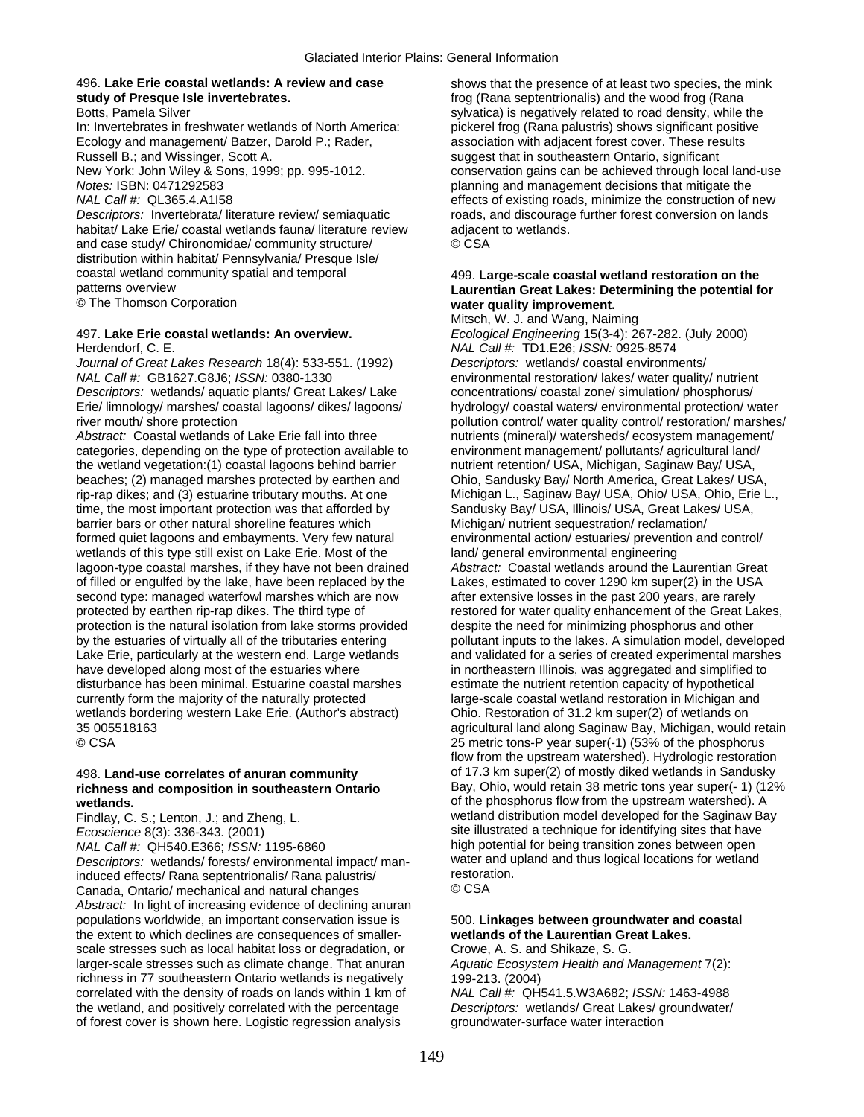# 496. **Lake Erie coastal wetlands: A review and case study of Presque Isle invertebrates.**

Botts, Pamela Silver

In: Invertebrates in freshwater wetlands of North America: Ecology and management/ Batzer, Darold P.; Rader, Russell B.; and Wissinger, Scott A.

New York: John Wiley & Sons, 1999; pp. 995-1012.

*Notes:* ISBN: 0471292583

*NAL Call #:* QL365.4.A1I58

*Descriptors:* Invertebrata/ literature review/ semiaquatic habitat/ Lake Erie/ coastal wetlands fauna/ literature review and case study/ Chironomidae/ community structure/ distribution within habitat/ Pennsylvania/ Presque Isle/ coastal wetland community spatial and temporal patterns overview

© The Thomson Corporation

### 497. **Lake Erie coastal wetlands: An overview.**  Herdendorf, C. E.

*Journal of Great Lakes Research* 18(4): 533-551. (1992) *NAL Call #:* GB1627.G8J6; *ISSN:* 0380-1330 *Descriptors:* wetlands/ aquatic plants/ Great Lakes/ Lake Erie/ limnology/ marshes/ coastal lagoons/ dikes/ lagoons/ river mouth/ shore protection

*Abstract:* Coastal wetlands of Lake Erie fall into three categories, depending on the type of protection available to the wetland vegetation:(1) coastal lagoons behind barrier beaches; (2) managed marshes protected by earthen and rip-rap dikes; and (3) estuarine tributary mouths. At one time, the most important protection was that afforded by barrier bars or other natural shoreline features which formed quiet lagoons and embayments. Very few natural wetlands of this type still exist on Lake Erie. Most of the lagoon-type coastal marshes, if they have not been drained of filled or engulfed by the lake, have been replaced by the second type: managed waterfowl marshes which are now protected by earthen rip-rap dikes. The third type of protection is the natural isolation from lake storms provided by the estuaries of virtually all of the tributaries entering Lake Erie, particularly at the western end. Large wetlands have developed along most of the estuaries where disturbance has been minimal. Estuarine coastal marshes currently form the majority of the naturally protected wetlands bordering western Lake Erie. (Author's abstract) 35 005518163 © CSA

#### 498. **Land-use correlates of anuran community richness and composition in southeastern Ontario wetlands.**

Findlay, C. S.; Lenton, J.; and Zheng, L. *Ecoscience* 8(3): 336-343. (2001) *NAL Call #:* QH540.E366; *ISSN:* 1195-6860 *Descriptors:* wetlands/ forests/ environmental impact/ maninduced effects/ Rana septentrionalis/ Rana palustris/ Canada, Ontario/ mechanical and natural changes *Abstract:* In light of increasing evidence of declining anuran populations worldwide, an important conservation issue is the extent to which declines are consequences of smallerscale stresses such as local habitat loss or degradation, or larger-scale stresses such as climate change. That anuran richness in 77 southeastern Ontario wetlands is negatively correlated with the density of roads on lands within 1 km of the wetland, and positively correlated with the percentage of forest cover is shown here. Logistic regression analysis

shows that the presence of at least two species, the mink frog (Rana septentrionalis) and the wood frog (Rana sylvatica) is negatively related to road density, while the pickerel frog (Rana palustris) shows significant positive association with adjacent forest cover. These results suggest that in southeastern Ontario, significant conservation gains can be achieved through local land-use planning and management decisions that mitigate the effects of existing roads, minimize the construction of new roads, and discourage further forest conversion on lands adjacent to wetlands. © CSA

### 499. **Large-scale coastal wetland restoration on the Laurentian Great Lakes: Determining the potential for water quality improvement.**

Mitsch, W. J. and Wang, Naiming *Ecological Engineering* 15(3-4): 267-282. (July 2000) *NAL Call #:* TD1.E26; *ISSN:* 0925-8574 *Descriptors:* wetlands/ coastal environments/ environmental restoration/ lakes/ water quality/ nutrient concentrations/ coastal zone/ simulation/ phosphorus/ hydrology/ coastal waters/ environmental protection/ water pollution control/ water quality control/ restoration/ marshes/ nutrients (mineral)/ watersheds/ ecosystem management/ environment management/ pollutants/ agricultural land/ nutrient retention/ USA, Michigan, Saginaw Bay/ USA, Ohio, Sandusky Bay/ North America, Great Lakes/ USA, Michigan L., Saginaw Bay/ USA, Ohio/ USA, Ohio, Erie L., Sandusky Bay/ USA, Illinois/ USA, Great Lakes/ USA, Michigan/ nutrient sequestration/ reclamation/ environmental action/ estuaries/ prevention and control/ land/ general environmental engineering *Abstract:* Coastal wetlands around the Laurentian Great Lakes, estimated to cover 1290 km super(2) in the USA after extensive losses in the past 200 years, are rarely restored for water quality enhancement of the Great Lakes, despite the need for minimizing phosphorus and other pollutant inputs to the lakes. A simulation model, developed and validated for a series of created experimental marshes in northeastern Illinois, was aggregated and simplified to estimate the nutrient retention capacity of hypothetical large-scale coastal wetland restoration in Michigan and Ohio. Restoration of 31.2 km super(2) of wetlands on agricultural land along Saginaw Bay, Michigan, would retain 25 metric tons-P year super(-1) (53% of the phosphorus flow from the upstream watershed). Hydrologic restoration of 17.3 km super(2) of mostly diked wetlands in Sandusky Bay, Ohio, would retain 38 metric tons year super(- 1) (12% of the phosphorus flow from the upstream watershed). A wetland distribution model developed for the Saginaw Bay site illustrated a technique for identifying sites that have high potential for being transition zones between open water and upland and thus logical locations for wetland restoration. © CSA

# 500. **Linkages between groundwater and coastal wetlands of the Laurentian Great Lakes.**

Crowe, A. S. and Shikaze, S. G. *Aquatic Ecosystem Health and Management* 7(2): 199-213. (2004)

*NAL Call #:* QH541.5.W3A682; *ISSN:* 1463-4988 *Descriptors:* wetlands/ Great Lakes/ groundwater/ groundwater-surface water interaction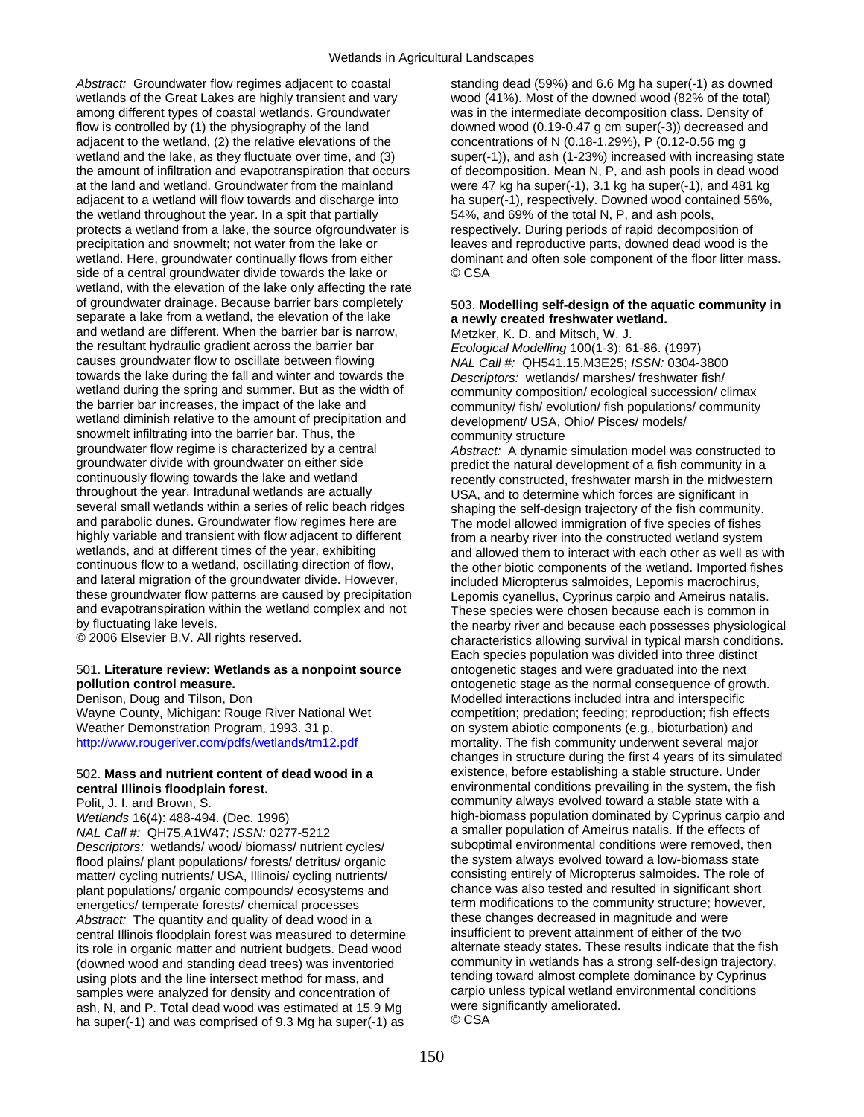*Abstract:* Groundwater flow regimes adjacent to coastal wetlands of the Great Lakes are highly transient and vary among different types of coastal wetlands. Groundwater flow is controlled by (1) the physiography of the land adjacent to the wetland, (2) the relative elevations of the wetland and the lake, as they fluctuate over time, and (3) the amount of infiltration and evapotranspiration that occurs at the land and wetland. Groundwater from the mainland adjacent to a wetland will flow towards and discharge into the wetland throughout the year. In a spit that partially protects a wetland from a lake, the source ofgroundwater is precipitation and snowmelt; not water from the lake or wetland. Here, groundwater continually flows from either side of a central groundwater divide towards the lake or wetland, with the elevation of the lake only affecting the rate of groundwater drainage. Because barrier bars completely separate a lake from a wetland, the elevation of the lake and wetland are different. When the barrier bar is narrow, the resultant hydraulic gradient across the barrier bar causes groundwater flow to oscillate between flowing towards the lake during the fall and winter and towards the wetland during the spring and summer. But as the width of the barrier bar increases, the impact of the lake and wetland diminish relative to the amount of precipitation and snowmelt infiltrating into the barrier bar. Thus, the groundwater flow regime is characterized by a central groundwater divide with groundwater on either side continuously flowing towards the lake and wetland throughout the year. Intradunal wetlands are actually several small wetlands within a series of relic beach ridges and parabolic dunes. Groundwater flow regimes here are highly variable and transient with flow adjacent to different wetlands, and at different times of the year, exhibiting continuous flow to a wetland, oscillating direction of flow, and lateral migration of the groundwater divide. However, these groundwater flow patterns are caused by precipitation and evapotranspiration within the wetland complex and not by fluctuating lake levels.

© 2006 Elsevier B.V. All rights reserved.

# 501. **Literature review: Wetlands as a nonpoint source pollution control measure.**

Denison, Doug and Tilson, Don Wayne County, Michigan: Rouge River National Wet Weather Demonstration Program, 1993. 31 p. <http://www.rougeriver.com/pdfs/wetlands/tm12.pdf>

# 502. **Mass and nutrient content of dead wood in a central Illinois floodplain forest.**

Polit, J. I. and Brown, S. *Wetlands* 16(4): 488-494. (Dec. 1996) *NAL Call #:* QH75.A1W47; *ISSN:* 0277-5212 *Descriptors:* wetlands/ wood/ biomass/ nutrient cycles/ flood plains/ plant populations/ forests/ detritus/ organic matter/ cycling nutrients/ USA, Illinois/ cycling nutrients/ plant populations/ organic compounds/ ecosystems and energetics/ temperate forests/ chemical processes *Abstract:* The quantity and quality of dead wood in a central Illinois floodplain forest was measured to determine its role in organic matter and nutrient budgets. Dead wood (downed wood and standing dead trees) was inventoried using plots and the line intersect method for mass, and samples were analyzed for density and concentration of ash, N, and P. Total dead wood was estimated at 15.9 Mg ha super(-1) and was comprised of 9.3 Mg ha super(-1) as

standing dead (59%) and 6.6 Mg ha super(-1) as downed wood (41%). Most of the downed wood (82% of the total) was in the intermediate decomposition class. Density of downed wood (0.19-0.47 g cm super(-3)) decreased and concentrations of N (0.18-1.29%), P (0.12-0.56 mg g super(-1)), and ash (1-23%) increased with increasing state of decomposition. Mean N, P, and ash pools in dead wood were 47 kg ha super(-1), 3.1 kg ha super(-1), and 481 kg ha super(-1), respectively. Downed wood contained 56%, 54%, and 69% of the total N, P, and ash pools, respectively. During periods of rapid decomposition of leaves and reproductive parts, downed dead wood is the dominant and often sole component of the floor litter mass. © CSA

# 503. **Modelling self-design of the aquatic community in a newly created freshwater wetland.**

Metzker, K. D. and Mitsch, W. J. *Ecological Modelling* 100(1-3): 61-86. (1997) *NAL Call #:* QH541.15.M3E25; *ISSN:* 0304-3800 *Descriptors:* wetlands/ marshes/ freshwater fish/ community composition/ ecological succession/ climax community/ fish/ evolution/ fish populations/ community development/ USA, Ohio/ Pisces/ models/ community structure

*Abstract:* A dynamic simulation model was constructed to predict the natural development of a fish community in a recently constructed, freshwater marsh in the midwestern USA, and to determine which forces are significant in shaping the self-design trajectory of the fish community. The model allowed immigration of five species of fishes from a nearby river into the constructed wetland system and allowed them to interact with each other as well as with the other biotic components of the wetland. Imported fishes included Micropterus salmoides, Lepomis macrochirus, Lepomis cyanellus, Cyprinus carpio and Ameirus natalis. These species were chosen because each is common in the nearby river and because each possesses physiological characteristics allowing survival in typical marsh conditions. Each species population was divided into three distinct ontogenetic stages and were graduated into the next ontogenetic stage as the normal consequence of growth. Modelled interactions included intra and interspecific competition; predation; feeding; reproduction; fish effects on system abiotic components (e.g., bioturbation) and mortality. The fish community underwent several major changes in structure during the first 4 years of its simulated existence, before establishing a stable structure. Under environmental conditions prevailing in the system, the fish community always evolved toward a stable state with a high-biomass population dominated by Cyprinus carpio and a smaller population of Ameirus natalis. If the effects of suboptimal environmental conditions were removed, then the system always evolved toward a low-biomass state consisting entirely of Micropterus salmoides. The role of chance was also tested and resulted in significant short term modifications to the community structure; however, these changes decreased in magnitude and were insufficient to prevent attainment of either of the two alternate steady states. These results indicate that the fish community in wetlands has a strong self-design trajectory, tending toward almost complete dominance by Cyprinus carpio unless typical wetland environmental conditions were significantly ameliorated. © CSA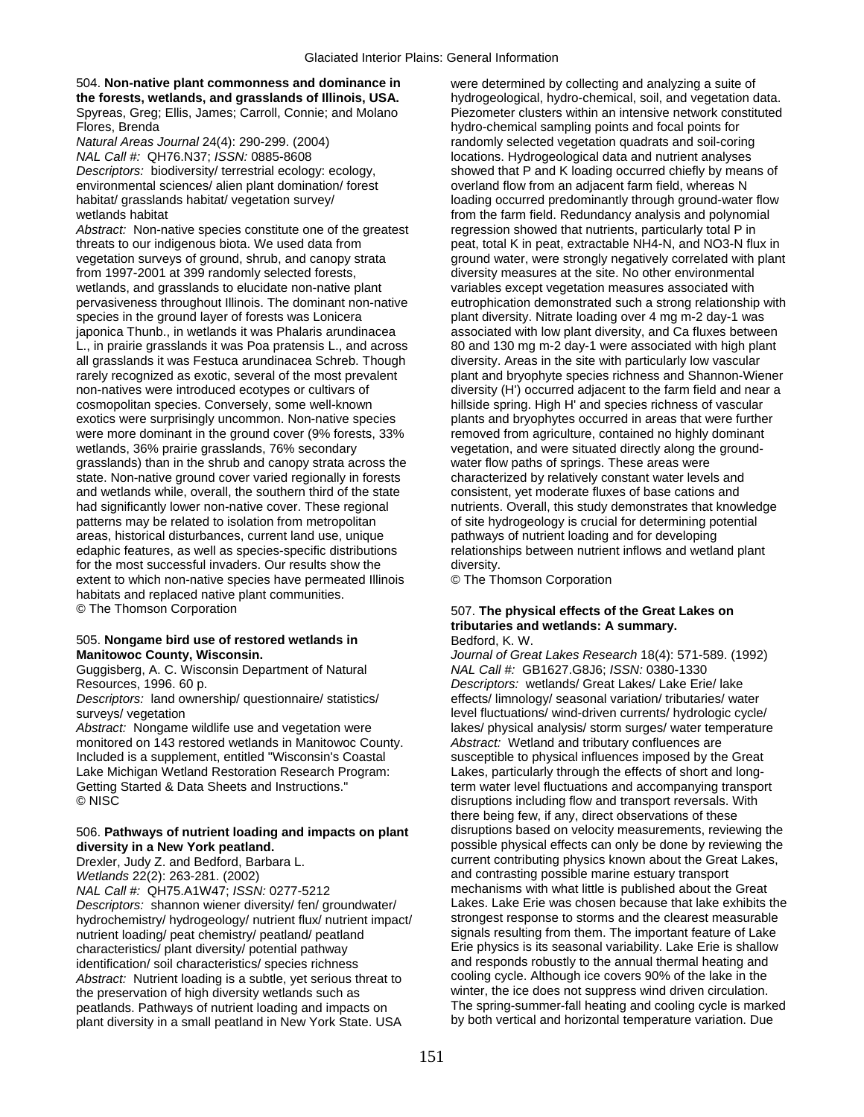504. **Non-native plant commonness and dominance in the forests, wetlands, and grasslands of Illinois, USA.**  Spyreas, Greg; Ellis, James; Carroll, Connie; and Molano Flores, Brenda

*Natural Areas Journal* 24(4): 290-299. (2004) *NAL Call #:* QH76.N37; *ISSN:* 0885-8608 *Descriptors:* biodiversity/ terrestrial ecology: ecology, environmental sciences/ alien plant domination/ forest habitat/ grasslands habitat/ vegetation survey/ wetlands habitat

*Abstract:* Non-native species constitute one of the greatest threats to our indigenous biota. We used data from vegetation surveys of ground, shrub, and canopy strata from 1997-2001 at 399 randomly selected forests, wetlands, and grasslands to elucidate non-native plant pervasiveness throughout Illinois. The dominant non-native species in the ground layer of forests was Lonicera japonica Thunb., in wetlands it was Phalaris arundinacea L., in prairie grasslands it was Poa pratensis L., and across all grasslands it was Festuca arundinacea Schreb. Though rarely recognized as exotic, several of the most prevalent non-natives were introduced ecotypes or cultivars of cosmopolitan species. Conversely, some well-known exotics were surprisingly uncommon. Non-native species were more dominant in the ground cover (9% forests, 33% wetlands, 36% prairie grasslands, 76% secondary grasslands) than in the shrub and canopy strata across the state. Non-native ground cover varied regionally in forests and wetlands while, overall, the southern third of the state had significantly lower non-native cover. These regional patterns may be related to isolation from metropolitan areas, historical disturbances, current land use, unique edaphic features, as well as species-specific distributions for the most successful invaders. Our results show the extent to which non-native species have permeated Illinois habitats and replaced native plant communities. © The Thomson Corporation

#### 505. **Nongame bird use of restored wetlands in Manitowoc County, Wisconsin.**

Guggisberg, A. C. Wisconsin Department of Natural Resources, 1996. 60 p.

*Descriptors:* land ownership/ questionnaire/ statistics/ surveys/ vegetation

*Abstract:* Nongame wildlife use and vegetation were monitored on 143 restored wetlands in Manitowoc County. Included is a supplement, entitled "Wisconsin's Coastal Lake Michigan Wetland Restoration Research Program: Getting Started & Data Sheets and Instructions." © NISC

#### 506. **Pathways of nutrient loading and impacts on plant diversity in a New York peatland.**

Drexler, Judy Z. and Bedford, Barbara L. *Wetlands* 22(2): 263-281. (2002) *NAL Call #:* QH75.A1W47; *ISSN:* 0277-5212 *Descriptors:* shannon wiener diversity/ fen/ groundwater/ hydrochemistry/ hydrogeology/ nutrient flux/ nutrient impact/ nutrient loading/ peat chemistry/ peatland/ peatland characteristics/ plant diversity/ potential pathway identification/ soil characteristics/ species richness *Abstract:* Nutrient loading is a subtle, yet serious threat to the preservation of high diversity wetlands such as peatlands. Pathways of nutrient loading and impacts on plant diversity in a small peatland in New York State. USA

were determined by collecting and analyzing a suite of hydrogeological, hydro-chemical, soil, and vegetation data. Piezometer clusters within an intensive network constituted hydro-chemical sampling points and focal points for randomly selected vegetation quadrats and soil-coring locations. Hydrogeological data and nutrient analyses showed that P and K loading occurred chiefly by means of overland flow from an adjacent farm field, whereas N loading occurred predominantly through ground-water flow from the farm field. Redundancy analysis and polynomial regression showed that nutrients, particularly total P in peat, total K in peat, extractable NH4-N, and NO3-N flux in ground water, were strongly negatively correlated with plant diversity measures at the site. No other environmental variables except vegetation measures associated with eutrophication demonstrated such a strong relationship with plant diversity. Nitrate loading over 4 mg m-2 day-1 was associated with low plant diversity, and Ca fluxes between 80 and 130 mg m-2 day-1 were associated with high plant diversity. Areas in the site with particularly low vascular plant and bryophyte species richness and Shannon-Wiener diversity (H') occurred adjacent to the farm field and near a hillside spring. High H' and species richness of vascular plants and bryophytes occurred in areas that were further removed from agriculture, contained no highly dominant vegetation, and were situated directly along the groundwater flow paths of springs. These areas were characterized by relatively constant water levels and consistent, yet moderate fluxes of base cations and nutrients. Overall, this study demonstrates that knowledge of site hydrogeology is crucial for determining potential pathways of nutrient loading and for developing relationships between nutrient inflows and wetland plant diversity.

© The Thomson Corporation

#### 507. **The physical effects of the Great Lakes on tributaries and wetlands: A summary.**  Bedford, K. W.

*Journal of Great Lakes Research* 18(4): 571-589. (1992) *NAL Call #:* GB1627.G8J6; *ISSN:* 0380-1330 *Descriptors:* wetlands/ Great Lakes/ Lake Erie/ lake effects/ limnology/ seasonal variation/ tributaries/ water level fluctuations/ wind-driven currents/ hydrologic cycle/ lakes/ physical analysis/ storm surges/ water temperature *Abstract:* Wetland and tributary confluences are susceptible to physical influences imposed by the Great Lakes, particularly through the effects of short and longterm water level fluctuations and accompanying transport disruptions including flow and transport reversals. With there being few, if any, direct observations of these disruptions based on velocity measurements, reviewing the possible physical effects can only be done by reviewing the current contributing physics known about the Great Lakes, and contrasting possible marine estuary transport mechanisms with what little is published about the Great Lakes. Lake Erie was chosen because that lake exhibits the strongest response to storms and the clearest measurable signals resulting from them. The important feature of Lake Erie physics is its seasonal variability. Lake Erie is shallow and responds robustly to the annual thermal heating and cooling cycle. Although ice covers 90% of the lake in the winter, the ice does not suppress wind driven circulation. The spring-summer-fall heating and cooling cycle is marked by both vertical and horizontal temperature variation. Due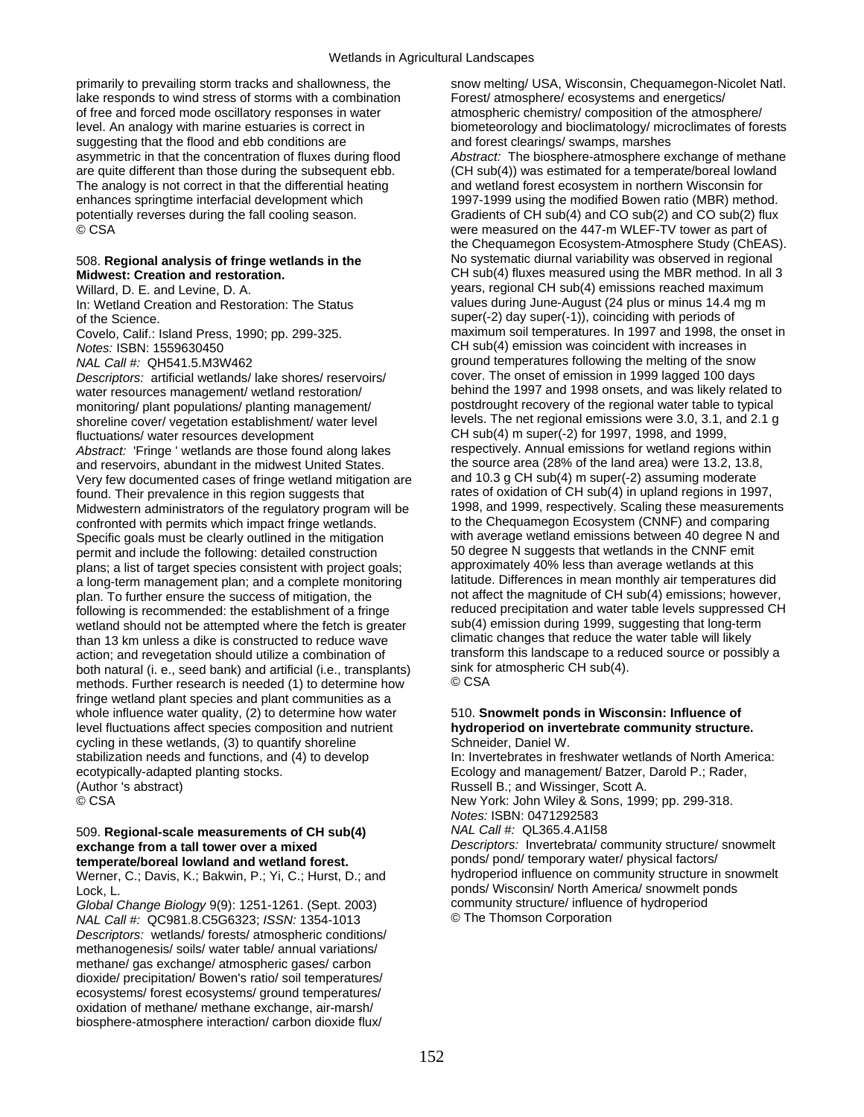primarily to prevailing storm tracks and shallowness, the lake responds to wind stress of storms with a combination of free and forced mode oscillatory responses in water level. An analogy with marine estuaries is correct in suggesting that the flood and ebb conditions are asymmetric in that the concentration of fluxes during flood are quite different than those during the subsequent ebb. The analogy is not correct in that the differential heating enhances springtime interfacial development which potentially reverses during the fall cooling season. © CSA

# 508. **Regional analysis of fringe wetlands in the Midwest: Creation and restoration.**

Willard, D. E. and Levine, D. A. In: Wetland Creation and Restoration: The Status of the Science.

Covelo, Calif.: Island Press, 1990; pp. 299-325. *Notes:* ISBN: 1559630450

*NAL Call #:* QH541.5.M3W462

*Descriptors:* artificial wetlands/ lake shores/ reservoirs/ water resources management/ wetland restoration/ monitoring/ plant populations/ planting management/ shoreline cover/ vegetation establishment/ water level fluctuations/ water resources development *Abstract:* 'Fringe ' wetlands are those found along lakes and reservoirs, abundant in the midwest United States. Very few documented cases of fringe wetland mitigation are found. Their prevalence in this region suggests that Midwestern administrators of the regulatory program will be confronted with permits which impact fringe wetlands. Specific goals must be clearly outlined in the mitigation permit and include the following: detailed construction plans; a list of target species consistent with project goals; a long-term management plan; and a complete monitoring plan. To further ensure the success of mitigation, the following is recommended: the establishment of a fringe wetland should not be attempted where the fetch is greater than 13 km unless a dike is constructed to reduce wave action; and revegetation should utilize a combination of both natural (i. e., seed bank) and artificial (i.e., transplants) methods. Further research is needed (1) to determine how fringe wetland plant species and plant communities as a whole influence water quality, (2) to determine how water level fluctuations affect species composition and nutrient cycling in these wetlands, (3) to quantify shoreline stabilization needs and functions, and (4) to develop ecotypically-adapted planting stocks. (Author 's abstract) © CSA

### 509. **Regional-scale measurements of CH sub(4) exchange from a tall tower over a mixed temperate/boreal lowland and wetland forest.**

Werner, C.; Davis, K.; Bakwin, P.; Yi, C.; Hurst, D.; and Lock, L.

*Global Change Biology* 9(9): 1251-1261. (Sept. 2003) *NAL Call #:* QC981.8.C5G6323; *ISSN:* 1354-1013 *Descriptors:* wetlands/ forests/ atmospheric conditions/ methanogenesis/ soils/ water table/ annual variations/ methane/ gas exchange/ atmospheric gases/ carbon dioxide/ precipitation/ Bowen's ratio/ soil temperatures/ ecosystems/ forest ecosystems/ ground temperatures/ oxidation of methane/ methane exchange, air-marsh/ biosphere-atmosphere interaction/ carbon dioxide flux/

snow melting/ USA, Wisconsin, Chequamegon-Nicolet Natl. Forest/ atmosphere/ ecosystems and energetics/ atmospheric chemistry/ composition of the atmosphere/ biometeorology and bioclimatology/ microclimates of forests and forest clearings/ swamps, marshes *Abstract:* The biosphere-atmosphere exchange of methane (CH sub(4)) was estimated for a temperate/boreal lowland and wetland forest ecosystem in northern Wisconsin for 1997-1999 using the modified Bowen ratio (MBR) method. Gradients of CH sub(4) and CO sub(2) and CO sub(2) flux were measured on the 447-m WLEF-TV tower as part of the Chequamegon Ecosystem-Atmosphere Study (ChEAS). No systematic diurnal variability was observed in regional CH sub(4) fluxes measured using the MBR method. In all 3 years, regional CH sub(4) emissions reached maximum values during June-August (24 plus or minus 14.4 mg m super(-2) day super(-1)), coinciding with periods of maximum soil temperatures. In 1997 and 1998, the onset in CH sub(4) emission was coincident with increases in ground temperatures following the melting of the snow cover. The onset of emission in 1999 lagged 100 days behind the 1997 and 1998 onsets, and was likely related to postdrought recovery of the regional water table to typical levels. The net regional emissions were 3.0, 3.1, and 2.1 g CH sub(4) m super(-2) for 1997, 1998, and 1999, respectively. Annual emissions for wetland regions within the source area (28% of the land area) were 13.2, 13.8, and 10.3 g CH sub(4) m super(-2) assuming moderate rates of oxidation of CH sub(4) in upland regions in 1997, 1998, and 1999, respectively. Scaling these measurements to the Chequamegon Ecosystem (CNNF) and comparing with average wetland emissions between 40 degree N and 50 degree N suggests that wetlands in the CNNF emit approximately 40% less than average wetlands at this latitude. Differences in mean monthly air temperatures did not affect the magnitude of CH sub(4) emissions; however, reduced precipitation and water table levels suppressed CH sub(4) emission during 1999, suggesting that long-term climatic changes that reduce the water table will likely transform this landscape to a reduced source or possibly a sink for atmospheric CH sub(4). © CSA

#### 510. **Snowmelt ponds in Wisconsin: Influence of hydroperiod on invertebrate community structure.**  Schneider, Daniel W.

In: Invertebrates in freshwater wetlands of North America: Ecology and management/ Batzer, Darold P.; Rader, Russell B.; and Wissinger, Scott A. New York: John Wiley & Sons, 1999; pp. 299-318. *Notes:* ISBN: 0471292583 *NAL Call #:* QL365.4.A1I58 *Descriptors:* Invertebrata/ community structure/ snowmelt ponds/ pond/ temporary water/ physical factors/ hydroperiod influence on community structure in snowmelt

ponds/ Wisconsin/ North America/ snowmelt ponds community structure/ influence of hydroperiod © The Thomson Corporation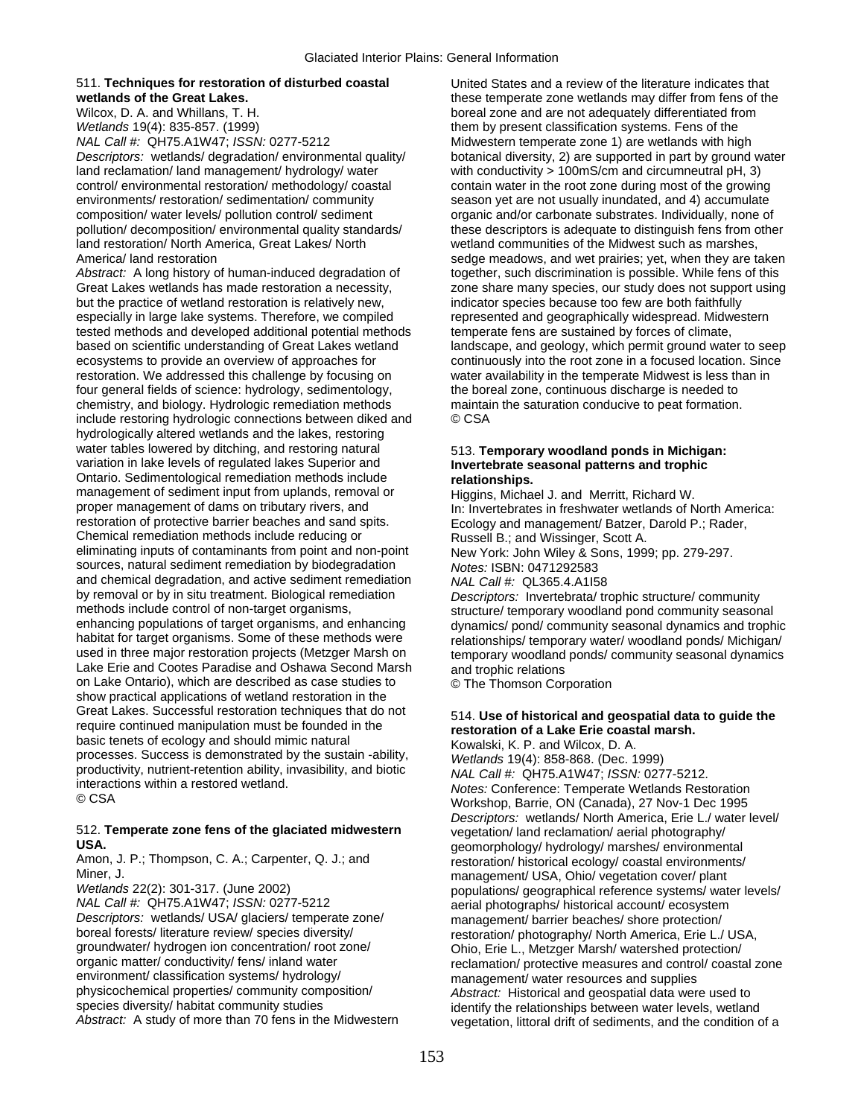# 511. **Techniques for restoration of disturbed coastal wetlands of the Great Lakes.**

Wilcox, D. A. and Whillans, T. H. *Wetlands* 19(4): 835-857. (1999) *NAL Call #:* QH75.A1W47; *ISSN:* 0277-5212

*Descriptors:* wetlands/ degradation/ environmental quality/ land reclamation/ land management/ hydrology/ water control/ environmental restoration/ methodology/ coastal environments/ restoration/ sedimentation/ community composition/ water levels/ pollution control/ sediment pollution/ decomposition/ environmental quality standards/ land restoration/ North America, Great Lakes/ North America/ land restoration

*Abstract:* A long history of human-induced degradation of Great Lakes wetlands has made restoration a necessity, but the practice of wetland restoration is relatively new, especially in large lake systems. Therefore, we compiled tested methods and developed additional potential methods based on scientific understanding of Great Lakes wetland ecosystems to provide an overview of approaches for restoration. We addressed this challenge by focusing on four general fields of science: hydrology, sedimentology, chemistry, and biology. Hydrologic remediation methods include restoring hydrologic connections between diked and hydrologically altered wetlands and the lakes, restoring water tables lowered by ditching, and restoring natural variation in lake levels of regulated lakes Superior and Ontario. Sedimentological remediation methods include management of sediment input from uplands, removal or proper management of dams on tributary rivers, and restoration of protective barrier beaches and sand spits. Chemical remediation methods include reducing or eliminating inputs of contaminants from point and non-point sources, natural sediment remediation by biodegradation and chemical degradation, and active sediment remediation by removal or by in situ treatment. Biological remediation methods include control of non-target organisms, enhancing populations of target organisms, and enhancing habitat for target organisms. Some of these methods were used in three major restoration projects (Metzger Marsh on Lake Erie and Cootes Paradise and Oshawa Second Marsh on Lake Ontario), which are described as case studies to show practical applications of wetland restoration in the Great Lakes. Successful restoration techniques that do not require continued manipulation must be founded in the basic tenets of ecology and should mimic natural processes. Success is demonstrated by the sustain -ability, productivity, nutrient-retention ability, invasibility, and biotic interactions within a restored wetland. © CSA

# 512. **Temperate zone fens of the glaciated midwestern USA.**

Amon, J. P.; Thompson, C. A.; Carpenter, Q. J.; and Miner, J.

*Wetlands* 22(2): 301-317. (June 2002) *NAL Call #:* QH75.A1W47; *ISSN:* 0277-5212 *Descriptors:* wetlands/ USA/ glaciers/ temperate zone/ boreal forests/ literature review/ species diversity/ groundwater/ hydrogen ion concentration/ root zone/ organic matter/ conductivity/ fens/ inland water environment/ classification systems/ hydrology/ physicochemical properties/ community composition/ species diversity/ habitat community studies *Abstract:* A study of more than 70 fens in the Midwestern

United States and a review of the literature indicates that these temperate zone wetlands may differ from fens of the boreal zone and are not adequately differentiated from them by present classification systems. Fens of the Midwestern temperate zone 1) are wetlands with high botanical diversity, 2) are supported in part by ground water with conductivity > 100mS/cm and circumneutral pH, 3) contain water in the root zone during most of the growing season yet are not usually inundated, and 4) accumulate organic and/or carbonate substrates. Individually, none of these descriptors is adequate to distinguish fens from other wetland communities of the Midwest such as marshes, sedge meadows, and wet prairies; yet, when they are taken together, such discrimination is possible. While fens of this zone share many species, our study does not support using indicator species because too few are both faithfully represented and geographically widespread. Midwestern temperate fens are sustained by forces of climate, landscape, and geology, which permit ground water to seep continuously into the root zone in a focused location. Since water availability in the temperate Midwest is less than in the boreal zone, continuous discharge is needed to maintain the saturation conducive to peat formation. © CSA

#### 513. **Temporary woodland ponds in Michigan: Invertebrate seasonal patterns and trophic relationships.**

Higgins, Michael J. and Merritt, Richard W. In: Invertebrates in freshwater wetlands of North America: Ecology and management/ Batzer, Darold P.; Rader, Russell B.; and Wissinger, Scott A. New York: John Wiley & Sons, 1999; pp. 279-297. *Notes:* ISBN: 0471292583 *NAL Call #:* QL365.4.A1I58

*Descriptors:* Invertebrata/ trophic structure/ community structure/ temporary woodland pond community seasonal dynamics/ pond/ community seasonal dynamics and trophic relationships/ temporary water/ woodland ponds/ Michigan/ temporary woodland ponds/ community seasonal dynamics and trophic relations

© The Thomson Corporation

# 514. **Use of historical and geospatial data to guide the restoration of a Lake Erie coastal marsh.**

Kowalski, K. P. and Wilcox, D. A. *Wetlands* 19(4): 858-868. (Dec. 1999) *NAL Call #:* QH75.A1W47; *ISSN:* 0277-5212. *Notes:* Conference: Temperate Wetlands Restoration Workshop, Barrie, ON (Canada), 27 Nov-1 Dec 1995 *Descriptors:* wetlands/ North America, Erie L./ water level/ vegetation/ land reclamation/ aerial photography/ geomorphology/ hydrology/ marshes/ environmental restoration/ historical ecology/ coastal environments/ management/ USA, Ohio/ vegetation cover/ plant populations/ geographical reference systems/ water levels/ aerial photographs/ historical account/ ecosystem management/ barrier beaches/ shore protection/ restoration/ photography/ North America, Erie L./ USA, Ohio, Erie L., Metzger Marsh/ watershed protection/ reclamation/ protective measures and control/ coastal zone management/ water resources and supplies *Abstract:* Historical and geospatial data were used to identify the relationships between water levels, wetland vegetation, littoral drift of sediments, and the condition of a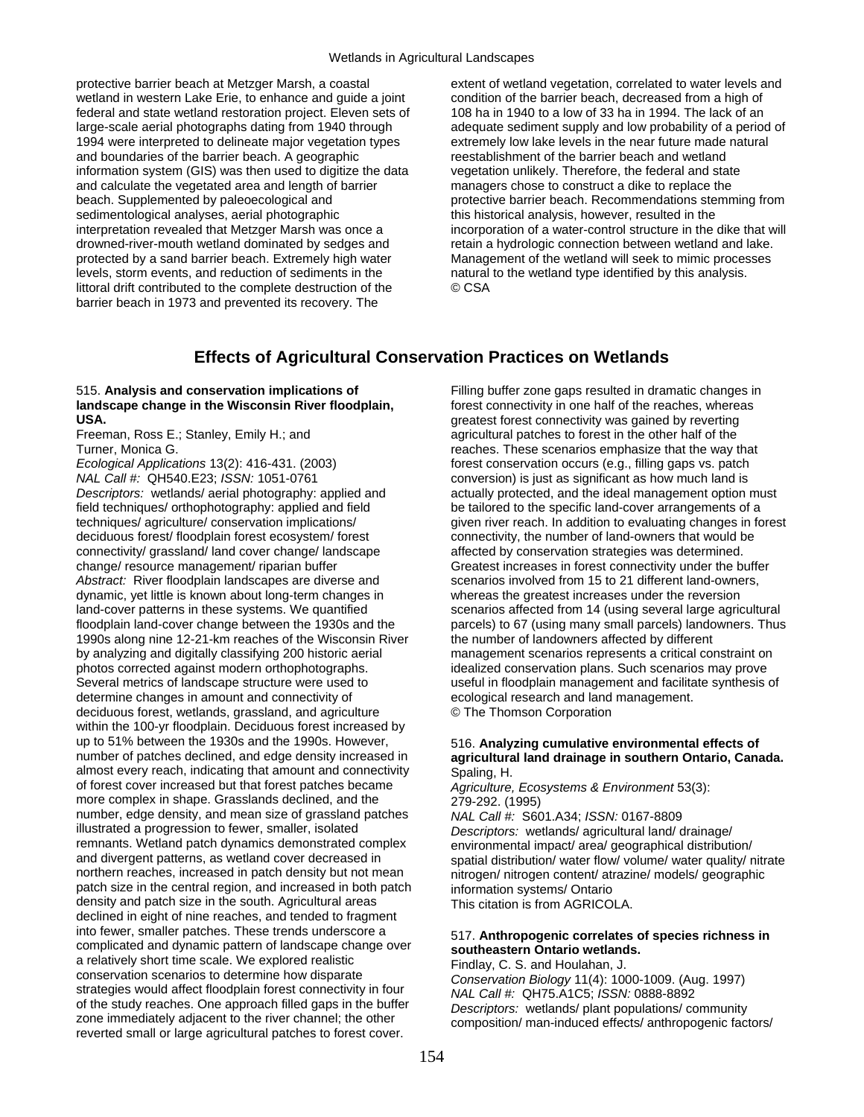protective barrier beach at Metzger Marsh, a coastal wetland in western Lake Erie, to enhance and guide a joint federal and state wetland restoration project. Eleven sets of large-scale aerial photographs dating from 1940 through 1994 were interpreted to delineate major vegetation types and boundaries of the barrier beach. A geographic information system (GIS) was then used to digitize the data and calculate the vegetated area and length of barrier beach. Supplemented by paleoecological and sedimentological analyses, aerial photographic interpretation revealed that Metzger Marsh was once a drowned-river-mouth wetland dominated by sedges and protected by a sand barrier beach. Extremely high water levels, storm events, and reduction of sediments in the littoral drift contributed to the complete destruction of the barrier beach in 1973 and prevented its recovery. The

extent of wetland vegetation, correlated to water levels and condition of the barrier beach, decreased from a high of 108 ha in 1940 to a low of 33 ha in 1994. The lack of an adequate sediment supply and low probability of a period of extremely low lake levels in the near future made natural reestablishment of the barrier beach and wetland vegetation unlikely. Therefore, the federal and state managers chose to construct a dike to replace the protective barrier beach. Recommendations stemming from this historical analysis, however, resulted in the incorporation of a water-control structure in the dike that will retain a hydrologic connection between wetland and lake. Management of the wetland will seek to mimic processes natural to the wetland type identified by this analysis. © CSA

# **Effects of Agricultural Conservation Practices on Wetlands**

### 515. **Analysis and conservation implications of landscape change in the Wisconsin River floodplain, USA.**

Freeman, Ross E.; Stanley, Emily H.; and Turner, Monica G.

*Ecological Applications* 13(2): 416-431. (2003) *NAL Call #:* QH540.E23; *ISSN:* 1051-0761 *Descriptors:* wetlands/ aerial photography: applied and field techniques/ orthophotography: applied and field techniques/ agriculture/ conservation implications/ deciduous forest/ floodplain forest ecosystem/ forest connectivity/ grassland/ land cover change/ landscape change/ resource management/ riparian buffer *Abstract:* River floodplain landscapes are diverse and dynamic, yet little is known about long-term changes in land-cover patterns in these systems. We quantified floodplain land-cover change between the 1930s and the 1990s along nine 12-21-km reaches of the Wisconsin River by analyzing and digitally classifying 200 historic aerial photos corrected against modern orthophotographs. Several metrics of landscape structure were used to determine changes in amount and connectivity of deciduous forest, wetlands, grassland, and agriculture within the 100-yr floodplain. Deciduous forest increased by up to 51% between the 1930s and the 1990s. However, number of patches declined, and edge density increased in almost every reach, indicating that amount and connectivity of forest cover increased but that forest patches became more complex in shape. Grasslands declined, and the number, edge density, and mean size of grassland patches illustrated a progression to fewer, smaller, isolated remnants. Wetland patch dynamics demonstrated complex and divergent patterns, as wetland cover decreased in northern reaches, increased in patch density but not mean patch size in the central region, and increased in both patch density and patch size in the south. Agricultural areas declined in eight of nine reaches, and tended to fragment into fewer, smaller patches. These trends underscore a complicated and dynamic pattern of landscape change over a relatively short time scale. We explored realistic conservation scenarios to determine how disparate strategies would affect floodplain forest connectivity in four of the study reaches. One approach filled gaps in the buffer zone immediately adjacent to the river channel; the other reverted small or large agricultural patches to forest cover.

Filling buffer zone gaps resulted in dramatic changes in forest connectivity in one half of the reaches, whereas greatest forest connectivity was gained by reverting agricultural patches to forest in the other half of the reaches. These scenarios emphasize that the way that forest conservation occurs (e.g., filling gaps vs. patch conversion) is just as significant as how much land is actually protected, and the ideal management option must be tailored to the specific land-cover arrangements of a given river reach. In addition to evaluating changes in forest connectivity, the number of land-owners that would be affected by conservation strategies was determined. Greatest increases in forest connectivity under the buffer scenarios involved from 15 to 21 different land-owners, whereas the greatest increases under the reversion scenarios affected from 14 (using several large agricultural parcels) to 67 (using many small parcels) landowners. Thus the number of landowners affected by different management scenarios represents a critical constraint on idealized conservation plans. Such scenarios may prove useful in floodplain management and facilitate synthesis of ecological research and land management. © The Thomson Corporation

### 516. **Analyzing cumulative environmental effects of agricultural land drainage in southern Ontario, Canada.**  Spaling, H.

*Agriculture, Ecosystems & Environment* 53(3): 279-292. (1995)

*NAL Call #:* S601.A34; *ISSN:* 0167-8809 *Descriptors:* wetlands/ agricultural land/ drainage/ environmental impact/ area/ geographical distribution/ spatial distribution/ water flow/ volume/ water quality/ nitrate nitrogen/ nitrogen content/ atrazine/ models/ geographic information systems/ Ontario This citation is from AGRICOLA.

# 517. **Anthropogenic correlates of species richness in southeastern Ontario wetlands.**

Findlay, C. S. and Houlahan, J. *Conservation Biology* 11(4): 1000-1009. (Aug. 1997) *NAL Call #:* QH75.A1C5; *ISSN:* 0888-8892 *Descriptors:* wetlands/ plant populations/ community composition/ man-induced effects/ anthropogenic factors/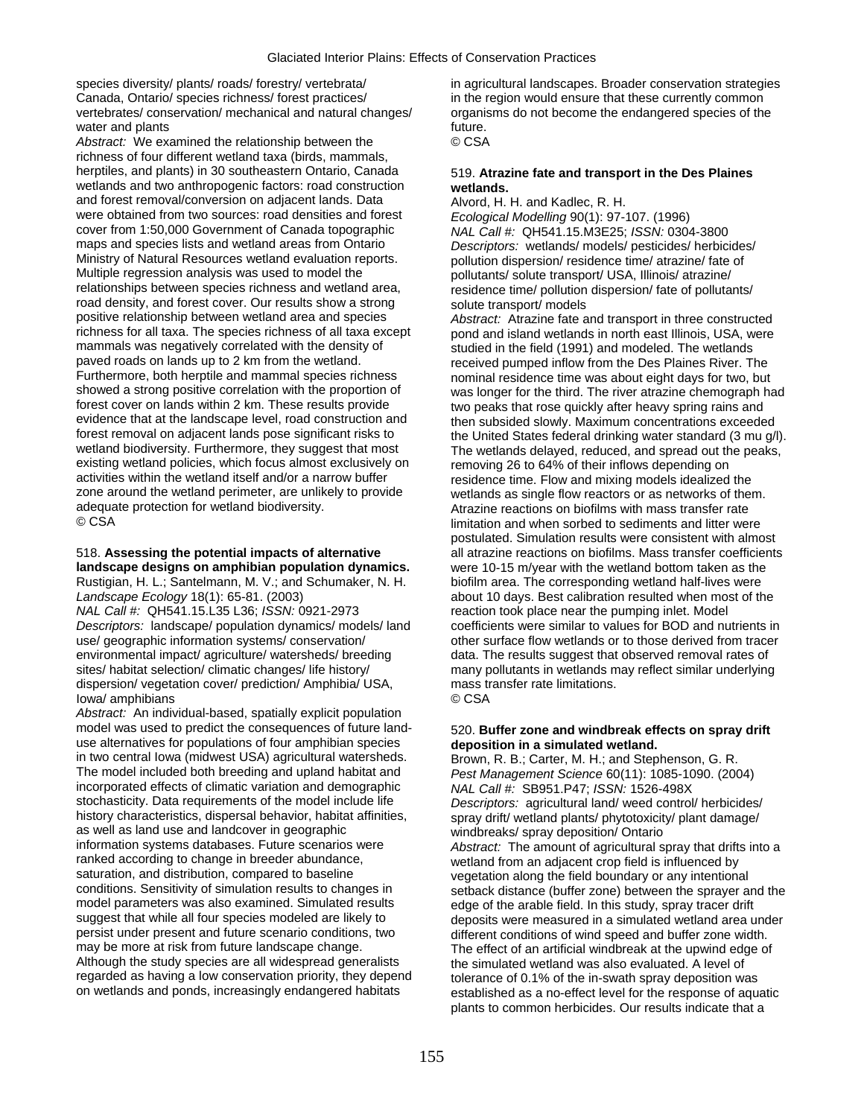species diversity/ plants/ roads/ forestry/ vertebrata/ Canada, Ontario/ species richness/ forest practices/ vertebrates/ conservation/ mechanical and natural changes/ water and plants

*Abstract:* We examined the relationship between the richness of four different wetland taxa (birds, mammals, herptiles, and plants) in 30 southeastern Ontario, Canada wetlands and two anthropogenic factors: road construction and forest removal/conversion on adjacent lands. Data were obtained from two sources: road densities and forest cover from 1:50,000 Government of Canada topographic maps and species lists and wetland areas from Ontario Ministry of Natural Resources wetland evaluation reports. Multiple regression analysis was used to model the relationships between species richness and wetland area, road density, and forest cover. Our results show a strong positive relationship between wetland area and species richness for all taxa. The species richness of all taxa except mammals was negatively correlated with the density of paved roads on lands up to 2 km from the wetland. Furthermore, both herptile and mammal species richness showed a strong positive correlation with the proportion of forest cover on lands within 2 km. These results provide evidence that at the landscape level, road construction and forest removal on adjacent lands pose significant risks to wetland biodiversity. Furthermore, they suggest that most existing wetland policies, which focus almost exclusively on activities within the wetland itself and/or a narrow buffer zone around the wetland perimeter, are unlikely to provide adequate protection for wetland biodiversity. © CSA

# 518. **Assessing the potential impacts of alternative landscape designs on amphibian population dynamics.**

Rustigian, H. L.; Santelmann, M. V.; and Schumaker, N. H. *Landscape Ecology* 18(1): 65-81. (2003) *NAL Call #:* QH541.15.L35 L36; *ISSN:* 0921-2973 *Descriptors:* landscape/ population dynamics/ models/ land use/ geographic information systems/ conservation/ environmental impact/ agriculture/ watersheds/ breeding sites/ habitat selection/ climatic changes/ life history/ dispersion/ vegetation cover/ prediction/ Amphibia/ USA,

Iowa/ amphibians *Abstract:* An individual-based, spatially explicit population model was used to predict the consequences of future landuse alternatives for populations of four amphibian species in two central Iowa (midwest USA) agricultural watersheds. The model included both breeding and upland habitat and incorporated effects of climatic variation and demographic stochasticity. Data requirements of the model include life history characteristics, dispersal behavior, habitat affinities, as well as land use and landcover in geographic information systems databases. Future scenarios were ranked according to change in breeder abundance, saturation, and distribution, compared to baseline conditions. Sensitivity of simulation results to changes in model parameters was also examined. Simulated results suggest that while all four species modeled are likely to persist under present and future scenario conditions, two may be more at risk from future landscape change. Although the study species are all widespread generalists

regarded as having a low conservation priority, they depend on wetlands and ponds, increasingly endangered habitats

in agricultural landscapes. Broader conservation strategies in the region would ensure that these currently common organisms do not become the endangered species of the future. © CSA

# 519. **Atrazine fate and transport in the Des Plaines wetlands.**

Alvord, H. H. and Kadlec, R. H. *Ecological Modelling* 90(1): 97-107. (1996) *NAL Call #:* QH541.15.M3E25; *ISSN:* 0304-3800 *Descriptors:* wetlands/ models/ pesticides/ herbicides/ pollution dispersion/ residence time/ atrazine/ fate of pollutants/ solute transport/ USA, Illinois/ atrazine/ residence time/ pollution dispersion/ fate of pollutants/ solute transport/ models

*Abstract:* Atrazine fate and transport in three constructed pond and island wetlands in north east Illinois, USA, were studied in the field (1991) and modeled. The wetlands received pumped inflow from the Des Plaines River. The nominal residence time was about eight days for two, but was longer for the third. The river atrazine chemograph had two peaks that rose quickly after heavy spring rains and then subsided slowly. Maximum concentrations exceeded the United States federal drinking water standard (3 mu g/l). The wetlands delayed, reduced, and spread out the peaks, removing 26 to 64% of their inflows depending on residence time. Flow and mixing models idealized the wetlands as single flow reactors or as networks of them. Atrazine reactions on biofilms with mass transfer rate limitation and when sorbed to sediments and litter were postulated. Simulation results were consistent with almost all atrazine reactions on biofilms. Mass transfer coefficients were 10-15 m/year with the wetland bottom taken as the biofilm area. The corresponding wetland half-lives were about 10 days. Best calibration resulted when most of the reaction took place near the pumping inlet. Model coefficients were similar to values for BOD and nutrients in other surface flow wetlands or to those derived from tracer data. The results suggest that observed removal rates of many pollutants in wetlands may reflect similar underlying mass transfer rate limitations. © CSA

#### 520. **Buffer zone and windbreak effects on spray drift deposition in a simulated wetland.**

Brown, R. B.; Carter, M. H.; and Stephenson, G. R. *Pest Management Science* 60(11): 1085-1090. (2004) *NAL Call #:* SB951.P47; *ISSN:* 1526-498X *Descriptors:* agricultural land/ weed control/ herbicides/ spray drift/ wetland plants/ phytotoxicity/ plant damage/ windbreaks/ spray deposition/ Ontario

*Abstract:* The amount of agricultural spray that drifts into a wetland from an adjacent crop field is influenced by vegetation along the field boundary or any intentional setback distance (buffer zone) between the sprayer and the edge of the arable field. In this study, spray tracer drift deposits were measured in a simulated wetland area under different conditions of wind speed and buffer zone width. The effect of an artificial windbreak at the upwind edge of the simulated wetland was also evaluated. A level of tolerance of 0.1% of the in-swath spray deposition was established as a no-effect level for the response of aquatic plants to common herbicides. Our results indicate that a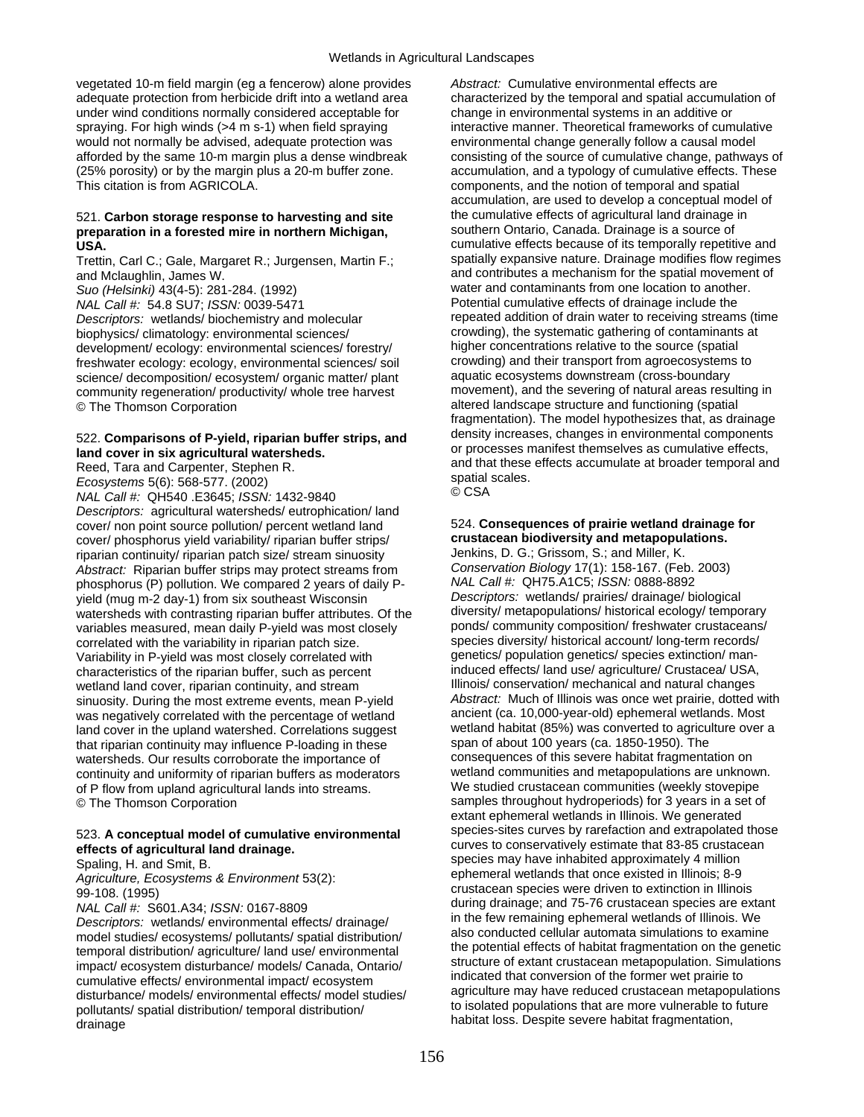vegetated 10-m field margin (eg a fencerow) alone provides adequate protection from herbicide drift into a wetland area under wind conditions normally considered acceptable for spraying. For high winds (>4 m s-1) when field spraying would not normally be advised, adequate protection was afforded by the same 10-m margin plus a dense windbreak (25% porosity) or by the margin plus a 20-m buffer zone. This citation is from AGRICOLA.

# 521. **Carbon storage response to harvesting and site preparation in a forested mire in northern Michigan, USA.**

Trettin, Carl C.; Gale, Margaret R.; Jurgensen, Martin F.; and Mclaughlin, James W. *Suo (Helsinki)* 43(4-5): 281-284. (1992) *NAL Call #:* 54.8 SU7; *ISSN:* 0039-5471 *Descriptors:* wetlands/ biochemistry and molecular biophysics/ climatology: environmental sciences/ development/ ecology: environmental sciences/ forestry/ freshwater ecology: ecology, environmental sciences/ soil science/ decomposition/ ecosystem/ organic matter/ plant community regeneration/ productivity/ whole tree harvest © The Thomson Corporation

# 522. **Comparisons of P-yield, riparian buffer strips, and land cover in six agricultural watersheds.**

Reed, Tara and Carpenter, Stephen R.

*Ecosystems* 5(6): 568-577. (2002)

*NAL Call #:* QH540 .E3645; *ISSN:* 1432-9840 *Descriptors:* agricultural watersheds/ eutrophication/ land cover/ non point source pollution/ percent wetland land cover/ phosphorus yield variability/ riparian buffer strips/ riparian continuity/ riparian patch size/ stream sinuosity *Abstract:* Riparian buffer strips may protect streams from phosphorus (P) pollution. We compared 2 years of daily Pyield (mug m-2 day-1) from six southeast Wisconsin watersheds with contrasting riparian buffer attributes. Of the variables measured, mean daily P-yield was most closely correlated with the variability in riparian patch size. Variability in P-yield was most closely correlated with characteristics of the riparian buffer, such as percent wetland land cover, riparian continuity, and stream sinuosity. During the most extreme events, mean P-yield was negatively correlated with the percentage of wetland land cover in the upland watershed. Correlations suggest that riparian continuity may influence P-loading in these watersheds. Our results corroborate the importance of continuity and uniformity of riparian buffers as moderators of P flow from upland agricultural lands into streams. © The Thomson Corporation

# 523. **A conceptual model of cumulative environmental effects of agricultural land drainage.**

Spaling, H. and Smit, B.

*Agriculture, Ecosystems & Environment* 53(2): 99-108. (1995)

*NAL Call #:* S601.A34; *ISSN:* 0167-8809

*Descriptors:* wetlands/ environmental effects/ drainage/ model studies/ ecosystems/ pollutants/ spatial distribution/ temporal distribution/ agriculture/ land use/ environmental impact/ ecosystem disturbance/ models/ Canada, Ontario/ cumulative effects/ environmental impact/ ecosystem disturbance/ models/ environmental effects/ model studies/ pollutants/ spatial distribution/ temporal distribution/ drainage

*Abstract:* Cumulative environmental effects are characterized by the temporal and spatial accumulation of change in environmental systems in an additive or interactive manner. Theoretical frameworks of cumulative environmental change generally follow a causal model consisting of the source of cumulative change, pathways of accumulation, and a typology of cumulative effects. These components, and the notion of temporal and spatial accumulation, are used to develop a conceptual model of the cumulative effects of agricultural land drainage in southern Ontario, Canada. Drainage is a source of cumulative effects because of its temporally repetitive and spatially expansive nature. Drainage modifies flow regimes and contributes a mechanism for the spatial movement of water and contaminants from one location to another. Potential cumulative effects of drainage include the repeated addition of drain water to receiving streams (time crowding), the systematic gathering of contaminants at higher concentrations relative to the source (spatial crowding) and their transport from agroecosystems to aquatic ecosystems downstream (cross-boundary movement), and the severing of natural areas resulting in altered landscape structure and functioning (spatial fragmentation). The model hypothesizes that, as drainage density increases, changes in environmental components or processes manifest themselves as cumulative effects, and that these effects accumulate at broader temporal and spatial scales.

© CSA

# 524. **Consequences of prairie wetland drainage for crustacean biodiversity and metapopulations.**

Jenkins, D. G.; Grissom, S.; and Miller, K. *Conservation Biology* 17(1): 158-167. (Feb. 2003) *NAL Call #:* QH75.A1C5; *ISSN:* 0888-8892 *Descriptors:* wetlands/ prairies/ drainage/ biological diversity/ metapopulations/ historical ecology/ temporary ponds/ community composition/ freshwater crustaceans/ species diversity/ historical account/ long-term records/ genetics/ population genetics/ species extinction/ maninduced effects/ land use/ agriculture/ Crustacea/ USA, Illinois/ conservation/ mechanical and natural changes *Abstract:* Much of Illinois was once wet prairie, dotted with ancient (ca. 10,000-year-old) ephemeral wetlands. Most wetland habitat (85%) was converted to agriculture over a span of about 100 years (ca. 1850-1950). The consequences of this severe habitat fragmentation on wetland communities and metapopulations are unknown. We studied crustacean communities (weekly stovepipe samples throughout hydroperiods) for 3 years in a set of extant ephemeral wetlands in Illinois. We generated species-sites curves by rarefaction and extrapolated those curves to conservatively estimate that 83-85 crustacean species may have inhabited approximately 4 million ephemeral wetlands that once existed in Illinois; 8-9 crustacean species were driven to extinction in Illinois during drainage; and 75-76 crustacean species are extant in the few remaining ephemeral wetlands of Illinois. We also conducted cellular automata simulations to examine the potential effects of habitat fragmentation on the genetic structure of extant crustacean metapopulation. Simulations indicated that conversion of the former wet prairie to agriculture may have reduced crustacean metapopulations to isolated populations that are more vulnerable to future habitat loss. Despite severe habitat fragmentation,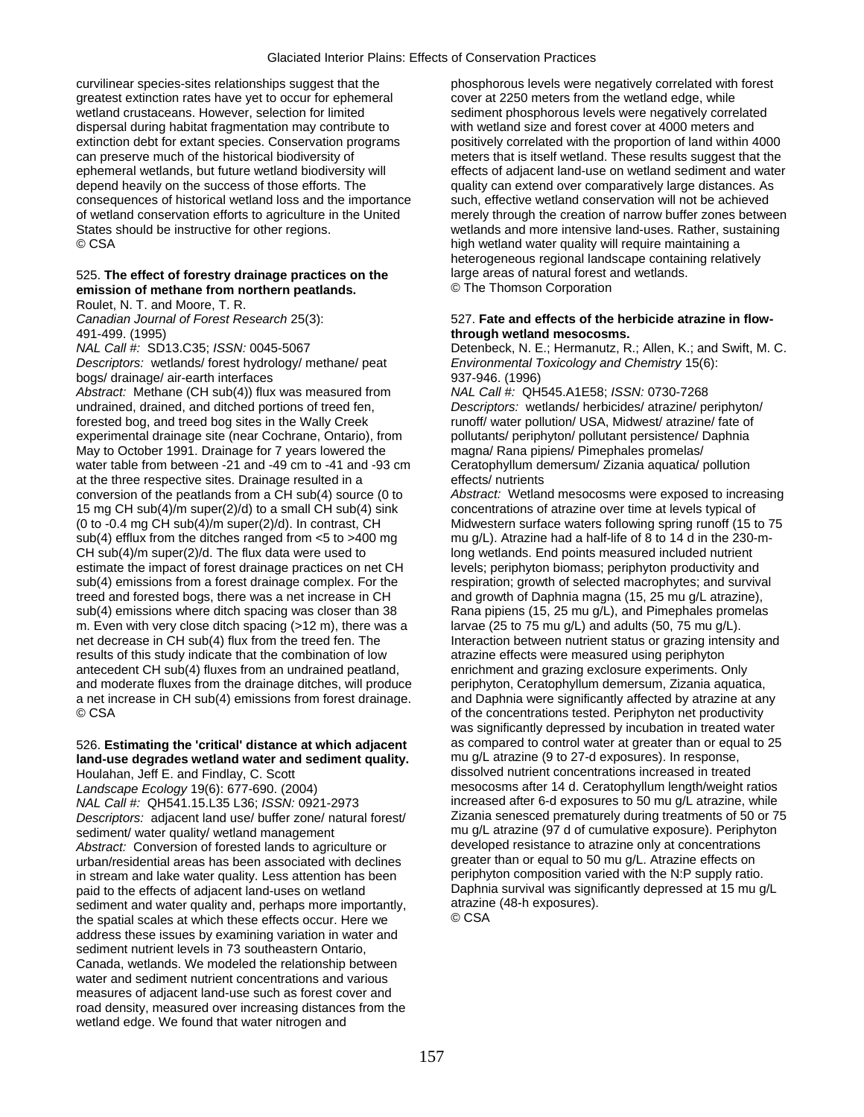curvilinear species-sites relationships suggest that the greatest extinction rates have yet to occur for ephemeral wetland crustaceans. However, selection for limited dispersal during habitat fragmentation may contribute to extinction debt for extant species. Conservation programs can preserve much of the historical biodiversity of ephemeral wetlands, but future wetland biodiversity will depend heavily on the success of those efforts. The consequences of historical wetland loss and the importance of wetland conservation efforts to agriculture in the United States should be instructive for other regions. © CSA

# 525. **The effect of forestry drainage practices on the emission of methane from northern peatlands.**

Roulet, N. T. and Moore, T. R.

*Canadian Journal of Forest Research* 25(3): 491-499. (1995)

*NAL Call #:* SD13.C35; *ISSN:* 0045-5067 *Descriptors:* wetlands/ forest hydrology/ methane/ peat bogs/ drainage/ air-earth interfaces *Abstract:* Methane (CH sub(4)) flux was measured from undrained, drained, and ditched portions of treed fen, forested bog, and treed bog sites in the Wally Creek experimental drainage site (near Cochrane, Ontario), from May to October 1991. Drainage for 7 years lowered the water table from between -21 and -49 cm to -41 and -93 cm at the three respective sites. Drainage resulted in a conversion of the peatlands from a CH sub(4) source (0 to 15 mg CH sub(4)/m super(2)/d) to a small CH sub(4) sink (0 to -0.4 mg CH sub(4)/m super(2)/d). In contrast, CH sub(4) efflux from the ditches ranged from  $<$  5 to  $>$ 400 mg CH sub(4)/m super(2)/d. The flux data were used to estimate the impact of forest drainage practices on net CH sub(4) emissions from a forest drainage complex. For the treed and forested bogs, there was a net increase in CH sub(4) emissions where ditch spacing was closer than 38 m. Even with very close ditch spacing (>12 m), there was a net decrease in CH sub(4) flux from the treed fen. The results of this study indicate that the combination of low antecedent CH sub(4) fluxes from an undrained peatland, and moderate fluxes from the drainage ditches, will produce a net increase in CH sub(4) emissions from forest drainage. © CSA

#### 526. **Estimating the 'critical' distance at which adjacent land-use degrades wetland water and sediment quality.**  Houlahan, Jeff E. and Findlay, C. Scott

*Landscape Ecology* 19(6): 677-690. (2004) *NAL Call #:* QH541.15.L35 L36; *ISSN:* 0921-2973 *Descriptors:* adjacent land use/ buffer zone/ natural forest/ sediment/ water quality/ wetland management *Abstract:* Conversion of forested lands to agriculture or urban/residential areas has been associated with declines in stream and lake water quality. Less attention has been paid to the effects of adjacent land-uses on wetland sediment and water quality and, perhaps more importantly, the spatial scales at which these effects occur. Here we address these issues by examining variation in water and sediment nutrient levels in 73 southeastern Ontario, Canada, wetlands. We modeled the relationship between water and sediment nutrient concentrations and various measures of adjacent land-use such as forest cover and road density, measured over increasing distances from the wetland edge. We found that water nitrogen and

phosphorous levels were negatively correlated with forest cover at 2250 meters from the wetland edge, while sediment phosphorous levels were negatively correlated with wetland size and forest cover at 4000 meters and positively correlated with the proportion of land within 4000 meters that is itself wetland. These results suggest that the effects of adjacent land-use on wetland sediment and water quality can extend over comparatively large distances. As such, effective wetland conservation will not be achieved merely through the creation of narrow buffer zones between wetlands and more intensive land-uses. Rather, sustaining high wetland water quality will require maintaining a heterogeneous regional landscape containing relatively large areas of natural forest and wetlands. © The Thomson Corporation

#### 527. **Fate and effects of the herbicide atrazine in flowthrough wetland mesocosms.**

Detenbeck, N. E.; Hermanutz, R.; Allen, K.; and Swift, M. C. *Environmental Toxicology and Chemistry* 15(6): 937-946. (1996)

*NAL Call #:* QH545.A1E58; *ISSN:* 0730-7268 *Descriptors:* wetlands/ herbicides/ atrazine/ periphyton/ runoff/ water pollution/ USA, Midwest/ atrazine/ fate of pollutants/ periphyton/ pollutant persistence/ Daphnia magna/ Rana pipiens/ Pimephales promelas/ Ceratophyllum demersum/ Zizania aquatica/ pollution effects/ nutrients

*Abstract:* Wetland mesocosms were exposed to increasing concentrations of atrazine over time at levels typical of Midwestern surface waters following spring runoff (15 to 75 mu g/L). Atrazine had a half-life of 8 to 14 d in the 230-mlong wetlands. End points measured included nutrient levels; periphyton biomass; periphyton productivity and respiration; growth of selected macrophytes; and survival and growth of Daphnia magna (15, 25 mu g/L atrazine), Rana pipiens (15, 25 mu g/L), and Pimephales promelas larvae (25 to 75 mu g/L) and adults (50, 75 mu g/L). Interaction between nutrient status or grazing intensity and atrazine effects were measured using periphyton enrichment and grazing exclosure experiments. Only periphyton, Ceratophyllum demersum, Zizania aquatica, and Daphnia were significantly affected by atrazine at any of the concentrations tested. Periphyton net productivity was significantly depressed by incubation in treated water as compared to control water at greater than or equal to 25 mu g/L atrazine (9 to 27-d exposures). In response, dissolved nutrient concentrations increased in treated mesocosms after 14 d. Ceratophyllum length/weight ratios increased after 6-d exposures to 50 mu g/L atrazine, while Zizania senesced prematurely during treatments of 50 or 75 mu g/L atrazine (97 d of cumulative exposure). Periphyton developed resistance to atrazine only at concentrations greater than or equal to 50 mu g/L. Atrazine effects on periphyton composition varied with the N:P supply ratio. Daphnia survival was significantly depressed at 15 mu g/L atrazine (48-h exposures). © CSA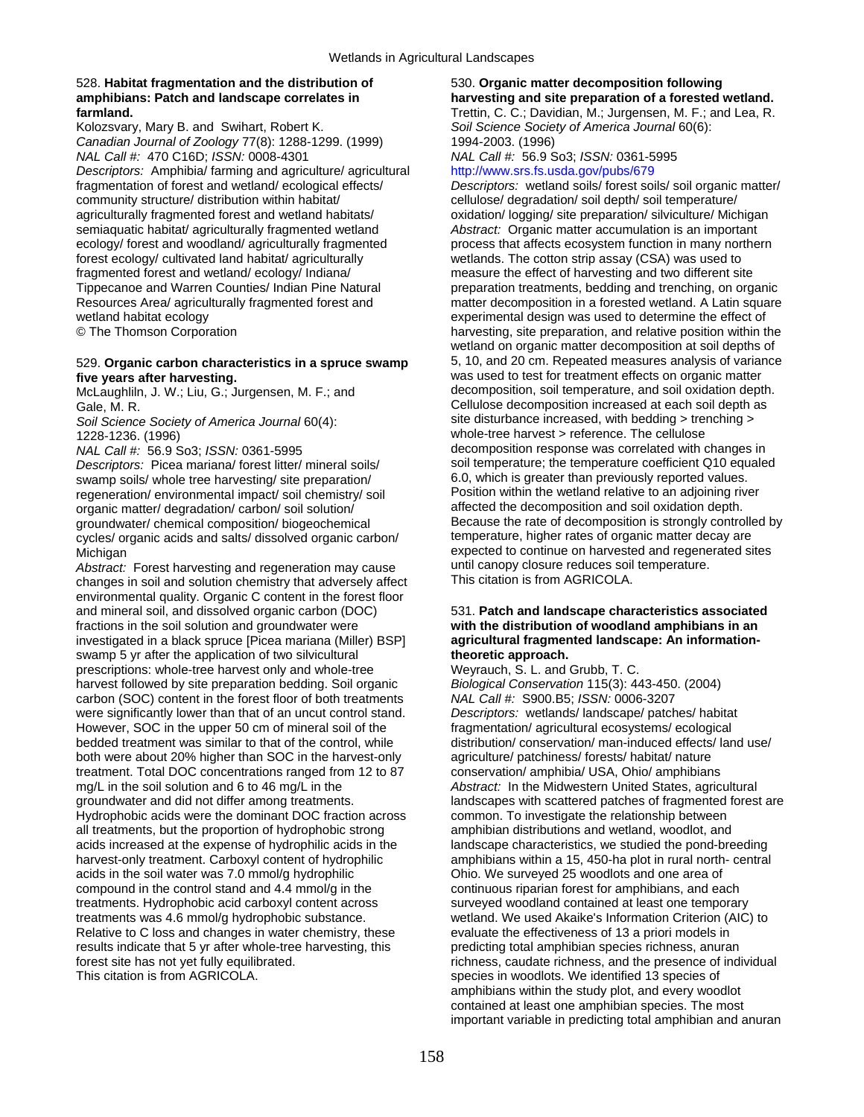#### 528. **Habitat fragmentation and the distribution of amphibians: Patch and landscape correlates in farmland.**

Kolozsvary, Mary B. and Swihart, Robert K. *Canadian Journal of Zoology* 77(8): 1288-1299. (1999) *NAL Call #:* 470 C16D; *ISSN:* 0008-4301 *Descriptors:* Amphibia/ farming and agriculture/ agricultural fragmentation of forest and wetland/ ecological effects/ community structure/ distribution within habitat/ agriculturally fragmented forest and wetland habitats/ semiaquatic habitat/ agriculturally fragmented wetland ecology/ forest and woodland/ agriculturally fragmented forest ecology/ cultivated land habitat/ agriculturally fragmented forest and wetland/ ecology/ Indiana/ Tippecanoe and Warren Counties/ Indian Pine Natural Resources Area/ agriculturally fragmented forest and wetland habitat ecology

© The Thomson Corporation

### 529. **Organic carbon characteristics in a spruce swamp five years after harvesting.**

McLaughliln, J. W.; Liu, G.; Jurgensen, M. F.; and Gale, M. R.

*Soil Science Society of America Journal* 60(4): 1228-1236. (1996)

*NAL Call #:* 56.9 So3; *ISSN:* 0361-5995 *Descriptors:* Picea mariana/ forest litter/ mineral soils/ swamp soils/ whole tree harvesting/ site preparation/ regeneration/ environmental impact/ soil chemistry/ soil organic matter/ degradation/ carbon/ soil solution/ groundwater/ chemical composition/ biogeochemical cycles/ organic acids and salts/ dissolved organic carbon/ Michigan

*Abstract:* Forest harvesting and regeneration may cause changes in soil and solution chemistry that adversely affect environmental quality. Organic C content in the forest floor and mineral soil, and dissolved organic carbon (DOC) fractions in the soil solution and groundwater were investigated in a black spruce [Picea mariana (Miller) BSP] swamp 5 yr after the application of two silvicultural prescriptions: whole-tree harvest only and whole-tree harvest followed by site preparation bedding. Soil organic carbon (SOC) content in the forest floor of both treatments were significantly lower than that of an uncut control stand. However, SOC in the upper 50 cm of mineral soil of the bedded treatment was similar to that of the control, while both were about 20% higher than SOC in the harvest-only treatment. Total DOC concentrations ranged from 12 to 87 mg/L in the soil solution and 6 to 46 mg/L in the groundwater and did not differ among treatments. Hydrophobic acids were the dominant DOC fraction across all treatments, but the proportion of hydrophobic strong acids increased at the expense of hydrophilic acids in the harvest-only treatment. Carboxyl content of hydrophilic acids in the soil water was 7.0 mmol/g hydrophilic compound in the control stand and 4.4 mmol/g in the treatments. Hydrophobic acid carboxyl content across treatments was 4.6 mmol/g hydrophobic substance. Relative to C loss and changes in water chemistry, these results indicate that 5 yr after whole-tree harvesting, this forest site has not yet fully equilibrated. This citation is from AGRICOLA.

# 530. **Organic matter decomposition following harvesting and site preparation of a forested wetland.**

Trettin, C. C.; Davidian, M.; Jurgensen, M. F.; and Lea, R. *Soil Science Society of America Journal* 60(6): 1994-2003. (1996)

### *NAL Call #:* 56.9 So3; *ISSN:* 0361-5995 <http://www.srs.fs.usda.gov/pubs/679>

*Descriptors:* wetland soils/ forest soils/ soil organic matter/ cellulose/ degradation/ soil depth/ soil temperature/ oxidation/ logging/ site preparation/ silviculture/ Michigan *Abstract:* Organic matter accumulation is an important process that affects ecosystem function in many northern wetlands. The cotton strip assay (CSA) was used to measure the effect of harvesting and two different site preparation treatments, bedding and trenching, on organic matter decomposition in a forested wetland. A Latin square experimental design was used to determine the effect of harvesting, site preparation, and relative position within the wetland on organic matter decomposition at soil depths of 5, 10, and 20 cm. Repeated measures analysis of variance was used to test for treatment effects on organic matter decomposition, soil temperature, and soil oxidation depth. Cellulose decomposition increased at each soil depth as site disturbance increased, with bedding > trenching > whole-tree harvest > reference. The cellulose decomposition response was correlated with changes in soil temperature; the temperature coefficient Q10 equaled 6.0, which is greater than previously reported values. Position within the wetland relative to an adjoining river affected the decomposition and soil oxidation depth. Because the rate of decomposition is strongly controlled by temperature, higher rates of organic matter decay are expected to continue on harvested and regenerated sites until canopy closure reduces soil temperature. This citation is from AGRICOLA.

#### 531. **Patch and landscape characteristics associated with the distribution of woodland amphibians in an agricultural fragmented landscape: An informationtheoretic approach.**

Weyrauch, S. L. and Grubb, T. C. *Biological Conservation* 115(3): 443-450. (2004) *NAL Call #:* S900.B5; *ISSN:* 0006-3207 *Descriptors:* wetlands/ landscape/ patches/ habitat fragmentation/ agricultural ecosystems/ ecological distribution/ conservation/ man-induced effects/ land use/ agriculture/ patchiness/ forests/ habitat/ nature conservation/ amphibia/ USA, Ohio/ amphibians *Abstract:* In the Midwestern United States, agricultural landscapes with scattered patches of fragmented forest are common. To investigate the relationship between amphibian distributions and wetland, woodlot, and landscape characteristics, we studied the pond-breeding amphibians within a 15, 450-ha plot in rural north- central Ohio. We surveyed 25 woodlots and one area of continuous riparian forest for amphibians, and each surveyed woodland contained at least one temporary wetland. We used Akaike's Information Criterion (AIC) to evaluate the effectiveness of 13 a priori models in predicting total amphibian species richness, anuran richness, caudate richness, and the presence of individual species in woodlots. We identified 13 species of amphibians within the study plot, and every woodlot contained at least one amphibian species. The most important variable in predicting total amphibian and anuran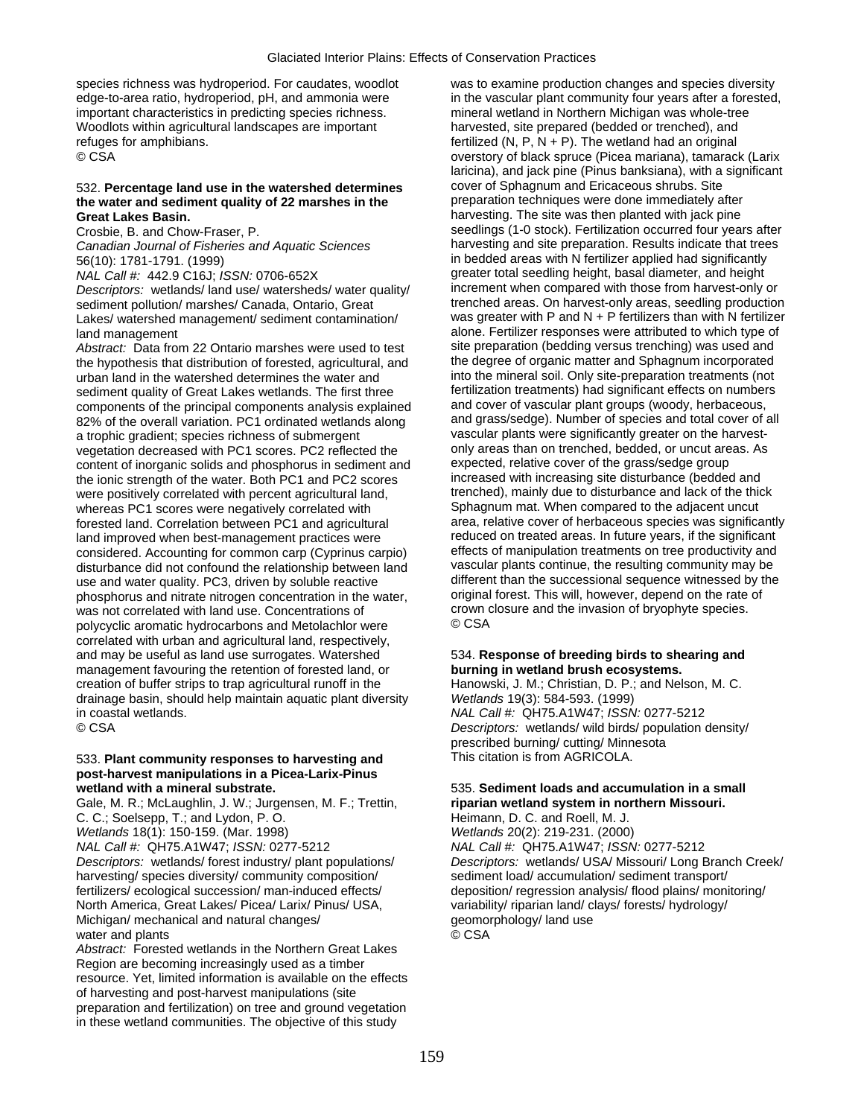species richness was hydroperiod. For caudates, woodlot edge-to-area ratio, hydroperiod, pH, and ammonia were important characteristics in predicting species richness. Woodlots within agricultural landscapes are important refuges for amphibians. © CSA

#### 532. **Percentage land use in the watershed determines the water and sediment quality of 22 marshes in the Great Lakes Basin.**

Crosbie, B. and Chow-Fraser, P. *Canadian Journal of Fisheries and Aquatic Sciences* 56(10): 1781-1791. (1999)

*NAL Call #:* 442.9 C16J; *ISSN:* 0706-652X *Descriptors:* wetlands/ land use/ watersheds/ water quality/ sediment pollution/ marshes/ Canada, Ontario, Great Lakes/ watershed management/ sediment contamination/ land management

*Abstract:* Data from 22 Ontario marshes were used to test the hypothesis that distribution of forested, agricultural, and urban land in the watershed determines the water and sediment quality of Great Lakes wetlands. The first three components of the principal components analysis explained 82% of the overall variation. PC1 ordinated wetlands along a trophic gradient; species richness of submergent vegetation decreased with PC1 scores. PC2 reflected the content of inorganic solids and phosphorus in sediment and the ionic strength of the water. Both PC1 and PC2 scores were positively correlated with percent agricultural land, whereas PC1 scores were negatively correlated with forested land. Correlation between PC1 and agricultural land improved when best-management practices were considered. Accounting for common carp (Cyprinus carpio) disturbance did not confound the relationship between land use and water quality. PC3, driven by soluble reactive phosphorus and nitrate nitrogen concentration in the water, was not correlated with land use. Concentrations of polycyclic aromatic hydrocarbons and Metolachlor were correlated with urban and agricultural land, respectively, and may be useful as land use surrogates. Watershed management favouring the retention of forested land, or creation of buffer strips to trap agricultural runoff in the drainage basin, should help maintain aquatic plant diversity in coastal wetlands. © CSA

### 533. **Plant community responses to harvesting and post-harvest manipulations in a Picea-Larix-Pinus wetland with a mineral substrate.**

Gale, M. R.; McLaughlin, J. W.; Jurgensen, M. F.; Trettin, C. C.; Soelsepp, T.; and Lydon, P. O. *Wetlands* 18(1): 150-159. (Mar. 1998) *NAL Call #:* QH75.A1W47; *ISSN:* 0277-5212 *Descriptors:* wetlands/ forest industry/ plant populations/ harvesting/ species diversity/ community composition/ fertilizers/ ecological succession/ man-induced effects/ North America, Great Lakes/ Picea/ Larix/ Pinus/ USA, Michigan/ mechanical and natural changes/ water and plants

*Abstract:* Forested wetlands in the Northern Great Lakes Region are becoming increasingly used as a timber resource. Yet, limited information is available on the effects of harvesting and post-harvest manipulations (site preparation and fertilization) on tree and ground vegetation in these wetland communities. The objective of this study

was to examine production changes and species diversity in the vascular plant community four years after a forested, mineral wetland in Northern Michigan was whole-tree harvested, site prepared (bedded or trenched), and fertilized (N, P,  $N + P$ ). The wetland had an original overstory of black spruce (Picea mariana), tamarack (Larix laricina), and jack pine (Pinus banksiana), with a significant cover of Sphagnum and Ericaceous shrubs. Site preparation techniques were done immediately after harvesting. The site was then planted with jack pine seedlings (1-0 stock). Fertilization occurred four years after harvesting and site preparation. Results indicate that trees in bedded areas with N fertilizer applied had significantly greater total seedling height, basal diameter, and height increment when compared with those from harvest-only or trenched areas. On harvest-only areas, seedling production was greater with P and  $N + P$  fertilizers than with N fertilizer alone. Fertilizer responses were attributed to which type of site preparation (bedding versus trenching) was used and the degree of organic matter and Sphagnum incorporated into the mineral soil. Only site-preparation treatments (not fertilization treatments) had significant effects on numbers and cover of vascular plant groups (woody, herbaceous, and grass/sedge). Number of species and total cover of all vascular plants were significantly greater on the harvestonly areas than on trenched, bedded, or uncut areas. As expected, relative cover of the grass/sedge group increased with increasing site disturbance (bedded and trenched), mainly due to disturbance and lack of the thick Sphagnum mat. When compared to the adjacent uncut area, relative cover of herbaceous species was significantly reduced on treated areas. In future years, if the significant effects of manipulation treatments on tree productivity and vascular plants continue, the resulting community may be different than the successional sequence witnessed by the original forest. This will, however, depend on the rate of crown closure and the invasion of bryophyte species. © CSA

#### 534. **Response of breeding birds to shearing and burning in wetland brush ecosystems.**

Hanowski, J. M.; Christian, D. P.; and Nelson, M. C. *Wetlands* 19(3): 584-593. (1999) *NAL Call #:* QH75.A1W47; *ISSN:* 0277-5212 *Descriptors:* wetlands/ wild birds/ population density/ prescribed burning/ cutting/ Minnesota This citation is from AGRICOLA.

# 535. **Sediment loads and accumulation in a small riparian wetland system in northern Missouri.**

Heimann, D. C. and Roell, M. J. *Wetlands* 20(2): 219-231. (2000) *NAL Call #:* QH75.A1W47; *ISSN:* 0277-5212 *Descriptors:* wetlands/ USA/ Missouri/ Long Branch Creek/ sediment load/ accumulation/ sediment transport/ deposition/ regression analysis/ flood plains/ monitoring/ variability/ riparian land/ clays/ forests/ hydrology/ geomorphology/ land use © CSA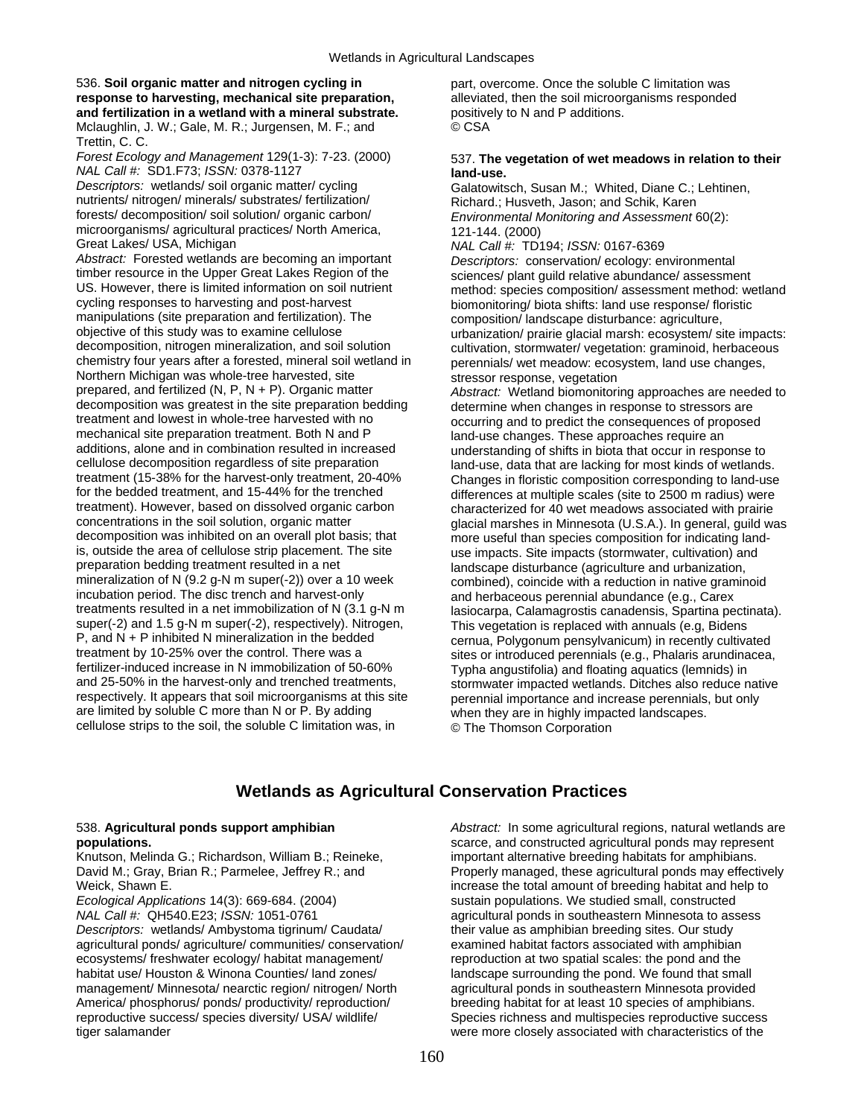536. **Soil organic matter and nitrogen cycling in response to harvesting, mechanical site preparation, and fertilization in a wetland with a mineral substrate.**  Mclaughlin, J. W.; Gale, M. R.; Jurgensen, M. F.; and Trettin, C. C.

*Forest Ecology and Management* 129(1-3): 7-23. (2000) *NAL Call #:* SD1.F73; *ISSN:* 0378-1127

*Descriptors:* wetlands/ soil organic matter/ cycling nutrients/ nitrogen/ minerals/ substrates/ fertilization/ forests/ decomposition/ soil solution/ organic carbon/ microorganisms/ agricultural practices/ North America, Great Lakes/ USA, Michigan

*Abstract:* Forested wetlands are becoming an important timber resource in the Upper Great Lakes Region of the US. However, there is limited information on soil nutrient cycling responses to harvesting and post-harvest manipulations (site preparation and fertilization). The objective of this study was to examine cellulose decomposition, nitrogen mineralization, and soil solution chemistry four years after a forested, mineral soil wetland in Northern Michigan was whole-tree harvested, site prepared, and fertilized  $(N, P, N + P)$ . Organic matter decomposition was greatest in the site preparation bedding treatment and lowest in whole-tree harvested with no mechanical site preparation treatment. Both N and P additions, alone and in combination resulted in increased cellulose decomposition regardless of site preparation treatment (15-38% for the harvest-only treatment, 20-40% for the bedded treatment, and 15-44% for the trenched treatment). However, based on dissolved organic carbon concentrations in the soil solution, organic matter decomposition was inhibited on an overall plot basis; that is, outside the area of cellulose strip placement. The site preparation bedding treatment resulted in a net mineralization of N (9.2 g-N m super(-2)) over a 10 week incubation period. The disc trench and harvest-only treatments resulted in a net immobilization of N (3.1 g-N m super(-2) and 1.5 g-N m super(-2), respectively). Nitrogen, P, and  $N + P$  inhibited N mineralization in the bedded treatment by 10-25% over the control. There was a fertilizer-induced increase in N immobilization of 50-60% and 25-50% in the harvest-only and trenched treatments, respectively. It appears that soil microorganisms at this site are limited by soluble C more than N or P. By adding cellulose strips to the soil, the soluble C limitation was, in

part, overcome. Once the soluble C limitation was alleviated, then the soil microorganisms responded positively to N and P additions. © CSA

# 537. **The vegetation of wet meadows in relation to their land-use.**

Galatowitsch, Susan M.; Whited, Diane C.; Lehtinen, Richard.; Husveth, Jason; and Schik, Karen *Environmental Monitoring and Assessment* 60(2): 121-144. (2000)

*NAL Call #:* TD194; *ISSN:* 0167-6369 *Descriptors:* conservation/ ecology: environmental sciences/ plant guild relative abundance/ assessment method: species composition/ assessment method: wetland biomonitoring/ biota shifts: land use response/ floristic composition/ landscape disturbance: agriculture, urbanization/ prairie glacial marsh: ecosystem/ site impacts: cultivation, stormwater/ vegetation: graminoid, herbaceous perennials/ wet meadow: ecosystem, land use changes, stressor response, vegetation

*Abstract:* Wetland biomonitoring approaches are needed to determine when changes in response to stressors are occurring and to predict the consequences of proposed land-use changes. These approaches require an understanding of shifts in biota that occur in response to land-use, data that are lacking for most kinds of wetlands. Changes in floristic composition corresponding to land-use differences at multiple scales (site to 2500 m radius) were characterized for 40 wet meadows associated with prairie glacial marshes in Minnesota (U.S.A.). In general, guild was more useful than species composition for indicating landuse impacts. Site impacts (stormwater, cultivation) and landscape disturbance (agriculture and urbanization, combined), coincide with a reduction in native graminoid and herbaceous perennial abundance (e.g., Carex lasiocarpa, Calamagrostis canadensis, Spartina pectinata). This vegetation is replaced with annuals (e.g, Bidens cernua, Polygonum pensylvanicum) in recently cultivated sites or introduced perennials (e.g., Phalaris arundinacea, Typha angustifolia) and floating aquatics (lemnids) in stormwater impacted wetlands. Ditches also reduce native perennial importance and increase perennials, but only when they are in highly impacted landscapes. © The Thomson Corporation

# **Wetlands as Agricultural Conservation Practices**

# 538. **Agricultural ponds support amphibian populations.**

Knutson, Melinda G.; Richardson, William B.; Reineke, David M.; Gray, Brian R.; Parmelee, Jeffrey R.; and Weick, Shawn E.

*Ecological Applications* 14(3): 669-684. (2004) *NAL Call #:* QH540.E23; *ISSN:* 1051-0761 *Descriptors:* wetlands/ Ambystoma tigrinum/ Caudata/ agricultural ponds/ agriculture/ communities/ conservation/ ecosystems/ freshwater ecology/ habitat management/ habitat use/ Houston & Winona Counties/ land zones/ management/ Minnesota/ nearctic region/ nitrogen/ North America/ phosphorus/ ponds/ productivity/ reproduction/ reproductive success/ species diversity/ USA/ wildlife/ tiger salamander

*Abstract:* In some agricultural regions, natural wetlands are scarce, and constructed agricultural ponds may represent important alternative breeding habitats for amphibians. Properly managed, these agricultural ponds may effectively increase the total amount of breeding habitat and help to sustain populations. We studied small, constructed agricultural ponds in southeastern Minnesota to assess their value as amphibian breeding sites. Our study examined habitat factors associated with amphibian reproduction at two spatial scales: the pond and the landscape surrounding the pond. We found that small agricultural ponds in southeastern Minnesota provided breeding habitat for at least 10 species of amphibians. Species richness and multispecies reproductive success were more closely associated with characteristics of the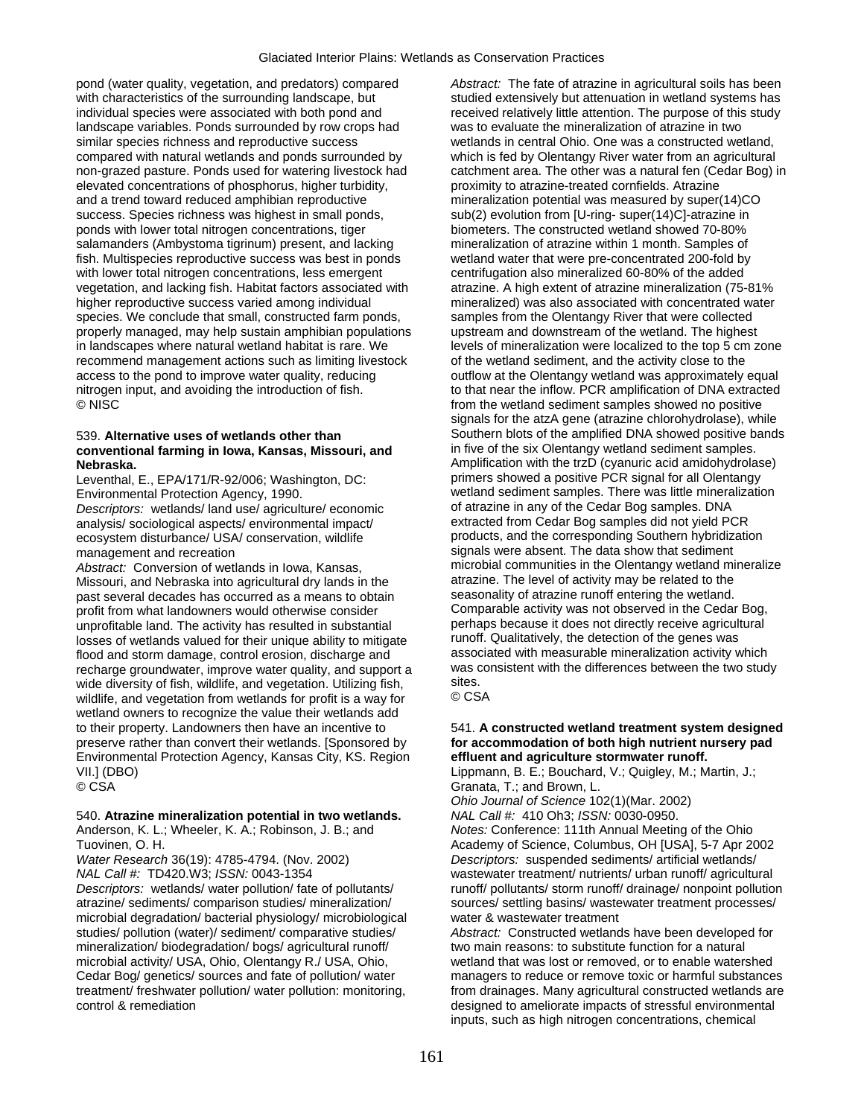pond (water quality, vegetation, and predators) compared with characteristics of the surrounding landscape, but individual species were associated with both pond and landscape variables. Ponds surrounded by row crops had similar species richness and reproductive success compared with natural wetlands and ponds surrounded by non-grazed pasture. Ponds used for watering livestock had elevated concentrations of phosphorus, higher turbidity, and a trend toward reduced amphibian reproductive success. Species richness was highest in small ponds, ponds with lower total nitrogen concentrations, tiger salamanders (Ambystoma tigrinum) present, and lacking fish. Multispecies reproductive success was best in ponds with lower total nitrogen concentrations, less emergent vegetation, and lacking fish. Habitat factors associated with higher reproductive success varied among individual species. We conclude that small, constructed farm ponds, properly managed, may help sustain amphibian populations in landscapes where natural wetland habitat is rare. We recommend management actions such as limiting livestock access to the pond to improve water quality, reducing nitrogen input, and avoiding the introduction of fish. © NISC

#### 539. **Alternative uses of wetlands other than conventional farming in Iowa, Kansas, Missouri, and Nebraska.**

Leventhal, E., EPA/171/R-92/006; Washington, DC: Environmental Protection Agency, 1990. *Descriptors:* wetlands/ land use/ agriculture/ economic

analysis/ sociological aspects/ environmental impact/ ecosystem disturbance/ USA/ conservation, wildlife management and recreation

*Abstract:* Conversion of wetlands in Iowa, Kansas, Missouri, and Nebraska into agricultural dry lands in the past several decades has occurred as a means to obtain profit from what landowners would otherwise consider unprofitable land. The activity has resulted in substantial losses of wetlands valued for their unique ability to mitigate flood and storm damage, control erosion, discharge and recharge groundwater, improve water quality, and support a wide diversity of fish, wildlife, and vegetation. Utilizing fish, wildlife, and vegetation from wetlands for profit is a way for wetland owners to recognize the value their wetlands add to their property. Landowners then have an incentive to preserve rather than convert their wetlands. [Sponsored by Environmental Protection Agency, Kansas City, KS. Region VII.] (DBO) © CSA

#### 540. **Atrazine mineralization potential in two wetlands.**  Anderson, K. L.; Wheeler, K. A.; Robinson, J. B.; and Tuovinen, O. H.

*Water Research* 36(19): 4785-4794. (Nov. 2002) *NAL Call #:* TD420.W3; *ISSN:* 0043-1354

*Descriptors:* wetlands/ water pollution/ fate of pollutants/ atrazine/ sediments/ comparison studies/ mineralization/ microbial degradation/ bacterial physiology/ microbiological studies/ pollution (water)/ sediment/ comparative studies/ mineralization/ biodegradation/ bogs/ agricultural runoff/ microbial activity/ USA, Ohio, Olentangy R./ USA, Ohio, Cedar Bog/ genetics/ sources and fate of pollution/ water treatment/ freshwater pollution/ water pollution: monitoring, control & remediation

*Abstract:* The fate of atrazine in agricultural soils has been studied extensively but attenuation in wetland systems has received relatively little attention. The purpose of this study was to evaluate the mineralization of atrazine in two wetlands in central Ohio. One was a constructed wetland, which is fed by Olentangy River water from an agricultural catchment area. The other was a natural fen (Cedar Bog) in proximity to atrazine-treated cornfields. Atrazine mineralization potential was measured by super(14)CO sub(2) evolution from [U-ring- super(14)C]-atrazine in biometers. The constructed wetland showed 70-80% mineralization of atrazine within 1 month. Samples of wetland water that were pre-concentrated 200-fold by centrifugation also mineralized 60-80% of the added atrazine. A high extent of atrazine mineralization (75-81% mineralized) was also associated with concentrated water samples from the Olentangy River that were collected upstream and downstream of the wetland. The highest levels of mineralization were localized to the top 5 cm zone of the wetland sediment, and the activity close to the outflow at the Olentangy wetland was approximately equal to that near the inflow. PCR amplification of DNA extracted from the wetland sediment samples showed no positive signals for the atzA gene (atrazine chlorohydrolase), while Southern blots of the amplified DNA showed positive bands in five of the six Olentangy wetland sediment samples. Amplification with the trzD (cyanuric acid amidohydrolase) primers showed a positive PCR signal for all Olentangy wetland sediment samples. There was little mineralization of atrazine in any of the Cedar Bog samples. DNA extracted from Cedar Bog samples did not yield PCR products, and the corresponding Southern hybridization signals were absent. The data show that sediment microbial communities in the Olentangy wetland mineralize atrazine. The level of activity may be related to the seasonality of atrazine runoff entering the wetland. Comparable activity was not observed in the Cedar Bog, perhaps because it does not directly receive agricultural runoff. Qualitatively, the detection of the genes was associated with measurable mineralization activity which was consistent with the differences between the two study sites.

© CSA

#### 541. **A constructed wetland treatment system designed for accommodation of both high nutrient nursery pad effluent and agriculture stormwater runoff.**

Lippmann, B. E.; Bouchard, V.; Quigley, M.; Martin, J.; Granata, T.; and Brown, L.

*Ohio Journal of Science* 102(1)(Mar. 2002) *NAL Call #:* 410 Oh3; *ISSN:* 0030-0950.

*Notes:* Conference: 111th Annual Meeting of the Ohio Academy of Science, Columbus, OH [USA], 5-7 Apr 2002 *Descriptors:* suspended sediments/ artificial wetlands/ wastewater treatment/ nutrients/ urban runoff/ agricultural runoff/ pollutants/ storm runoff/ drainage/ nonpoint pollution sources/ settling basins/ wastewater treatment processes/ water & wastewater treatment

*Abstract:* Constructed wetlands have been developed for two main reasons: to substitute function for a natural wetland that was lost or removed, or to enable watershed managers to reduce or remove toxic or harmful substances from drainages. Many agricultural constructed wetlands are designed to ameliorate impacts of stressful environmental inputs, such as high nitrogen concentrations, chemical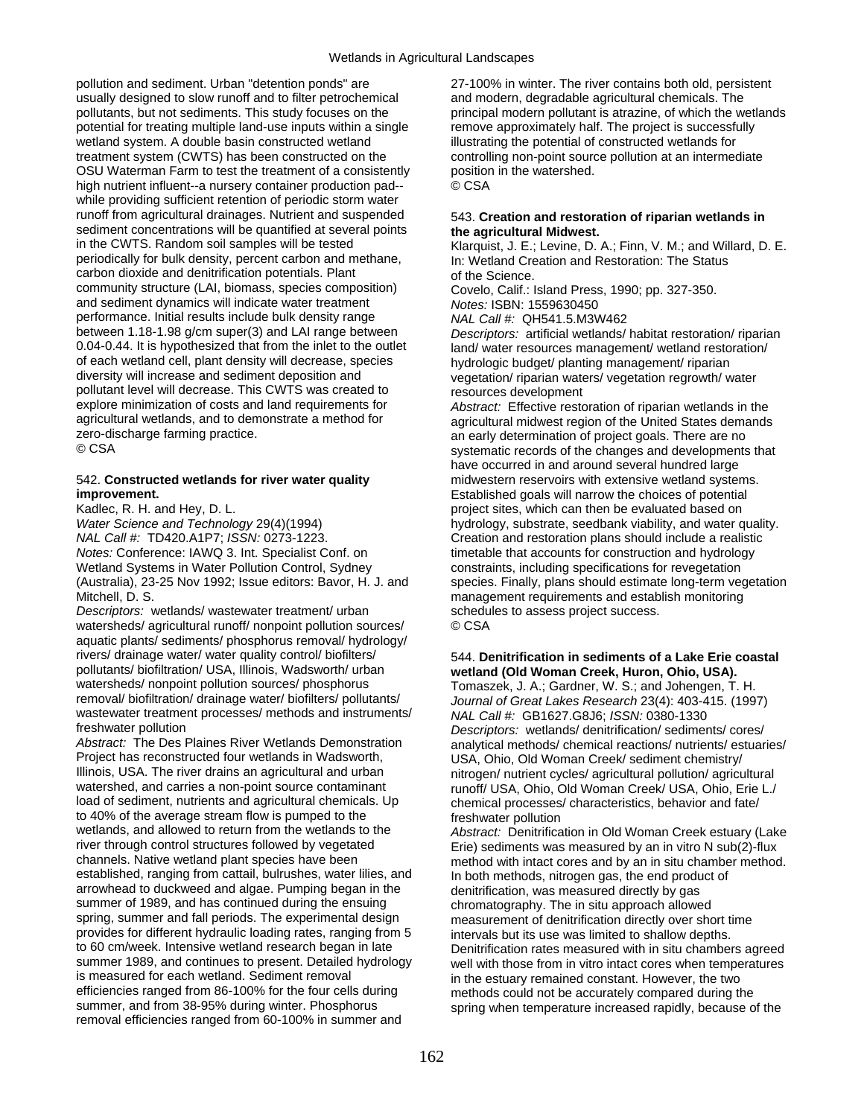pollution and sediment. Urban "detention ponds" are usually designed to slow runoff and to filter petrochemical pollutants, but not sediments. This study focuses on the potential for treating multiple land-use inputs within a single wetland system. A double basin constructed wetland treatment system (CWTS) has been constructed on the OSU Waterman Farm to test the treatment of a consistently high nutrient influent--a nursery container production pad- while providing sufficient retention of periodic storm water runoff from agricultural drainages. Nutrient and suspended sediment concentrations will be quantified at several points in the CWTS. Random soil samples will be tested periodically for bulk density, percent carbon and methane, carbon dioxide and denitrification potentials. Plant community structure (LAI, biomass, species composition) and sediment dynamics will indicate water treatment performance. Initial results include bulk density range between 1.18-1.98 g/cm super(3) and LAI range between 0.04-0.44. It is hypothesized that from the inlet to the outlet of each wetland cell, plant density will decrease, species diversity will increase and sediment deposition and pollutant level will decrease. This CWTS was created to explore minimization of costs and land requirements for agricultural wetlands, and to demonstrate a method for zero-discharge farming practice. © CSA

# 542. **Constructed wetlands for river water quality improvement.**

Kadlec, R. H. and Hey, D. L. *Water Science and Technology* 29(4)(1994) *NAL Call #:* TD420.A1P7; *ISSN:* 0273-1223. *Notes:* Conference: IAWQ 3. Int. Specialist Conf. on Wetland Systems in Water Pollution Control, Sydney (Australia), 23-25 Nov 1992; Issue editors: Bavor, H. J. and Mitchell, D. S.

*Descriptors:* wetlands/ wastewater treatment/ urban watersheds/ agricultural runoff/ nonpoint pollution sources/ aquatic plants/ sediments/ phosphorus removal/ hydrology/ rivers/ drainage water/ water quality control/ biofilters/ pollutants/ biofiltration/ USA, Illinois, Wadsworth/ urban watersheds/ nonpoint pollution sources/ phosphorus removal/ biofiltration/ drainage water/ biofilters/ pollutants/ wastewater treatment processes/ methods and instruments/ freshwater pollution

*Abstract:* The Des Plaines River Wetlands Demonstration Project has reconstructed four wetlands in Wadsworth, Illinois, USA. The river drains an agricultural and urban watershed, and carries a non-point source contaminant load of sediment, nutrients and agricultural chemicals. Up to 40% of the average stream flow is pumped to the wetlands, and allowed to return from the wetlands to the river through control structures followed by vegetated channels. Native wetland plant species have been established, ranging from cattail, bulrushes, water lilies, and arrowhead to duckweed and algae. Pumping began in the summer of 1989, and has continued during the ensuing spring, summer and fall periods. The experimental design provides for different hydraulic loading rates, ranging from 5 to 60 cm/week. Intensive wetland research began in late summer 1989, and continues to present. Detailed hydrology is measured for each wetland. Sediment removal efficiencies ranged from 86-100% for the four cells during summer, and from 38-95% during winter. Phosphorus removal efficiencies ranged from 60-100% in summer and

27-100% in winter. The river contains both old, persistent and modern, degradable agricultural chemicals. The principal modern pollutant is atrazine, of which the wetlands remove approximately half. The project is successfully illustrating the potential of constructed wetlands for controlling non-point source pollution at an intermediate position in the watershed. © CSA

# 543. **Creation and restoration of riparian wetlands in the agricultural Midwest.**

Klarquist, J. E.; Levine, D. A.; Finn, V. M.; and Willard, D. E. In: Wetland Creation and Restoration: The Status of the Science.

Covelo, Calif.: Island Press, 1990; pp. 327-350. *Notes:* ISBN: 1559630450

*NAL Call #:* QH541.5.M3W462

*Descriptors:* artificial wetlands/ habitat restoration/ riparian land/ water resources management/ wetland restoration/ hydrologic budget/ planting management/ riparian vegetation/ riparian waters/ vegetation regrowth/ water resources development

*Abstract:* Effective restoration of riparian wetlands in the agricultural midwest region of the United States demands an early determination of project goals. There are no systematic records of the changes and developments that have occurred in and around several hundred large midwestern reservoirs with extensive wetland systems. Established goals will narrow the choices of potential project sites, which can then be evaluated based on hydrology, substrate, seedbank viability, and water quality. Creation and restoration plans should include a realistic timetable that accounts for construction and hydrology constraints, including specifications for revegetation species. Finally, plans should estimate long-term vegetation management requirements and establish monitoring schedules to assess project success. © CSA

#### 544. **Denitrification in sediments of a Lake Erie coastal wetland (Old Woman Creek, Huron, Ohio, USA).**  Tomaszek, J. A.; Gardner, W. S.; and Johengen, T. H.

*Journal of Great Lakes Research* 23(4): 403-415. (1997) *NAL Call #:* GB1627.G8J6; *ISSN:* 0380-1330 *Descriptors:* wetlands/ denitrification/ sediments/ cores/ analytical methods/ chemical reactions/ nutrients/ estuaries/ USA, Ohio, Old Woman Creek/ sediment chemistry/ nitrogen/ nutrient cycles/ agricultural pollution/ agricultural runoff/ USA, Ohio, Old Woman Creek/ USA, Ohio, Erie L./ chemical processes/ characteristics, behavior and fate/ freshwater pollution

*Abstract:* Denitrification in Old Woman Creek estuary (Lake Erie) sediments was measured by an in vitro N sub(2)-flux method with intact cores and by an in situ chamber method. In both methods, nitrogen gas, the end product of denitrification, was measured directly by gas chromatography. The in situ approach allowed measurement of denitrification directly over short time intervals but its use was limited to shallow depths. Denitrification rates measured with in situ chambers agreed well with those from in vitro intact cores when temperatures in the estuary remained constant. However, the two methods could not be accurately compared during the spring when temperature increased rapidly, because of the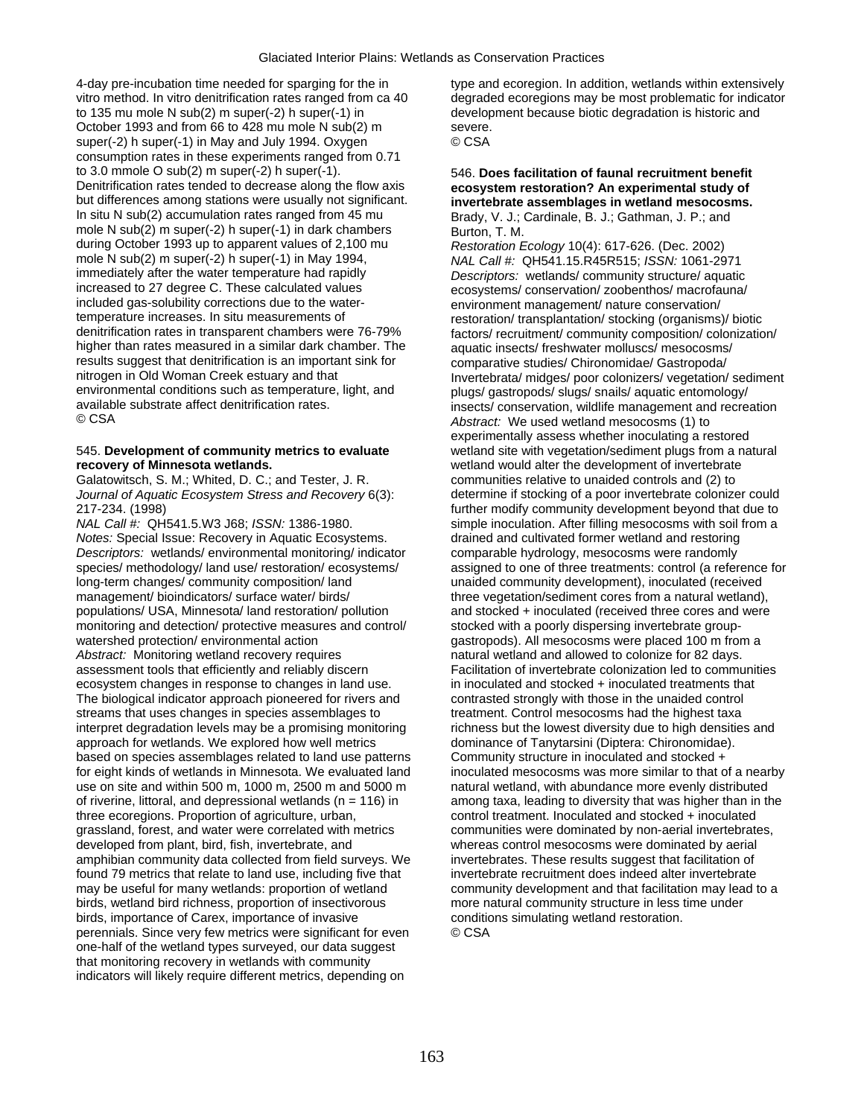4-day pre-incubation time needed for sparging for the in vitro method. In vitro denitrification rates ranged from ca 40 to 135 mu mole N sub(2) m super(-2) h super(-1) in October 1993 and from 66 to 428 mu mole N sub(2) m super(-2) h super(-1) in May and July 1994. Oxygen consumption rates in these experiments ranged from 0.71 to 3.0 mmole O sub(2) m super(-2) h super(-1). Denitrification rates tended to decrease along the flow axis but differences among stations were usually not significant. In situ N sub(2) accumulation rates ranged from 45 mu mole N sub(2) m super(-2) h super(-1) in dark chambers during October 1993 up to apparent values of 2,100 mu mole N sub(2) m super(-2) h super(-1) in May 1994, immediately after the water temperature had rapidly increased to 27 degree C. These calculated values included gas-solubility corrections due to the watertemperature increases. In situ measurements of denitrification rates in transparent chambers were 76-79% higher than rates measured in a similar dark chamber. The results suggest that denitrification is an important sink for nitrogen in Old Woman Creek estuary and that environmental conditions such as temperature, light, and available substrate affect denitrification rates. © CSA

# 545. **Development of community metrics to evaluate recovery of Minnesota wetlands.**

Galatowitsch, S. M.; Whited, D. C.; and Tester, J. R. *Journal of Aquatic Ecosystem Stress and Recovery* 6(3): 217-234. (1998)

*NAL Call #:* QH541.5.W3 J68; *ISSN:* 1386-1980. *Notes:* Special Issue: Recovery in Aquatic Ecosystems. *Descriptors:* wetlands/ environmental monitoring/ indicator species/ methodology/ land use/ restoration/ ecosystems/ long-term changes/ community composition/ land management/ bioindicators/ surface water/ birds/ populations/ USA, Minnesota/ land restoration/ pollution monitoring and detection/ protective measures and control/ watershed protection/ environmental action *Abstract:* Monitoring wetland recovery requires assessment tools that efficiently and reliably discern ecosystem changes in response to changes in land use. The biological indicator approach pioneered for rivers and streams that uses changes in species assemblages to interpret degradation levels may be a promising monitoring approach for wetlands. We explored how well metrics based on species assemblages related to land use patterns for eight kinds of wetlands in Minnesota. We evaluated land use on site and within 500 m, 1000 m, 2500 m and 5000 m of riverine, littoral, and depressional wetlands ( $n = 116$ ) in three ecoregions. Proportion of agriculture, urban, grassland, forest, and water were correlated with metrics developed from plant, bird, fish, invertebrate, and amphibian community data collected from field surveys. We found 79 metrics that relate to land use, including five that may be useful for many wetlands: proportion of wetland birds, wetland bird richness, proportion of insectivorous birds, importance of Carex, importance of invasive perennials. Since very few metrics were significant for even one-half of the wetland types surveyed, our data suggest that monitoring recovery in wetlands with community indicators will likely require different metrics, depending on

type and ecoregion. In addition, wetlands within extensively degraded ecoregions may be most problematic for indicator development because biotic degradation is historic and severe. © CSA

#### 546. **Does facilitation of faunal recruitment benefit ecosystem restoration? An experimental study of invertebrate assemblages in wetland mesocosms.**  Brady, V. J.; Cardinale, B. J.; Gathman, J. P.; and Burton, T. M.

*Restoration Ecology* 10(4): 617-626. (Dec. 2002) *NAL Call #:* QH541.15.R45R515; *ISSN:* 1061-2971 *Descriptors:* wetlands/ community structure/ aquatic ecosystems/ conservation/ zoobenthos/ macrofauna/ environment management/ nature conservation/ restoration/ transplantation/ stocking (organisms)/ biotic factors/ recruitment/ community composition/ colonization/ aquatic insects/ freshwater molluscs/ mesocosms/ comparative studies/ Chironomidae/ Gastropoda/ Invertebrata/ midges/ poor colonizers/ vegetation/ sediment plugs/ gastropods/ slugs/ snails/ aquatic entomology/ insects/ conservation, wildlife management and recreation *Abstract:* We used wetland mesocosms (1) to experimentally assess whether inoculating a restored wetland site with vegetation/sediment plugs from a natural wetland would alter the development of invertebrate communities relative to unaided controls and (2) to determine if stocking of a poor invertebrate colonizer could further modify community development beyond that due to simple inoculation. After filling mesocosms with soil from a drained and cultivated former wetland and restoring comparable hydrology, mesocosms were randomly assigned to one of three treatments: control (a reference for unaided community development), inoculated (received three vegetation/sediment cores from a natural wetland), and stocked + inoculated (received three cores and were stocked with a poorly dispersing invertebrate groupgastropods). All mesocosms were placed 100 m from a natural wetland and allowed to colonize for 82 days. Facilitation of invertebrate colonization led to communities in inoculated and stocked + inoculated treatments that contrasted strongly with those in the unaided control treatment. Control mesocosms had the highest taxa richness but the lowest diversity due to high densities and dominance of Tanytarsini (Diptera: Chironomidae). Community structure in inoculated and stocked + inoculated mesocosms was more similar to that of a nearby natural wetland, with abundance more evenly distributed among taxa, leading to diversity that was higher than in the control treatment. Inoculated and stocked + inoculated communities were dominated by non-aerial invertebrates, whereas control mesocosms were dominated by aerial invertebrates. These results suggest that facilitation of invertebrate recruitment does indeed alter invertebrate community development and that facilitation may lead to a more natural community structure in less time under conditions simulating wetland restoration. © CSA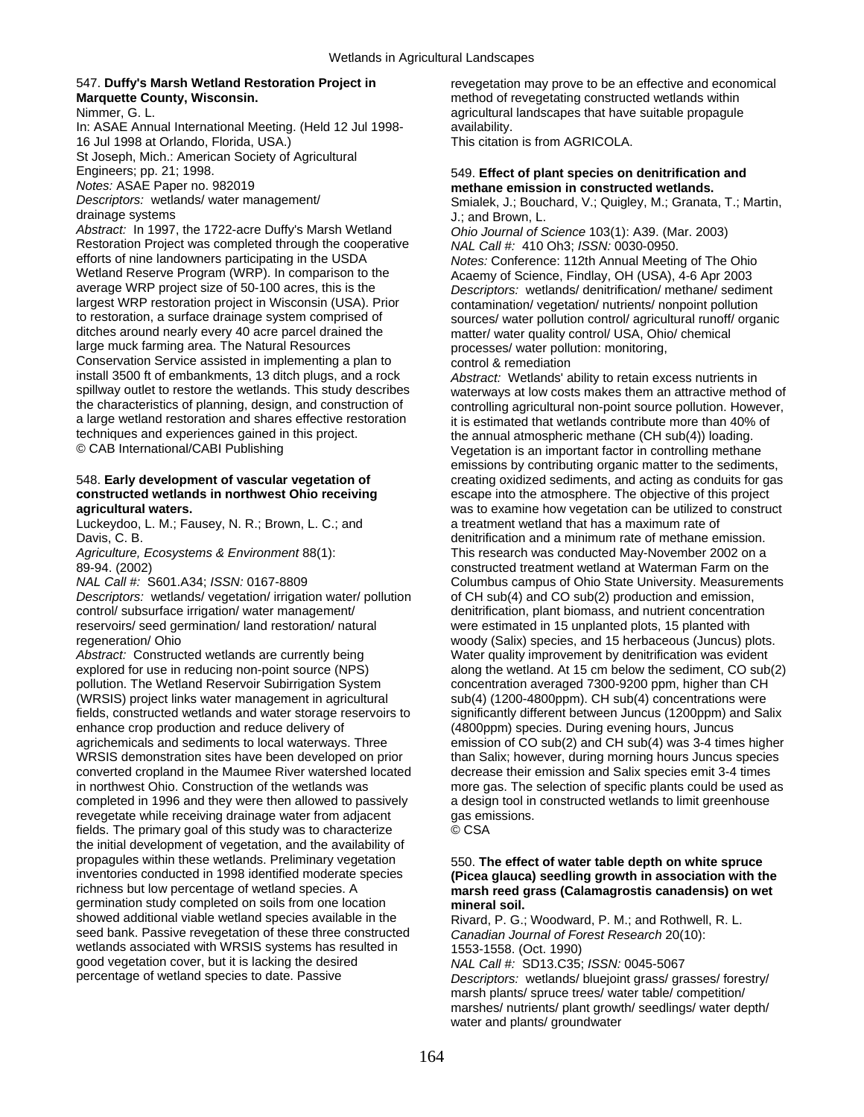# 547. **Duffy's Marsh Wetland Restoration Project in Marquette County, Wisconsin.**

Nimmer, G. L.

In: ASAE Annual International Meeting. (Held 12 Jul 1998- 16 Jul 1998 at Orlando, Florida, USA.) St Joseph, Mich.: American Society of Agricultural Engineers; pp. 21; 1998. *Notes:* ASAE Paper no. 982019

*Descriptors:* wetlands/ water management/ drainage systems

*Abstract:* In 1997, the 1722-acre Duffy's Marsh Wetland Restoration Project was completed through the cooperative efforts of nine landowners participating in the USDA Wetland Reserve Program (WRP). In comparison to the average WRP project size of 50-100 acres, this is the largest WRP restoration project in Wisconsin (USA). Prior to restoration, a surface drainage system comprised of ditches around nearly every 40 acre parcel drained the large muck farming area. The Natural Resources Conservation Service assisted in implementing a plan to install 3500 ft of embankments, 13 ditch plugs, and a rock spillway outlet to restore the wetlands. This study describes the characteristics of planning, design, and construction of a large wetland restoration and shares effective restoration techniques and experiences gained in this project. © CAB International/CABI Publishing

### 548. **Early development of vascular vegetation of constructed wetlands in northwest Ohio receiving agricultural waters.**

Luckeydoo, L. M.; Fausey, N. R.; Brown, L. C.; and Davis, C. B.

*Agriculture, Ecosystems & Environment* 88(1): 89-94. (2002)

*NAL Call #:* S601.A34; *ISSN:* 0167-8809 *Descriptors:* wetlands/ vegetation/ irrigation water/ pollution control/ subsurface irrigation/ water management/ reservoirs/ seed germination/ land restoration/ natural regeneration/ Ohio

*Abstract:* Constructed wetlands are currently being explored for use in reducing non-point source (NPS) pollution. The Wetland Reservoir Subirrigation System (WRSIS) project links water management in agricultural fields, constructed wetlands and water storage reservoirs to enhance crop production and reduce delivery of agrichemicals and sediments to local waterways. Three WRSIS demonstration sites have been developed on prior converted cropland in the Maumee River watershed located in northwest Ohio. Construction of the wetlands was completed in 1996 and they were then allowed to passively revegetate while receiving drainage water from adjacent fields. The primary goal of this study was to characterize the initial development of vegetation, and the availability of propagules within these wetlands. Preliminary vegetation inventories conducted in 1998 identified moderate species richness but low percentage of wetland species. A germination study completed on soils from one location showed additional viable wetland species available in the seed bank. Passive revegetation of these three constructed wetlands associated with WRSIS systems has resulted in good vegetation cover, but it is lacking the desired percentage of wetland species to date. Passive

revegetation may prove to be an effective and economical method of revegetating constructed wetlands within agricultural landscapes that have suitable propagule availability.

This citation is from AGRICOLA.

### 549. **Effect of plant species on denitrification and methane emission in constructed wetlands.**

Smialek, J.; Bouchard, V.; Quigley, M.; Granata, T.; Martin, J.; and Brown, L.

*Ohio Journal of Science* 103(1): A39. (Mar. 2003) *NAL Call #:* 410 Oh3; *ISSN:* 0030-0950.

*Notes:* Conference: 112th Annual Meeting of The Ohio Acaemy of Science, Findlay, OH (USA), 4-6 Apr 2003 *Descriptors:* wetlands/ denitrification/ methane/ sediment contamination/ vegetation/ nutrients/ nonpoint pollution sources/ water pollution control/ agricultural runoff/ organic matter/ water quality control/ USA, Ohio/ chemical processes/ water pollution: monitoring, control & remediation

*Abstract:* Wetlands' ability to retain excess nutrients in waterways at low costs makes them an attractive method of controlling agricultural non-point source pollution. However, it is estimated that wetlands contribute more than 40% of the annual atmospheric methane (CH sub(4)) loading. Vegetation is an important factor in controlling methane emissions by contributing organic matter to the sediments, creating oxidized sediments, and acting as conduits for gas escape into the atmosphere. The objective of this project was to examine how vegetation can be utilized to construct a treatment wetland that has a maximum rate of denitrification and a minimum rate of methane emission. This research was conducted May-November 2002 on a constructed treatment wetland at Waterman Farm on the Columbus campus of Ohio State University. Measurements of CH sub(4) and CO sub(2) production and emission, denitrification, plant biomass, and nutrient concentration were estimated in 15 unplanted plots, 15 planted with woody (Salix) species, and 15 herbaceous (Juncus) plots. Water quality improvement by denitrification was evident along the wetland. At 15 cm below the sediment, CO sub(2) concentration averaged 7300-9200 ppm, higher than CH sub(4) (1200-4800ppm). CH sub(4) concentrations were significantly different between Juncus (1200ppm) and Salix (4800ppm) species. During evening hours, Juncus emission of CO sub(2) and CH sub(4) was 3-4 times higher than Salix; however, during morning hours Juncus species decrease their emission and Salix species emit 3-4 times more gas. The selection of specific plants could be used as a design tool in constructed wetlands to limit greenhouse gas emissions. © CSA

#### 550. **The effect of water table depth on white spruce (Picea glauca) seedling growth in association with the marsh reed grass (Calamagrostis canadensis) on wet mineral soil.**

Rivard, P. G.; Woodward, P. M.; and Rothwell, R. L. *Canadian Journal of Forest Research* 20(10): 1553-1558. (Oct. 1990) *NAL Call #:* SD13.C35; *ISSN:* 0045-5067 *Descriptors:* wetlands/ bluejoint grass/ grasses/ forestry/ marsh plants/ spruce trees/ water table/ competition/ marshes/ nutrients/ plant growth/ seedlings/ water depth/ water and plants/ groundwater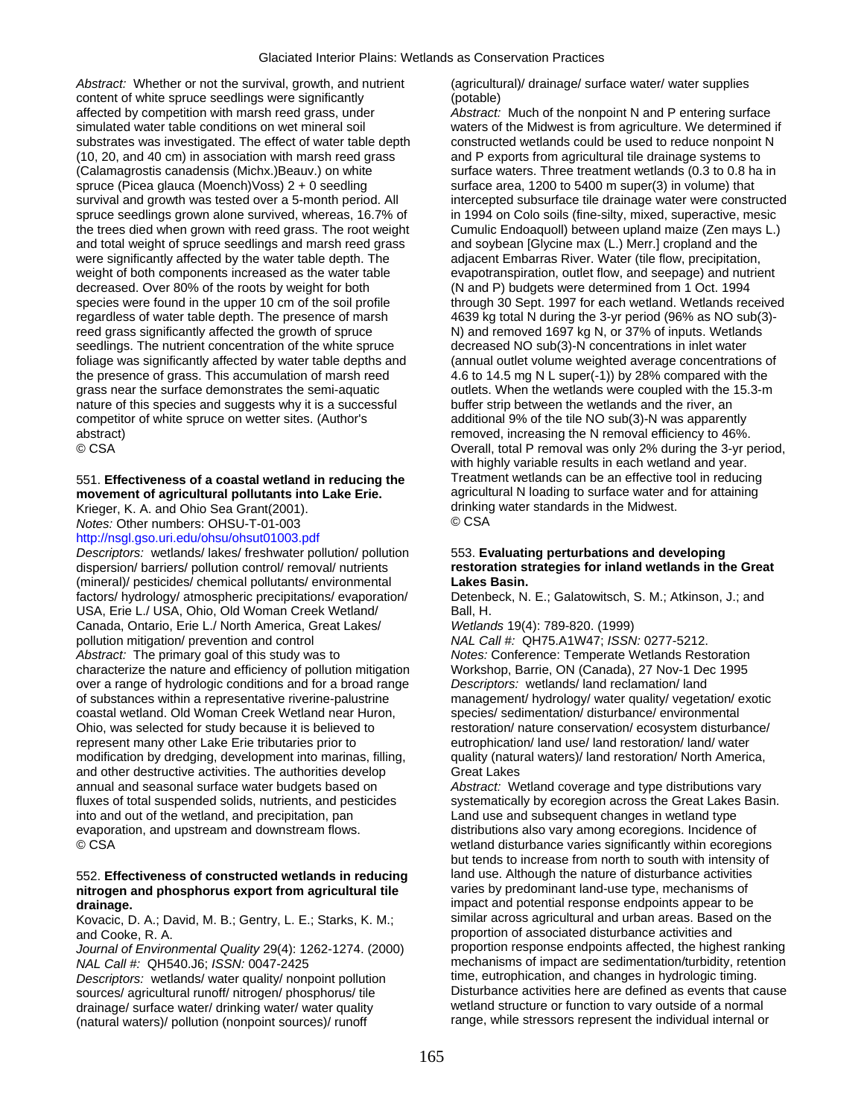*Abstract:* Whether or not the survival, growth, and nutrient content of white spruce seedlings were significantly affected by competition with marsh reed grass, under simulated water table conditions on wet mineral soil substrates was investigated. The effect of water table depth (10, 20, and 40 cm) in association with marsh reed grass (Calamagrostis canadensis (Michx.)Beauv.) on white spruce (Picea glauca (Moench)Voss) 2 + 0 seedling survival and growth was tested over a 5-month period. All spruce seedlings grown alone survived, whereas, 16.7% of the trees died when grown with reed grass. The root weight and total weight of spruce seedlings and marsh reed grass were significantly affected by the water table depth. The weight of both components increased as the water table decreased. Over 80% of the roots by weight for both species were found in the upper 10 cm of the soil profile regardless of water table depth. The presence of marsh reed grass significantly affected the growth of spruce seedlings. The nutrient concentration of the white spruce foliage was significantly affected by water table depths and the presence of grass. This accumulation of marsh reed grass near the surface demonstrates the semi-aquatic nature of this species and suggests why it is a successful competitor of white spruce on wetter sites. (Author's abstract) © CSA

# 551. **Effectiveness of a coastal wetland in reducing the movement of agricultural pollutants into Lake Erie.**

Krieger, K. A. and Ohio Sea Grant(2001). *Notes:* Other numbers: OHSU-T-01-003 <http://nsgl.gso.uri.edu/ohsu/ohsut01003.pdf>

*Descriptors:* wetlands/ lakes/ freshwater pollution/ pollution dispersion/ barriers/ pollution control/ removal/ nutrients (mineral)/ pesticides/ chemical pollutants/ environmental factors/ hydrology/ atmospheric precipitations/ evaporation/ USA, Erie L./ USA, Ohio, Old Woman Creek Wetland/ Canada, Ontario, Erie L./ North America, Great Lakes/ pollution mitigation/ prevention and control *Abstract:* The primary goal of this study was to characterize the nature and efficiency of pollution mitigation over a range of hydrologic conditions and for a broad range of substances within a representative riverine-palustrine coastal wetland. Old Woman Creek Wetland near Huron, Ohio, was selected for study because it is believed to represent many other Lake Erie tributaries prior to modification by dredging, development into marinas, filling, and other destructive activities. The authorities develop annual and seasonal surface water budgets based on fluxes of total suspended solids, nutrients, and pesticides into and out of the wetland, and precipitation, pan evaporation, and upstream and downstream flows. © CSA

#### 552. **Effectiveness of constructed wetlands in reducing nitrogen and phosphorus export from agricultural tile drainage.**

Kovacic, D. A.; David, M. B.; Gentry, L. E.; Starks, K. M.; and Cooke, R. A.

*Journal of Environmental Quality* 29(4): 1262-1274. (2000) *NAL Call #:* QH540.J6; *ISSN:* 0047-2425

*Descriptors:* wetlands/ water quality/ nonpoint pollution sources/ agricultural runoff/ nitrogen/ phosphorus/ tile drainage/ surface water/ drinking water/ water quality (natural waters)/ pollution (nonpoint sources)/ runoff

(agricultural)/ drainage/ surface water/ water supplies (potable)

*Abstract:* Much of the nonpoint N and P entering surface waters of the Midwest is from agriculture. We determined if constructed wetlands could be used to reduce nonpoint N and P exports from agricultural tile drainage systems to surface waters. Three treatment wetlands (0.3 to 0.8 ha in surface area, 1200 to 5400 m super(3) in volume) that intercepted subsurface tile drainage water were constructed in 1994 on Colo soils (fine-silty, mixed, superactive, mesic Cumulic Endoaquoll) between upland maize (Zen mays L.) and soybean [Glycine max (L.) Merr.] cropland and the adjacent Embarras River. Water (tile flow, precipitation, evapotranspiration, outlet flow, and seepage) and nutrient (N and P) budgets were determined from 1 Oct. 1994 through 30 Sept. 1997 for each wetland. Wetlands received 4639 kg total N during the 3-yr period (96% as NO sub(3)- N) and removed 1697 kg N, or 37% of inputs. Wetlands decreased NO sub(3)-N concentrations in inlet water (annual outlet volume weighted average concentrations of 4.6 to 14.5 mg N L super(-1)) by 28% compared with the outlets. When the wetlands were coupled with the 15.3-m buffer strip between the wetlands and the river, an additional 9% of the tile NO sub(3)-N was apparently removed, increasing the N removal efficiency to 46%. Overall, total P removal was only 2% during the 3-yr period, with highly variable results in each wetland and year. Treatment wetlands can be an effective tool in reducing agricultural N loading to surface water and for attaining drinking water standards in the Midwest. © CSA

#### 553. **Evaluating perturbations and developing restoration strategies for inland wetlands in the Great Lakes Basin.**

Detenbeck, N. E.; Galatowitsch, S. M.; Atkinson, J.; and Ball, H.

*Wetlands* 19(4): 789-820. (1999)

*NAL Call #:* QH75.A1W47; *ISSN:* 0277-5212. *Notes:* Conference: Temperate Wetlands Restoration Workshop, Barrie, ON (Canada), 27 Nov-1 Dec 1995 *Descriptors:* wetlands/ land reclamation/ land management/ hydrology/ water quality/ vegetation/ exotic species/ sedimentation/ disturbance/ environmental restoration/ nature conservation/ ecosystem disturbance/ eutrophication/ land use/ land restoration/ land/ water quality (natural waters)/ land restoration/ North America, Great Lakes

*Abstract:* Wetland coverage and type distributions vary systematically by ecoregion across the Great Lakes Basin. Land use and subsequent changes in wetland type distributions also vary among ecoregions. Incidence of wetland disturbance varies significantly within ecoregions but tends to increase from north to south with intensity of land use. Although the nature of disturbance activities varies by predominant land-use type, mechanisms of impact and potential response endpoints appear to be similar across agricultural and urban areas. Based on the proportion of associated disturbance activities and proportion response endpoints affected, the highest ranking mechanisms of impact are sedimentation/turbidity, retention time, eutrophication, and changes in hydrologic timing. Disturbance activities here are defined as events that cause wetland structure or function to vary outside of a normal range, while stressors represent the individual internal or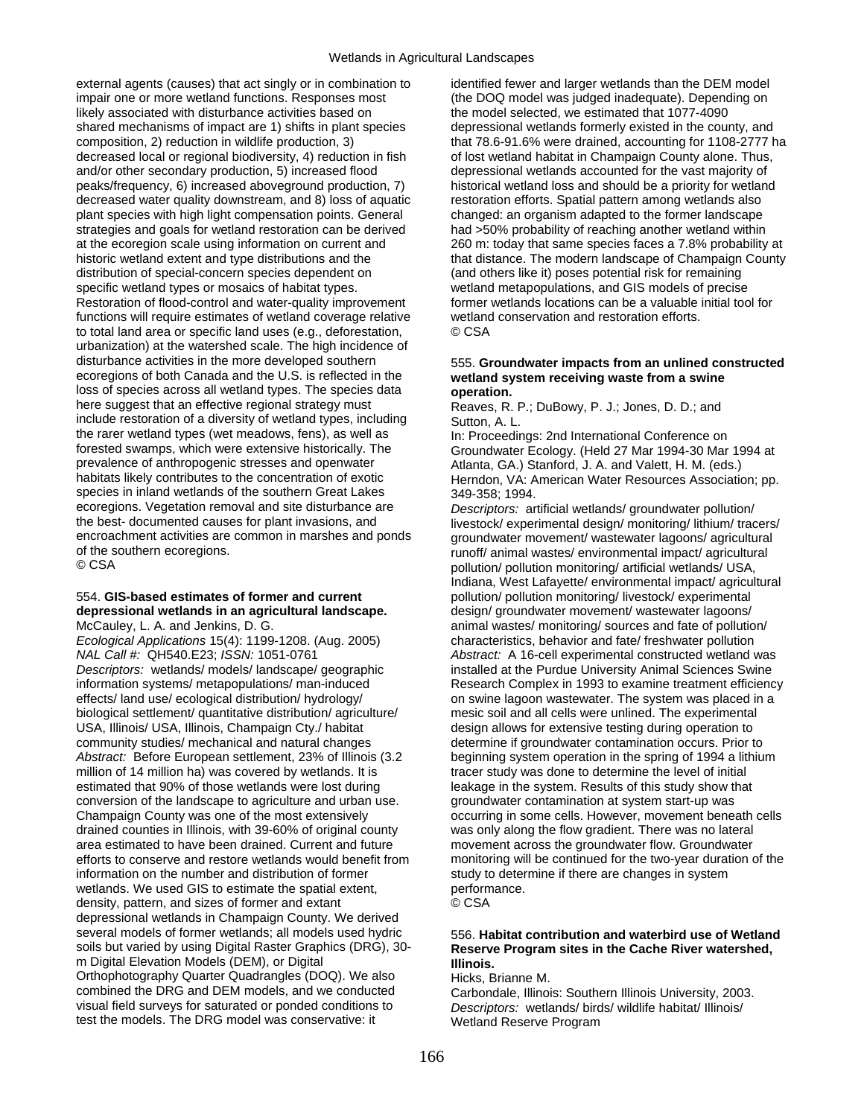external agents (causes) that act singly or in combination to impair one or more wetland functions. Responses most likely associated with disturbance activities based on shared mechanisms of impact are 1) shifts in plant species composition, 2) reduction in wildlife production, 3) decreased local or regional biodiversity, 4) reduction in fish and/or other secondary production, 5) increased flood peaks/frequency, 6) increased aboveground production, 7) decreased water quality downstream, and 8) loss of aquatic plant species with high light compensation points. General strategies and goals for wetland restoration can be derived at the ecoregion scale using information on current and historic wetland extent and type distributions and the distribution of special-concern species dependent on specific wetland types or mosaics of habitat types. Restoration of flood-control and water-quality improvement functions will require estimates of wetland coverage relative to total land area or specific land uses (e.g., deforestation, urbanization) at the watershed scale. The high incidence of disturbance activities in the more developed southern ecoregions of both Canada and the U.S. is reflected in the loss of species across all wetland types. The species data here suggest that an effective regional strategy must include restoration of a diversity of wetland types, including the rarer wetland types (wet meadows, fens), as well as forested swamps, which were extensive historically. The prevalence of anthropogenic stresses and openwater habitats likely contributes to the concentration of exotic species in inland wetlands of the southern Great Lakes ecoregions. Vegetation removal and site disturbance are the best- documented causes for plant invasions, and encroachment activities are common in marshes and ponds of the southern ecoregions. © CSA

# 554. **GIS-based estimates of former and current depressional wetlands in an agricultural landscape.**

McCauley, L. A. and Jenkins, D. G. *Ecological Applications* 15(4): 1199-1208. (Aug. 2005) *NAL Call #:* QH540.E23; *ISSN:* 1051-0761 *Descriptors:* wetlands/ models/ landscape/ geographic information systems/ metapopulations/ man-induced effects/ land use/ ecological distribution/ hydrology/ biological settlement/ quantitative distribution/ agriculture/ USA, Illinois/ USA, Illinois, Champaign Cty./ habitat community studies/ mechanical and natural changes *Abstract:* Before European settlement, 23% of Illinois (3.2 million of 14 million ha) was covered by wetlands. It is estimated that 90% of those wetlands were lost during conversion of the landscape to agriculture and urban use. Champaign County was one of the most extensively drained counties in Illinois, with 39-60% of original county area estimated to have been drained. Current and future efforts to conserve and restore wetlands would benefit from information on the number and distribution of former wetlands. We used GIS to estimate the spatial extent, density, pattern, and sizes of former and extant depressional wetlands in Champaign County. We derived several models of former wetlands; all models used hydric soils but varied by using Digital Raster Graphics (DRG), 30 m Digital Elevation Models (DEM), or Digital Orthophotography Quarter Quadrangles (DOQ). We also combined the DRG and DEM models, and we conducted visual field surveys for saturated or ponded conditions to test the models. The DRG model was conservative: it

identified fewer and larger wetlands than the DEM model (the DOQ model was judged inadequate). Depending on the model selected, we estimated that 1077-4090 depressional wetlands formerly existed in the county, and that 78.6-91.6% were drained, accounting for 1108-2777 ha of lost wetland habitat in Champaign County alone. Thus, depressional wetlands accounted for the vast majority of historical wetland loss and should be a priority for wetland restoration efforts. Spatial pattern among wetlands also changed: an organism adapted to the former landscape had >50% probability of reaching another wetland within 260 m: today that same species faces a 7.8% probability at that distance. The modern landscape of Champaign County (and others like it) poses potential risk for remaining wetland metapopulations, and GIS models of precise former wetlands locations can be a valuable initial tool for wetland conservation and restoration efforts. © CSA

#### 555. **Groundwater impacts from an unlined constructed wetland system receiving waste from a swine operation.**

Reaves, R. P.; DuBowy, P. J.; Jones, D. D.; and Sutton, A. L.

In: Proceedings: 2nd International Conference on Groundwater Ecology. (Held 27 Mar 1994-30 Mar 1994 at Atlanta, GA.) Stanford, J. A. and Valett, H. M. (eds.) Herndon, VA: American Water Resources Association; pp. 349-358; 1994.

*Descriptors:* artificial wetlands/ groundwater pollution/ livestock/ experimental design/ monitoring/ lithium/ tracers/ groundwater movement/ wastewater lagoons/ agricultural runoff/ animal wastes/ environmental impact/ agricultural pollution/ pollution monitoring/ artificial wetlands/ USA, Indiana, West Lafayette/ environmental impact/ agricultural pollution/ pollution monitoring/ livestock/ experimental design/ groundwater movement/ wastewater lagoons/ animal wastes/ monitoring/ sources and fate of pollution/ characteristics, behavior and fate/ freshwater pollution *Abstract:* A 16-cell experimental constructed wetland was installed at the Purdue University Animal Sciences Swine Research Complex in 1993 to examine treatment efficiency on swine lagoon wastewater. The system was placed in a mesic soil and all cells were unlined. The experimental design allows for extensive testing during operation to determine if groundwater contamination occurs. Prior to beginning system operation in the spring of 1994 a lithium tracer study was done to determine the level of initial leakage in the system. Results of this study show that groundwater contamination at system start-up was occurring in some cells. However, movement beneath cells was only along the flow gradient. There was no lateral movement across the groundwater flow. Groundwater monitoring will be continued for the two-year duration of the study to determine if there are changes in system performance. © CSA

# 556. **Habitat contribution and waterbird use of Wetland Reserve Program sites in the Cache River watershed, Illinois.**

Hicks, Brianne M.

Carbondale, Illinois: Southern Illinois University, 2003. *Descriptors:* wetlands/ birds/ wildlife habitat/ Illinois/ Wetland Reserve Program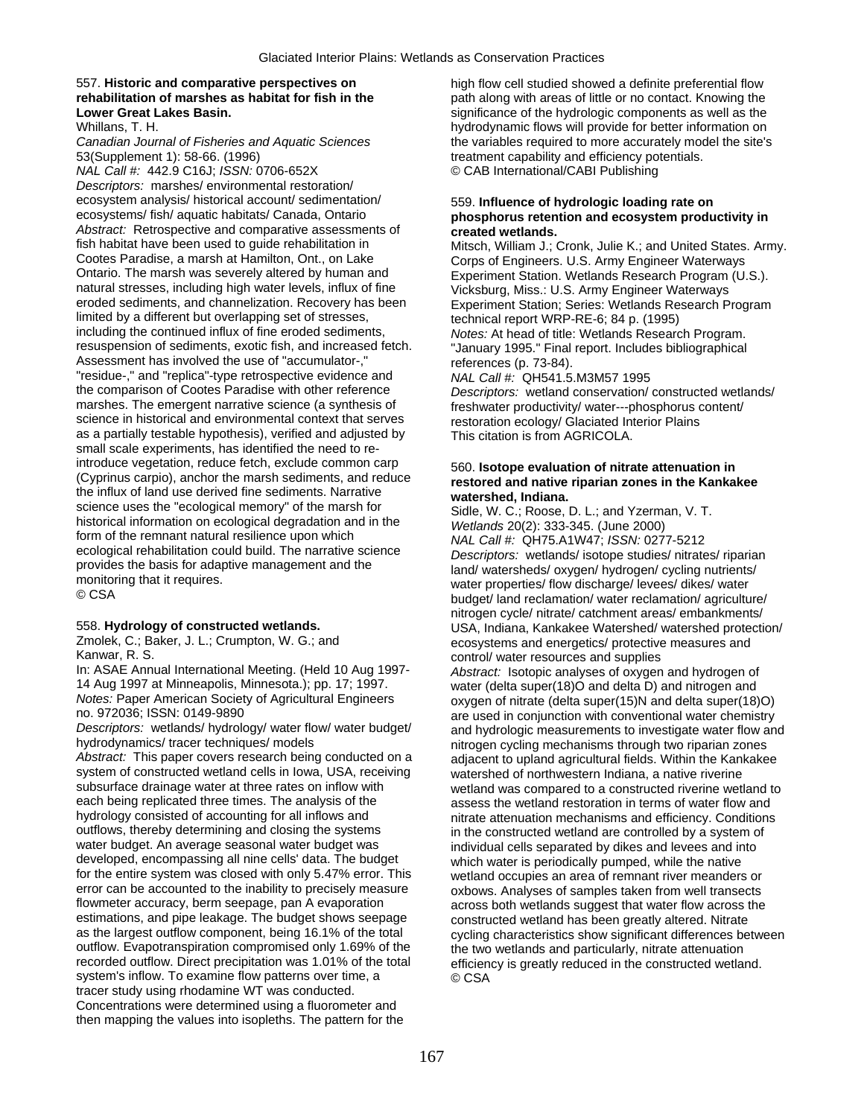#### 557. **Historic and comparative perspectives on rehabilitation of marshes as habitat for fish in the Lower Great Lakes Basin.**  Whillans, T. H.

*Canadian Journal of Fisheries and Aquatic Sciences* 53(Supplement 1): 58-66. (1996)

*NAL Call #:* 442.9 C16J; *ISSN:* 0706-652X *Descriptors:* marshes/ environmental restoration/ ecosystem analysis/ historical account/ sedimentation/ ecosystems/ fish/ aquatic habitats/ Canada, Ontario *Abstract:* Retrospective and comparative assessments of fish habitat have been used to guide rehabilitation in Cootes Paradise, a marsh at Hamilton, Ont., on Lake Ontario. The marsh was severely altered by human and natural stresses, including high water levels, influx of fine eroded sediments, and channelization. Recovery has been limited by a different but overlapping set of stresses, including the continued influx of fine eroded sediments, resuspension of sediments, exotic fish, and increased fetch. Assessment has involved the use of "accumulator-," "residue-," and "replica"-type retrospective evidence and the comparison of Cootes Paradise with other reference marshes. The emergent narrative science (a synthesis of science in historical and environmental context that serves as a partially testable hypothesis), verified and adjusted by small scale experiments, has identified the need to reintroduce vegetation, reduce fetch, exclude common carp (Cyprinus carpio), anchor the marsh sediments, and reduce the influx of land use derived fine sediments. Narrative science uses the "ecological memory" of the marsh for historical information on ecological degradation and in the form of the remnant natural resilience upon which ecological rehabilitation could build. The narrative science provides the basis for adaptive management and the monitoring that it requires. © CSA

#### 558. **Hydrology of constructed wetlands.**

Zmolek, C.; Baker, J. L.; Crumpton, W. G.; and Kanwar, R. S.

In: ASAE Annual International Meeting. (Held 10 Aug 1997- 14 Aug 1997 at Minneapolis, Minnesota.); pp. 17; 1997. *Notes:* Paper American Society of Agricultural Engineers no. 972036; ISSN: 0149-9890

*Descriptors:* wetlands/ hydrology/ water flow/ water budget/ hydrodynamics/ tracer techniques/ models

*Abstract:* This paper covers research being conducted on a system of constructed wetland cells in Iowa, USA, receiving subsurface drainage water at three rates on inflow with each being replicated three times. The analysis of the hydrology consisted of accounting for all inflows and outflows, thereby determining and closing the systems water budget. An average seasonal water budget was developed, encompassing all nine cells' data. The budget for the entire system was closed with only 5.47% error. This error can be accounted to the inability to precisely measure flowmeter accuracy, berm seepage, pan A evaporation estimations, and pipe leakage. The budget shows seepage as the largest outflow component, being 16.1% of the total outflow. Evapotranspiration compromised only 1.69% of the recorded outflow. Direct precipitation was 1.01% of the total system's inflow. To examine flow patterns over time, a tracer study using rhodamine WT was conducted. Concentrations were determined using a fluorometer and then mapping the values into isopleths. The pattern for the

high flow cell studied showed a definite preferential flow path along with areas of little or no contact. Knowing the significance of the hydrologic components as well as the hydrodynamic flows will provide for better information on the variables required to more accurately model the site's treatment capability and efficiency potentials. © CAB International/CABI Publishing

#### 559. **Influence of hydrologic loading rate on phosphorus retention and ecosystem productivity in created wetlands.**

Mitsch, William J.; Cronk, Julie K.; and United States. Army. Corps of Engineers. U.S. Army Engineer Waterways Experiment Station. Wetlands Research Program (U.S.). Vicksburg, Miss.: U.S. Army Engineer Waterways Experiment Station; Series: Wetlands Research Program technical report WRP-RE-6; 84 p. (1995) *Notes:* At head of title: Wetlands Research Program. "January 1995." Final report. Includes bibliographical references (p. 73-84). *NAL Call #:* QH541.5.M3M57 1995 *Descriptors:* wetland conservation/ constructed wetlands/ freshwater productivity/ water---phosphorus content/ restoration ecology/ Glaciated Interior Plains This citation is from AGRICOLA.

#### 560. **Isotope evaluation of nitrate attenuation in restored and native riparian zones in the Kankakee watershed, Indiana.**

Sidle, W. C.; Roose, D. L.; and Yzerman, V. T. *Wetlands* 20(2): 333-345. (June 2000) *NAL Call #:* QH75.A1W47; *ISSN:* 0277-5212 *Descriptors:* wetlands/ isotope studies/ nitrates/ riparian land/ watersheds/ oxygen/ hydrogen/ cycling nutrients/ water properties/ flow discharge/ levees/ dikes/ water budget/ land reclamation/ water reclamation/ agriculture/ nitrogen cycle/ nitrate/ catchment areas/ embankments/ USA, Indiana, Kankakee Watershed/ watershed protection/ ecosystems and energetics/ protective measures and control/ water resources and supplies *Abstract:* Isotopic analyses of oxygen and hydrogen of water (delta super(18)O and delta D) and nitrogen and oxygen of nitrate (delta super(15)N and delta super(18)O) are used in conjunction with conventional water chemistry and hydrologic measurements to investigate water flow and nitrogen cycling mechanisms through two riparian zones adjacent to upland agricultural fields. Within the Kankakee watershed of northwestern Indiana, a native riverine wetland was compared to a constructed riverine wetland to assess the wetland restoration in terms of water flow and nitrate attenuation mechanisms and efficiency. Conditions in the constructed wetland are controlled by a system of individual cells separated by dikes and levees and into which water is periodically pumped, while the native wetland occupies an area of remnant river meanders or oxbows. Analyses of samples taken from well transects across both wetlands suggest that water flow across the constructed wetland has been greatly altered. Nitrate cycling characteristics show significant differences between the two wetlands and particularly, nitrate attenuation efficiency is greatly reduced in the constructed wetland. © CSA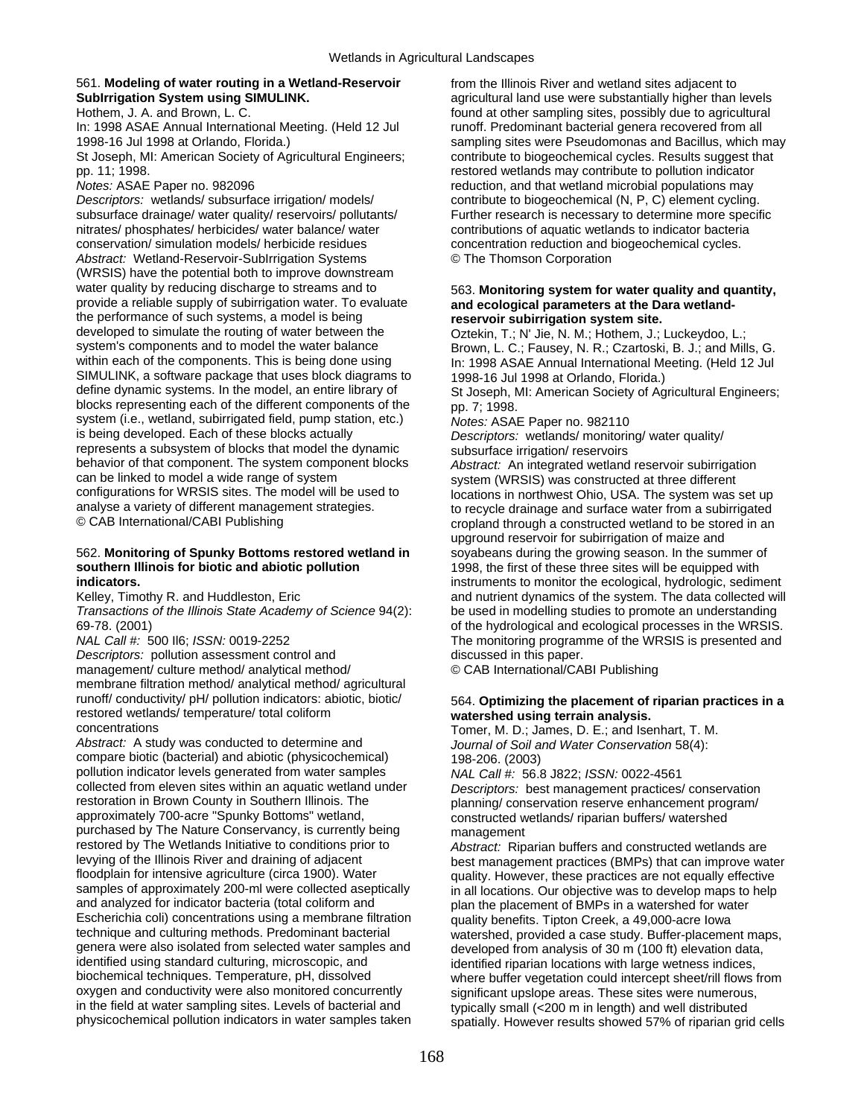# 561. **Modeling of water routing in a Wetland-Reservoir SubIrrigation System using SIMULINK.**

Hothem, J. A. and Brown, L. C. In: 1998 ASAE Annual International Meeting. (Held 12 Jul 1998-16 Jul 1998 at Orlando, Florida.) St Joseph, MI: American Society of Agricultural Engineers; pp. 11; 1998.

*Notes:* ASAE Paper no. 982096

*Descriptors:* wetlands/ subsurface irrigation/ models/ subsurface drainage/ water quality/ reservoirs/ pollutants/ nitrates/ phosphates/ herbicides/ water balance/ water conservation/ simulation models/ herbicide residues *Abstract:* Wetland-Reservoir-SubIrrigation Systems (WRSIS) have the potential both to improve downstream water quality by reducing discharge to streams and to provide a reliable supply of subirrigation water. To evaluate the performance of such systems, a model is being developed to simulate the routing of water between the system's components and to model the water balance within each of the components. This is being done using SIMULINK, a software package that uses block diagrams to define dynamic systems. In the model, an entire library of blocks representing each of the different components of the system (i.e., wetland, subirrigated field, pump station, etc.) is being developed. Each of these blocks actually represents a subsystem of blocks that model the dynamic behavior of that component. The system component blocks can be linked to model a wide range of system configurations for WRSIS sites. The model will be used to analyse a variety of different management strategies. © CAB International/CABI Publishing

#### 562. **Monitoring of Spunky Bottoms restored wetland in southern Illinois for biotic and abiotic pollution indicators.**

Kelley, Timothy R. and Huddleston, Eric

*Transactions of the Illinois State Academy of Science* 94(2): 69-78. (2001)

*NAL Call #:* 500 Il6; *ISSN:* 0019-2252 *Descriptors:* pollution assessment control and management/ culture method/ analytical method/ membrane filtration method/ analytical method/ agricultural runoff/ conductivity/ pH/ pollution indicators: abiotic, biotic/ restored wetlands/ temperature/ total coliform concentrations

*Abstract:* A study was conducted to determine and compare biotic (bacterial) and abiotic (physicochemical) pollution indicator levels generated from water samples collected from eleven sites within an aquatic wetland under restoration in Brown County in Southern Illinois. The approximately 700-acre "Spunky Bottoms" wetland, purchased by The Nature Conservancy, is currently being restored by The Wetlands Initiative to conditions prior to levying of the Illinois River and draining of adjacent floodplain for intensive agriculture (circa 1900). Water samples of approximately 200-ml were collected aseptically and analyzed for indicator bacteria (total coliform and Escherichia coli) concentrations using a membrane filtration technique and culturing methods. Predominant bacterial genera were also isolated from selected water samples and identified using standard culturing, microscopic, and biochemical techniques. Temperature, pH, dissolved oxygen and conductivity were also monitored concurrently in the field at water sampling sites. Levels of bacterial and physicochemical pollution indicators in water samples taken

from the Illinois River and wetland sites adjacent to agricultural land use were substantially higher than levels found at other sampling sites, possibly due to agricultural runoff. Predominant bacterial genera recovered from all sampling sites were Pseudomonas and Bacillus, which may contribute to biogeochemical cycles. Results suggest that restored wetlands may contribute to pollution indicator reduction, and that wetland microbial populations may contribute to biogeochemical (N, P, C) element cycling. Further research is necessary to determine more specific contributions of aquatic wetlands to indicator bacteria concentration reduction and biogeochemical cycles. © The Thomson Corporation

### 563. **Monitoring system for water quality and quantity, and ecological parameters at the Dara wetlandreservoir subirrigation system site.**

Oztekin, T.; N' Jie, N. M.; Hothem, J.; Luckeydoo, L.; Brown, L. C.; Fausey, N. R.; Czartoski, B. J.; and Mills, G. In: 1998 ASAE Annual International Meeting. (Held 12 Jul 1998-16 Jul 1998 at Orlando, Florida.) St Joseph, MI: American Society of Agricultural Engineers; pp. 7; 1998. *Notes:* ASAE Paper no. 982110

*Descriptors:* wetlands/ monitoring/ water quality/ subsurface irrigation/ reservoirs

*Abstract:* An integrated wetland reservoir subirrigation system (WRSIS) was constructed at three different locations in northwest Ohio, USA. The system was set up to recycle drainage and surface water from a subirrigated cropland through a constructed wetland to be stored in an upground reservoir for subirrigation of maize and soyabeans during the growing season. In the summer of 1998, the first of these three sites will be equipped with instruments to monitor the ecological, hydrologic, sediment and nutrient dynamics of the system. The data collected will be used in modelling studies to promote an understanding of the hydrological and ecological processes in the WRSIS. The monitoring programme of the WRSIS is presented and discussed in this paper.

© CAB International/CABI Publishing

# 564. **Optimizing the placement of riparian practices in a watershed using terrain analysis.**

Tomer, M. D.; James, D. E.; and Isenhart, T. M. *Journal of Soil and Water Conservation* 58(4): 198-206. (2003)

*NAL Call #:* 56.8 J822; *ISSN:* 0022-4561 *Descriptors:* best management practices/ conservation planning/ conservation reserve enhancement program/ constructed wetlands/ riparian buffers/ watershed management

*Abstract:* Riparian buffers and constructed wetlands are best management practices (BMPs) that can improve water quality. However, these practices are not equally effective in all locations. Our objective was to develop maps to help plan the placement of BMPs in a watershed for water quality benefits. Tipton Creek, a 49,000-acre Iowa watershed, provided a case study. Buffer-placement maps, developed from analysis of 30 m (100 ft) elevation data, identified riparian locations with large wetness indices, where buffer vegetation could intercept sheet/rill flows from significant upslope areas. These sites were numerous, typically small (<200 m in length) and well distributed spatially. However results showed 57% of riparian grid cells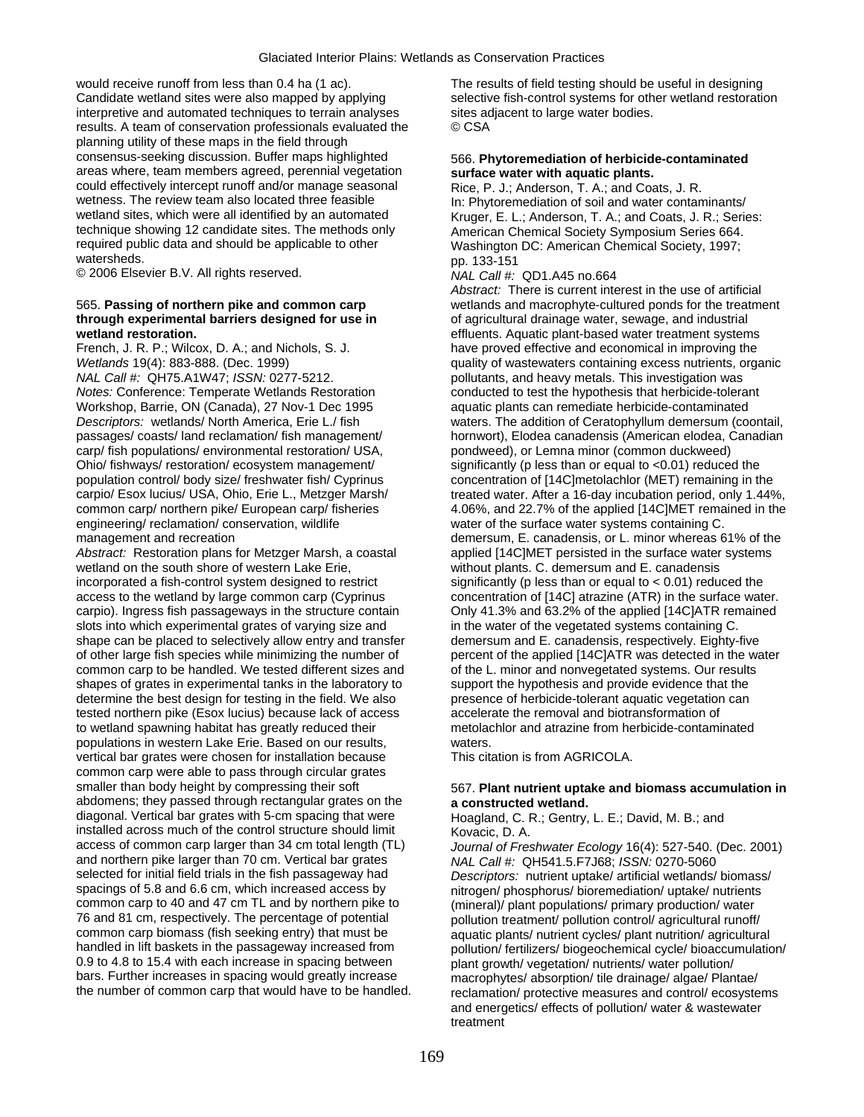would receive runoff from less than 0.4 ha (1 ac). Candidate wetland sites were also mapped by applying interpretive and automated techniques to terrain analyses results. A team of conservation professionals evaluated the planning utility of these maps in the field through consensus-seeking discussion. Buffer maps highlighted areas where, team members agreed, perennial vegetation could effectively intercept runoff and/or manage seasonal wetness. The review team also located three feasible wetland sites, which were all identified by an automated technique showing 12 candidate sites. The methods only required public data and should be applicable to other watersheds.

© 2006 Elsevier B.V. All rights reserved.

#### 565. **Passing of northern pike and common carp through experimental barriers designed for use in wetland restoration.**

French, J. R. P.; Wilcox, D. A.; and Nichols, S. J. *Wetlands* 19(4): 883-888. (Dec. 1999)

*NAL Call #:* QH75.A1W47; *ISSN:* 0277-5212. *Notes:* Conference: Temperate Wetlands Restoration Workshop, Barrie, ON (Canada), 27 Nov-1 Dec 1995 *Descriptors:* wetlands/ North America, Erie L./ fish passages/ coasts/ land reclamation/ fish management/ carp/ fish populations/ environmental restoration/ USA, Ohio/ fishways/ restoration/ ecosystem management/ population control/ body size/ freshwater fish/ Cyprinus carpio/ Esox lucius/ USA, Ohio, Erie L., Metzger Marsh/ common carp/ northern pike/ European carp/ fisheries engineering/ reclamation/ conservation, wildlife management and recreation

*Abstract:* Restoration plans for Metzger Marsh, a coastal wetland on the south shore of western Lake Erie, incorporated a fish-control system designed to restrict access to the wetland by large common carp (Cyprinus carpio). Ingress fish passageways in the structure contain slots into which experimental grates of varying size and shape can be placed to selectively allow entry and transfer of other large fish species while minimizing the number of common carp to be handled. We tested different sizes and shapes of grates in experimental tanks in the laboratory to determine the best design for testing in the field. We also tested northern pike (Esox lucius) because lack of access to wetland spawning habitat has greatly reduced their populations in western Lake Erie. Based on our results, vertical bar grates were chosen for installation because common carp were able to pass through circular grates smaller than body height by compressing their soft abdomens; they passed through rectangular grates on the diagonal. Vertical bar grates with 5-cm spacing that were installed across much of the control structure should limit access of common carp larger than 34 cm total length (TL) and northern pike larger than 70 cm. Vertical bar grates selected for initial field trials in the fish passageway had spacings of 5.8 and 6.6 cm, which increased access by common carp to 40 and 47 cm TL and by northern pike to 76 and 81 cm, respectively. The percentage of potential common carp biomass (fish seeking entry) that must be handled in lift baskets in the passageway increased from 0.9 to 4.8 to 15.4 with each increase in spacing between bars. Further increases in spacing would greatly increase the number of common carp that would have to be handled. The results of field testing should be useful in designing selective fish-control systems for other wetland restoration sites adjacent to large water bodies. © CSA

# 566. **Phytoremediation of herbicide-contaminated surface water with aquatic plants.**

Rice, P. J.; Anderson, T. A.; and Coats, J. R. In: Phytoremediation of soil and water contaminants/ Kruger, E. L.; Anderson, T. A.; and Coats, J. R.; Series: American Chemical Society Symposium Series 664. Washington DC: American Chemical Society, 1997; pp. 133-151

*NAL Call #:* QD1.A45 no.664

*Abstract:* There is current interest in the use of artificial wetlands and macrophyte-cultured ponds for the treatment of agricultural drainage water, sewage, and industrial effluents. Aquatic plant-based water treatment systems have proved effective and economical in improving the quality of wastewaters containing excess nutrients, organic pollutants, and heavy metals. This investigation was conducted to test the hypothesis that herbicide-tolerant aquatic plants can remediate herbicide-contaminated waters. The addition of Ceratophyllum demersum (coontail, hornwort), Elodea canadensis (American elodea, Canadian pondweed), or Lemna minor (common duckweed) significantly (p less than or equal to <0.01) reduced the concentration of [14C]metolachlor (MET) remaining in the treated water. After a 16-day incubation period, only 1.44%, 4.06%, and 22.7% of the applied [14C]MET remained in the water of the surface water systems containing C. demersum, E. canadensis, or L. minor whereas 61% of the applied [14C]MET persisted in the surface water systems without plants. C. demersum and E. canadensis significantly (p less than or equal to < 0.01) reduced the concentration of [14C] atrazine (ATR) in the surface water. Only 41.3% and 63.2% of the applied [14C]ATR remained in the water of the vegetated systems containing C. demersum and E. canadensis, respectively. Eighty-five percent of the applied [14C]ATR was detected in the water of the L. minor and nonvegetated systems. Our results support the hypothesis and provide evidence that the presence of herbicide-tolerant aquatic vegetation can accelerate the removal and biotransformation of metolachlor and atrazine from herbicide-contaminated waters.

This citation is from AGRICOLA.

#### 567. **Plant nutrient uptake and biomass accumulation in a constructed wetland.**

Hoagland, C. R.; Gentry, L. E.; David, M. B.; and Kovacic, D. A.

*Journal of Freshwater Ecology* 16(4): 527-540. (Dec. 2001) *NAL Call #:* QH541.5.F7J68; *ISSN:* 0270-5060 *Descriptors:* nutrient uptake/ artificial wetlands/ biomass/ nitrogen/ phosphorus/ bioremediation/ uptake/ nutrients (mineral)/ plant populations/ primary production/ water pollution treatment/ pollution control/ agricultural runoff/ aquatic plants/ nutrient cycles/ plant nutrition/ agricultural pollution/ fertilizers/ biogeochemical cycle/ bioaccumulation/ plant growth/ vegetation/ nutrients/ water pollution/ macrophytes/ absorption/ tile drainage/ algae/ Plantae/ reclamation/ protective measures and control/ ecosystems and energetics/ effects of pollution/ water & wastewater treatment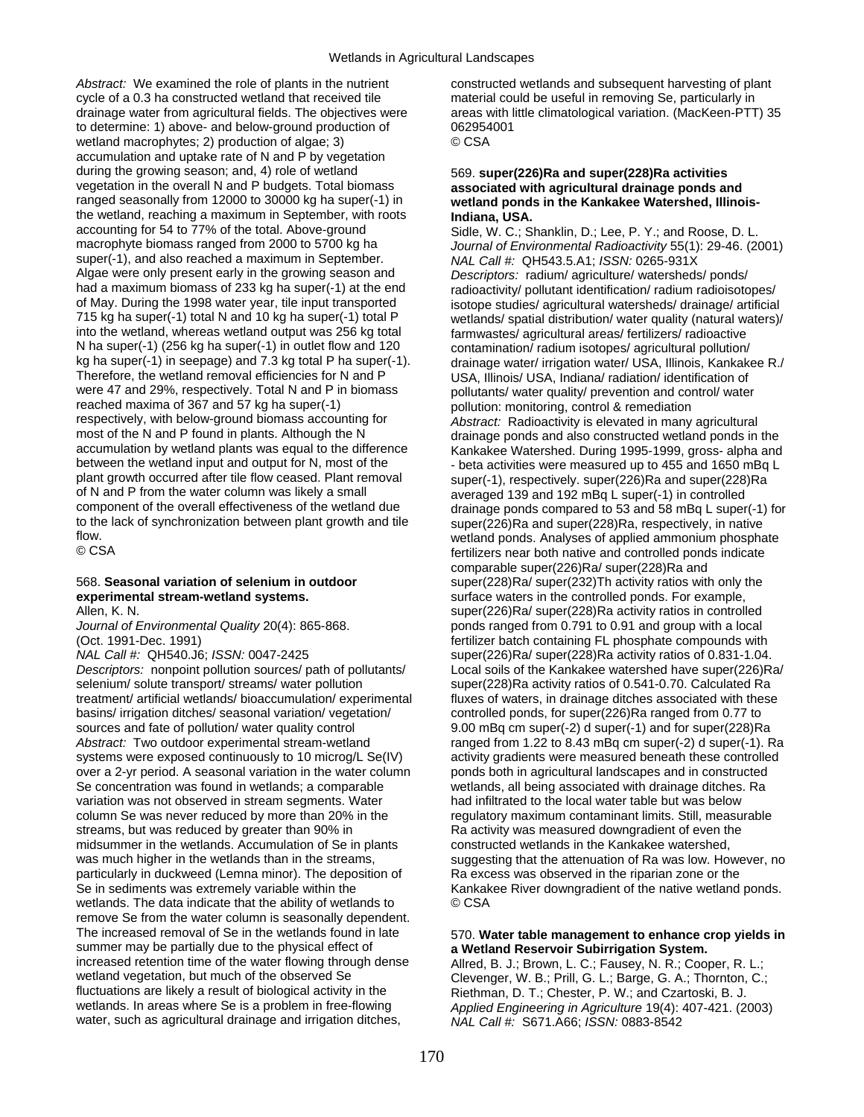*Abstract:* We examined the role of plants in the nutrient cycle of a 0.3 ha constructed wetland that received tile drainage water from agricultural fields. The objectives were to determine: 1) above- and below-ground production of wetland macrophytes; 2) production of algae; 3) accumulation and uptake rate of N and P by vegetation during the growing season; and, 4) role of wetland vegetation in the overall N and P budgets. Total biomass ranged seasonally from 12000 to 30000 kg ha super(-1) in the wetland, reaching a maximum in September, with roots accounting for 54 to 77% of the total. Above-ground macrophyte biomass ranged from 2000 to 5700 kg ha super(-1), and also reached a maximum in September. Algae were only present early in the growing season and had a maximum biomass of 233 kg ha super(-1) at the end of May. During the 1998 water year, tile input transported 715 kg ha super(-1) total N and 10 kg ha super(-1) total P into the wetland, whereas wetland output was 256 kg total N ha super(-1) (256 kg ha super(-1) in outlet flow and 120 kg ha super(-1) in seepage) and 7.3 kg total P ha super(-1). Therefore, the wetland removal efficiencies for N and P were 47 and 29%, respectively. Total N and P in biomass reached maxima of 367 and 57 kg ha super(-1) respectively, with below-ground biomass accounting for most of the N and P found in plants. Although the N accumulation by wetland plants was equal to the difference between the wetland input and output for N, most of the plant growth occurred after tile flow ceased. Plant removal of N and P from the water column was likely a small component of the overall effectiveness of the wetland due to the lack of synchronization between plant growth and tile flow. © CSA

# 568. **Seasonal variation of selenium in outdoor experimental stream-wetland systems.**

Allen, K. N.

*Journal of Environmental Quality* 20(4): 865-868. (Oct. 1991-Dec. 1991)

*NAL Call #:* QH540.J6; *ISSN:* 0047-2425

*Descriptors:* nonpoint pollution sources/ path of pollutants/ selenium/ solute transport/ streams/ water pollution treatment/ artificial wetlands/ bioaccumulation/ experimental basins/ irrigation ditches/ seasonal variation/ vegetation/ sources and fate of pollution/ water quality control *Abstract:* Two outdoor experimental stream-wetland systems were exposed continuously to 10 microg/L Se(IV) over a 2-yr period. A seasonal variation in the water column Se concentration was found in wetlands; a comparable variation was not observed in stream segments. Water column Se was never reduced by more than 20% in the streams, but was reduced by greater than 90% in midsummer in the wetlands. Accumulation of Se in plants was much higher in the wetlands than in the streams, particularly in duckweed (Lemna minor). The deposition of Se in sediments was extremely variable within the wetlands. The data indicate that the ability of wetlands to remove Se from the water column is seasonally dependent. The increased removal of Se in the wetlands found in late summer may be partially due to the physical effect of increased retention time of the water flowing through dense wetland vegetation, but much of the observed Se fluctuations are likely a result of biological activity in the wetlands. In areas where Se is a problem in free-flowing water, such as agricultural drainage and irrigation ditches,

constructed wetlands and subsequent harvesting of plant material could be useful in removing Se, particularly in areas with little climatological variation. (MacKeen-PTT) 35 062954001 © CSA

#### 569. **super(226)Ra and super(228)Ra activities associated with agricultural drainage ponds and wetland ponds in the Kankakee Watershed, Illinois-Indiana, USA.**

Sidle, W. C.; Shanklin, D.; Lee, P. Y.; and Roose, D. L. *Journal of Environmental Radioactivity* 55(1): 29-46. (2001) *NAL Call #:* QH543.5.A1; *ISSN:* 0265-931X *Descriptors:* radium/ agriculture/ watersheds/ ponds/ radioactivity/ pollutant identification/ radium radioisotopes/ isotope studies/ agricultural watersheds/ drainage/ artificial wetlands/ spatial distribution/ water quality (natural waters)/ farmwastes/ agricultural areas/ fertilizers/ radioactive contamination/ radium isotopes/ agricultural pollution/ drainage water/ irrigation water/ USA, Illinois, Kankakee R./ USA, Illinois/ USA, Indiana/ radiation/ identification of pollutants/ water quality/ prevention and control/ water pollution: monitoring, control & remediation *Abstract:* Radioactivity is elevated in many agricultural drainage ponds and also constructed wetland ponds in the Kankakee Watershed. During 1995-1999, gross- alpha and - beta activities were measured up to 455 and 1650 mBq L super(-1), respectively. super(226)Ra and super(228)Ra averaged 139 and 192 mBq L super(-1) in controlled drainage ponds compared to 53 and 58 mBq L super(-1) for super(226)Ra and super(228)Ra, respectively, in native wetland ponds. Analyses of applied ammonium phosphate fertilizers near both native and controlled ponds indicate comparable super(226)Ra/ super(228)Ra and super(228)Ra/ super(232)Th activity ratios with only the surface waters in the controlled ponds. For example, super(226)Ra/ super(228)Ra activity ratios in controlled ponds ranged from 0.791 to 0.91 and group with a local fertilizer batch containing FL phosphate compounds with super(226)Ra/ super(228)Ra activity ratios of 0.831-1.04. Local soils of the Kankakee watershed have super(226)Ra/ super(228)Ra activity ratios of 0.541-0.70. Calculated Ra fluxes of waters, in drainage ditches associated with these controlled ponds, for super(226)Ra ranged from 0.77 to 9.00 mBq cm super(-2) d super(-1) and for super(228)Ra ranged from 1.22 to 8.43 mBq cm super(-2) d super(-1). Ra activity gradients were measured beneath these controlled ponds both in agricultural landscapes and in constructed wetlands, all being associated with drainage ditches. Ra had infiltrated to the local water table but was below regulatory maximum contaminant limits. Still, measurable Ra activity was measured downgradient of even the constructed wetlands in the Kankakee watershed, suggesting that the attenuation of Ra was low. However, no Ra excess was observed in the riparian zone or the Kankakee River downgradient of the native wetland ponds. © CSA

# 570. **Water table management to enhance crop yields in a Wetland Reservoir Subirrigation System.**

Allred, B. J.; Brown, L. C.; Fausey, N. R.; Cooper, R. L.; Clevenger, W. B.; Prill, G. L.; Barge, G. A.; Thornton, C.; Riethman, D. T.; Chester, P. W.; and Czartoski, B. J. *Applied Engineering in Agriculture* 19(4): 407-421. (2003) *NAL Call #:* S671.A66; *ISSN:* 0883-8542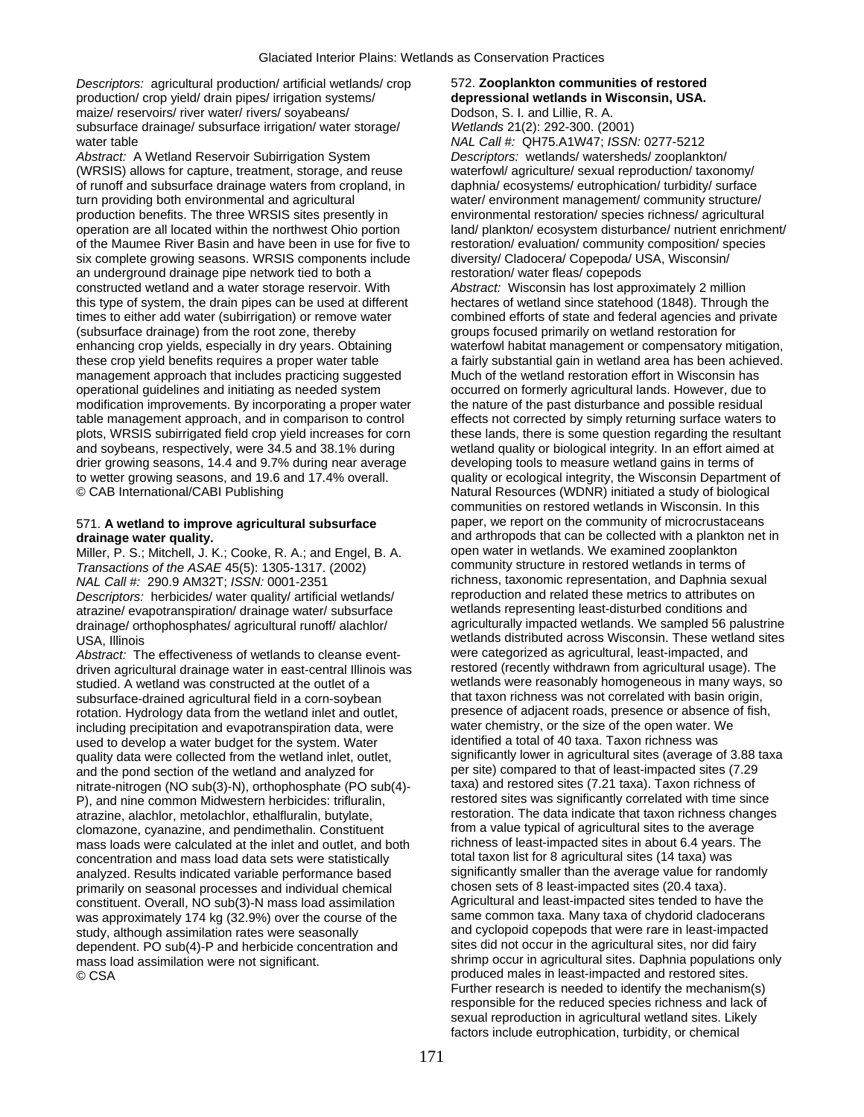*Descriptors:* agricultural production/ artificial wetlands/ crop production/ crop yield/ drain pipes/ irrigation systems/ maize/ reservoirs/ river water/ rivers/ soyabeans/ subsurface drainage/ subsurface irrigation/ water storage/ water table

*Abstract:* A Wetland Reservoir Subirrigation System (WRSIS) allows for capture, treatment, storage, and reuse of runoff and subsurface drainage waters from cropland, in turn providing both environmental and agricultural production benefits. The three WRSIS sites presently in operation are all located within the northwest Ohio portion of the Maumee River Basin and have been in use for five to six complete growing seasons. WRSIS components include an underground drainage pipe network tied to both a constructed wetland and a water storage reservoir. With this type of system, the drain pipes can be used at different times to either add water (subirrigation) or remove water (subsurface drainage) from the root zone, thereby enhancing crop yields, especially in dry years. Obtaining these crop yield benefits requires a proper water table management approach that includes practicing suggested operational guidelines and initiating as needed system modification improvements. By incorporating a proper water table management approach, and in comparison to control plots, WRSIS subirrigated field crop yield increases for corn and soybeans, respectively, were 34.5 and 38.1% during drier growing seasons, 14.4 and 9.7% during near average to wetter growing seasons, and 19.6 and 17.4% overall. © CAB International/CABI Publishing

#### 571. **A wetland to improve agricultural subsurface drainage water quality.**

Miller, P. S.; Mitchell, J. K.; Cooke, R. A.; and Engel, B. A. *Transactions of the ASAE* 45(5): 1305-1317. (2002) *NAL Call #:* 290.9 AM32T; *ISSN:* 0001-2351 *Descriptors:* herbicides/ water quality/ artificial wetlands/ atrazine/ evapotranspiration/ drainage water/ subsurface drainage/ orthophosphates/ agricultural runoff/ alachlor/ USA, Illinois

*Abstract:* The effectiveness of wetlands to cleanse eventdriven agricultural drainage water in east-central Illinois was studied. A wetland was constructed at the outlet of a subsurface-drained agricultural field in a corn-soybean rotation. Hydrology data from the wetland inlet and outlet, including precipitation and evapotranspiration data, were used to develop a water budget for the system. Water quality data were collected from the wetland inlet, outlet, and the pond section of the wetland and analyzed for nitrate-nitrogen (NO sub(3)-N), orthophosphate (PO sub(4)- P), and nine common Midwestern herbicides: trifluralin, atrazine, alachlor, metolachlor, ethalfluralin, butylate, clomazone, cyanazine, and pendimethalin. Constituent mass loads were calculated at the inlet and outlet, and both concentration and mass load data sets were statistically analyzed. Results indicated variable performance based primarily on seasonal processes and individual chemical constituent. Overall, NO sub(3)-N mass load assimilation was approximately 174 kg (32.9%) over the course of the study, although assimilation rates were seasonally dependent. PO sub(4)-P and herbicide concentration and mass load assimilation were not significant. © CSA

#### 572. **Zooplankton communities of restored depressional wetlands in Wisconsin, USA.**  Dodson, S. I. and Lillie, R. A.

*Wetlands* 21(2): 292-300. (2001) *NAL Call #:* QH75.A1W47; *ISSN:* 0277-5212 *Descriptors:* wetlands/ watersheds/ zooplankton/ waterfowl/ agriculture/ sexual reproduction/ taxonomy/ daphnia/ ecosystems/ eutrophication/ turbidity/ surface water/ environment management/ community structure/ environmental restoration/ species richness/ agricultural land/ plankton/ ecosystem disturbance/ nutrient enrichment/ restoration/ evaluation/ community composition/ species diversity/ Cladocera/ Copepoda/ USA, Wisconsin/ restoration/ water fleas/ copepods

*Abstract:* Wisconsin has lost approximately 2 million hectares of wetland since statehood (1848). Through the combined efforts of state and federal agencies and private groups focused primarily on wetland restoration for waterfowl habitat management or compensatory mitigation, a fairly substantial gain in wetland area has been achieved. Much of the wetland restoration effort in Wisconsin has occurred on formerly agricultural lands. However, due to the nature of the past disturbance and possible residual effects not corrected by simply returning surface waters to these lands, there is some question regarding the resultant wetland quality or biological integrity. In an effort aimed at developing tools to measure wetland gains in terms of quality or ecological integrity, the Wisconsin Department of Natural Resources (WDNR) initiated a study of biological communities on restored wetlands in Wisconsin. In this paper, we report on the community of microcrustaceans and arthropods that can be collected with a plankton net in open water in wetlands. We examined zooplankton community structure in restored wetlands in terms of richness, taxonomic representation, and Daphnia sexual reproduction and related these metrics to attributes on wetlands representing least-disturbed conditions and agriculturally impacted wetlands. We sampled 56 palustrine wetlands distributed across Wisconsin. These wetland sites were categorized as agricultural, least-impacted, and restored (recently withdrawn from agricultural usage). The wetlands were reasonably homogeneous in many ways, so that taxon richness was not correlated with basin origin, presence of adjacent roads, presence or absence of fish, water chemistry, or the size of the open water. We identified a total of 40 taxa. Taxon richness was significantly lower in agricultural sites (average of 3.88 taxa per site) compared to that of least-impacted sites (7.29 taxa) and restored sites (7.21 taxa). Taxon richness of restored sites was significantly correlated with time since restoration. The data indicate that taxon richness changes from a value typical of agricultural sites to the average richness of least-impacted sites in about 6.4 years. The total taxon list for 8 agricultural sites (14 taxa) was significantly smaller than the average value for randomly chosen sets of 8 least-impacted sites (20.4 taxa). Agricultural and least-impacted sites tended to have the same common taxa. Many taxa of chydorid cladocerans and cyclopoid copepods that were rare in least-impacted sites did not occur in the agricultural sites, nor did fairy shrimp occur in agricultural sites. Daphnia populations only produced males in least-impacted and restored sites. Further research is needed to identify the mechanism(s) responsible for the reduced species richness and lack of sexual reproduction in agricultural wetland sites. Likely factors include eutrophication, turbidity, or chemical